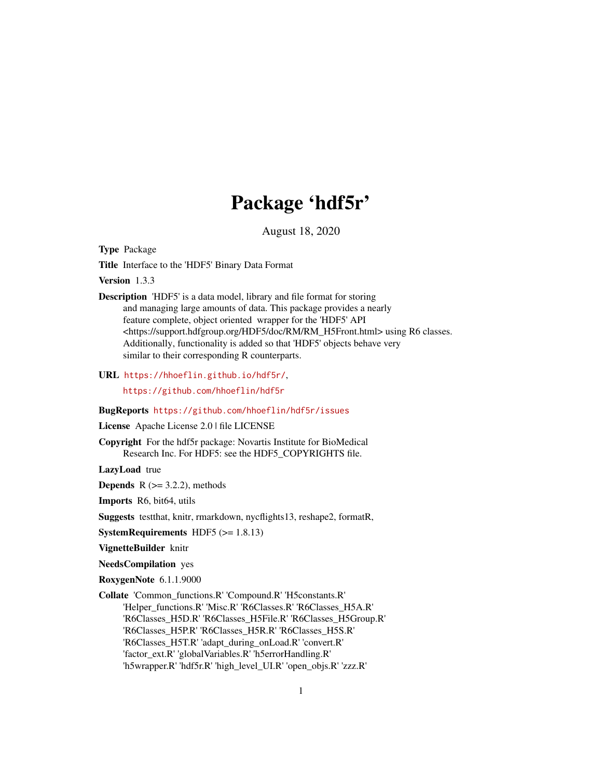# Package 'hdf5r'

August 18, 2020

<span id="page-0-0"></span>Type Package

Title Interface to the 'HDF5' Binary Data Format

Version 1.3.3

Description 'HDF5' is a data model, library and file format for storing and managing large amounts of data. This package provides a nearly feature complete, object oriented wrapper for the 'HDF5' API <https://support.hdfgroup.org/HDF5/doc/RM/RM\_H5Front.html> using R6 classes. Additionally, functionality is added so that 'HDF5' objects behave very similar to their corresponding R counterparts.

URL <https://hhoeflin.github.io/hdf5r/>,

<https://github.com/hhoeflin/hdf5r>

# BugReports <https://github.com/hhoeflin/hdf5r/issues>

License Apache License 2.0 | file LICENSE

Copyright For the hdf5r package: Novartis Institute for BioMedical Research Inc. For HDF5: see the HDF5\_COPYRIGHTS file.

LazyLoad true

**Depends**  $R$  ( $>=$  3.2.2), methods

Imports R6, bit64, utils

Suggests testthat, knitr, rmarkdown, nycflights13, reshape2, formatR,

**SystemRequirements** HDF5  $(>= 1.8.13)$ 

VignetteBuilder knitr

NeedsCompilation yes

RoxygenNote 6.1.1.9000

Collate 'Common\_functions.R' 'Compound.R' 'H5constants.R' 'Helper\_functions.R' 'Misc.R' 'R6Classes.R' 'R6Classes\_H5A.R' 'R6Classes\_H5D.R' 'R6Classes\_H5File.R' 'R6Classes\_H5Group.R' 'R6Classes\_H5P.R' 'R6Classes\_H5R.R' 'R6Classes\_H5S.R' 'R6Classes\_H5T.R' 'adapt\_during\_onLoad.R' 'convert.R' 'factor\_ext.R' 'globalVariables.R' 'h5errorHandling.R' 'h5wrapper.R' 'hdf5r.R' 'high\_level\_UI.R' 'open\_objs.R' 'zzz.R'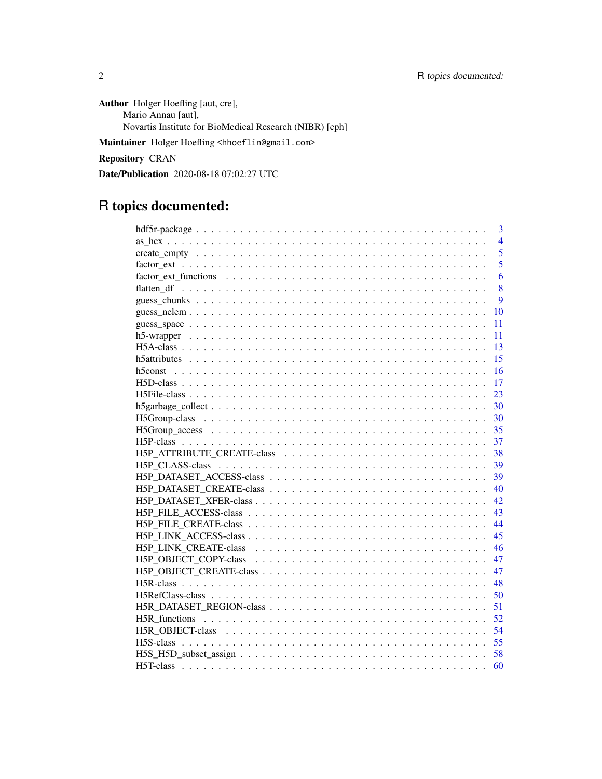Author Holger Hoefling [aut, cre], Mario Annau [aut], Novartis Institute for BioMedical Research (NIBR) [cph]

Maintainer Holger Hoefling <hhoeflin@gmail.com>

Repository CRAN

Date/Publication 2020-08-18 07:02:27 UTC

# R topics documented:

| 3              |
|----------------|
| $\overline{4}$ |
| 5              |
| 5              |
| 6              |
| 8              |
| 9              |
| 10             |
| 11             |
| 11             |
| 13             |
| 15             |
| 16             |
| 17             |
| 23             |
| 30             |
| 30             |
| 35             |
| 37             |
|                |
| 38             |
| 39             |
| 39             |
| 40             |
| 42             |
| 43             |
| 44             |
| 45             |
| 46             |
| 47             |
| 47             |
| 48             |
| 50             |
| 51             |
| 52             |
| 54             |
| 55             |
| 58             |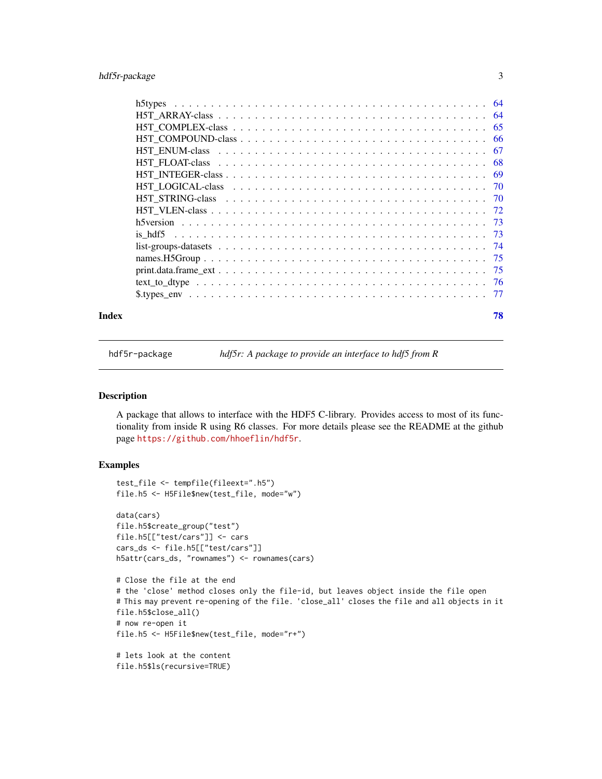# <span id="page-2-0"></span>hdf5r-package 3

| Index | 78 |
|-------|----|

hdf5r-package *hdf5r: A package to provide an interface to hdf5 from R*

# Description

A package that allows to interface with the HDF5 C-library. Provides access to most of its functionality from inside R using R6 classes. For more details please see the README at the github page <https://github.com/hhoeflin/hdf5r>.

# Examples

```
test_file <- tempfile(fileext=".h5")
file.h5 <- H5File$new(test_file, mode="w")
data(cars)
file.h5$create_group("test")
file.h5[["test/cars"]] <- cars
cars_ds <- file.h5[["test/cars"]]
h5attr(cars_ds, "rownames") <- rownames(cars)
# Close the file at the end
# the 'close' method closes only the file-id, but leaves object inside the file open
# This may prevent re-opening of the file. 'close_all' closes the file and all objects in it
file.h5$close_all()
# now re-open it
file.h5 <- H5File$new(test_file, mode="r+")
# lets look at the content
```
file.h5\$ls(recursive=TRUE)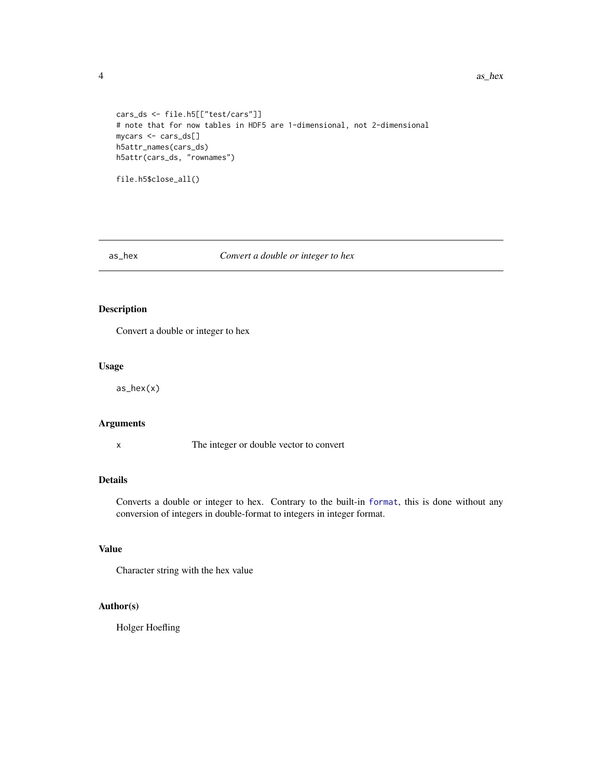#### 4 as  $\Delta$  as  $\Delta$  as  $\Delta$  as  $\Delta$  as  $\Delta$  as  $\Delta$  as  $\Delta$  as  $\Delta$  as  $\Delta$  as  $\Delta$  as  $\Delta$  as  $\Delta$  as  $\Delta$  as  $\Delta$  as  $\Delta$  as  $\Delta$  as  $\Delta$  as  $\Delta$  as  $\Delta$  as  $\Delta$  as  $\Delta$  as  $\Delta$  as  $\Delta$  as  $\Delta$  as  $\Delta$  as  $\Delta$  as  $\Delta$  as

```
cars_ds <- file.h5[["test/cars"]]
# note that for now tables in HDF5 are 1-dimensional, not 2-dimensional
mycars <- cars_ds[]
h5attr_names(cars_ds)
h5attr(cars_ds, "rownames")
```

```
file.h5$close_all()
```
## as\_hex *Convert a double or integer to hex*

# Description

Convert a double or integer to hex

## Usage

as\_hex(x)

# Arguments

x The integer or double vector to convert

# Details

Converts a double or integer to hex. Contrary to the built-in [format](#page-0-0), this is done without any conversion of integers in double-format to integers in integer format.

# Value

Character string with the hex value

# Author(s)

Holger Hoefling

<span id="page-3-0"></span>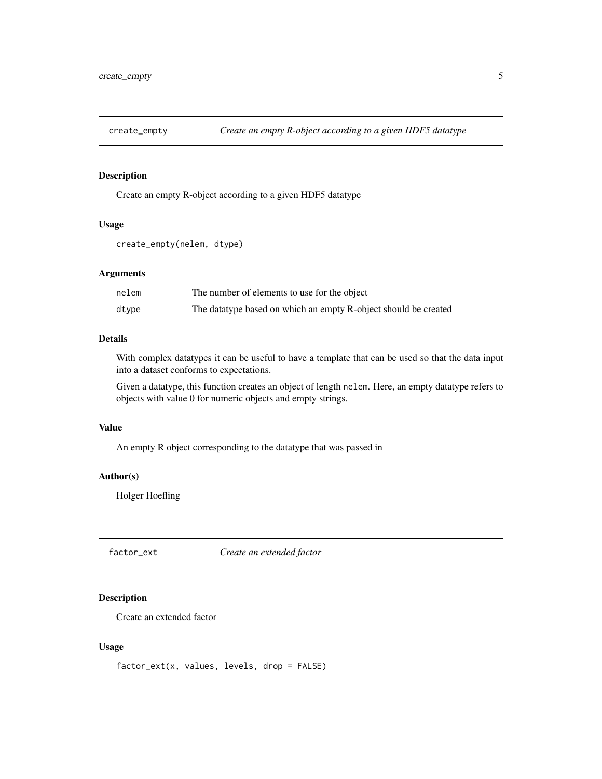<span id="page-4-0"></span>

# Description

Create an empty R-object according to a given HDF5 datatype

#### Usage

create\_empty(nelem, dtype)

# Arguments

| nelem | The number of elements to use for the object                    |
|-------|-----------------------------------------------------------------|
| dtype | The datatype based on which an empty R-object should be created |

# Details

With complex datatypes it can be useful to have a template that can be used so that the data input into a dataset conforms to expectations.

Given a datatype, this function creates an object of length nelem. Here, an empty datatype refers to objects with value 0 for numeric objects and empty strings.

# Value

An empty R object corresponding to the datatype that was passed in

# Author(s)

Holger Hoefling

<span id="page-4-1"></span>factor\_ext *Create an extended factor*

# Description

Create an extended factor

#### Usage

factor\_ext(x, values, levels, drop = FALSE)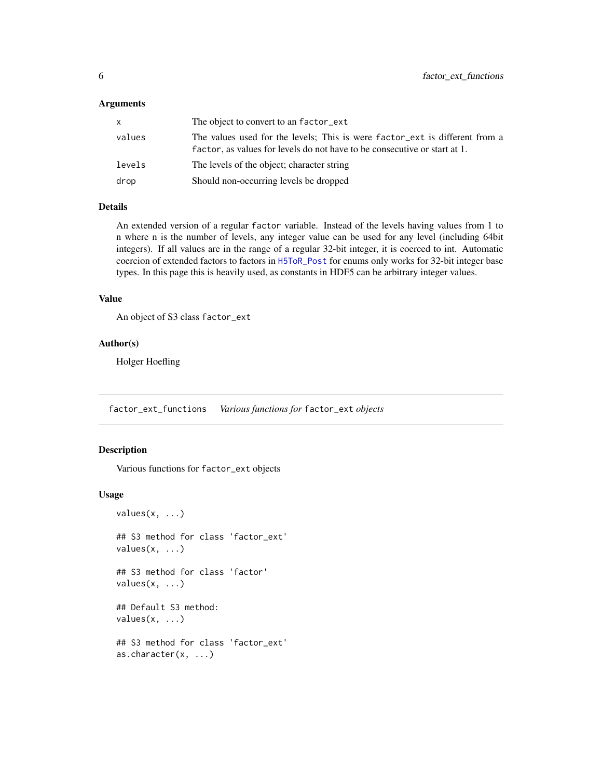#### <span id="page-5-0"></span>Arguments

| x      | The object to convert to an factor_ext                                                                                                                   |
|--------|----------------------------------------------------------------------------------------------------------------------------------------------------------|
| values | The values used for the levels; This is were factor ext is different from a<br>factor, as values for levels do not have to be consecutive or start at 1. |
| levels | The levels of the object; character string                                                                                                               |
| drop   | Should non-occurring levels be dropped                                                                                                                   |

# Details

An extended version of a regular factor variable. Instead of the levels having values from 1 to n where n is the number of levels, any integer value can be used for any level (including 64bit integers). If all values are in the range of a regular 32-bit integer, it is coerced to int. Automatic coercion of extended factors to factors in [H5ToR\\_Post](#page-0-0) for enums only works for 32-bit integer base types. In this page this is heavily used, as constants in HDF5 can be arbitrary integer values.

# Value

```
An object of S3 class factor_ext
```
#### Author(s)

Holger Hoefling

factor\_ext\_functions *Various functions for* factor\_ext *objects*

# Description

Various functions for factor\_ext objects

#### Usage

```
values(x, \ldots)## S3 method for class 'factor_ext'
values(x, ...)
## S3 method for class 'factor'
values(x, ...)
## Default S3 method:
values(x, ...)
## S3 method for class 'factor_ext'
as.character(x, ...)
```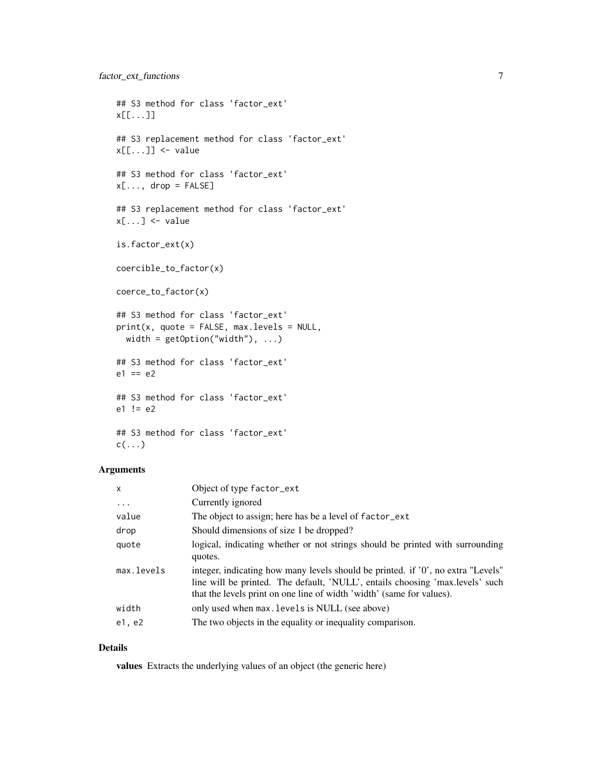```
## S3 method for class 'factor_ext'
x[[...]]
## S3 replacement method for class 'factor_ext'
x[[...]] <- value
## S3 method for class 'factor_ext'
x[\ldots, drop = FALSE]## S3 replacement method for class 'factor_ext'
x[\ldots] <- value
is.factor_ext(x)
coercible_to_factor(x)
coerce_to_factor(x)
## S3 method for class 'factor_ext'
print(x, quote = FALSE, max.levels = NULL,width = getOption("width"), ...)
## S3 method for class 'factor_ext'
e1 == e2## S3 method for class 'factor_ext'
e1 != e2## S3 method for class 'factor_ext'
c(\ldots)
```
# Arguments

| $\boldsymbol{\mathsf{x}}$ | Object of type factor_ext                                                                                                                                                                                                                  |
|---------------------------|--------------------------------------------------------------------------------------------------------------------------------------------------------------------------------------------------------------------------------------------|
| $\cdots$                  | Currently ignored                                                                                                                                                                                                                          |
| value                     | The object to assign; here has be a level of factor_ext                                                                                                                                                                                    |
| drop                      | Should dimensions of size 1 be dropped?                                                                                                                                                                                                    |
| quote                     | logical, indicating whether or not strings should be printed with surrounding<br>quotes.                                                                                                                                                   |
| max.levels                | integer, indicating how many levels should be printed. if '0', no extra "Levels"<br>line will be printed. The default, 'NULL', entails choosing 'max.levels' such<br>that the levels print on one line of width 'width' (same for values). |
| width                     | only used when max. Levels is NULL (see above)                                                                                                                                                                                             |
| e1, e2                    | The two objects in the equality or inequality comparison.                                                                                                                                                                                  |

# Details

values Extracts the underlying values of an object (the generic here)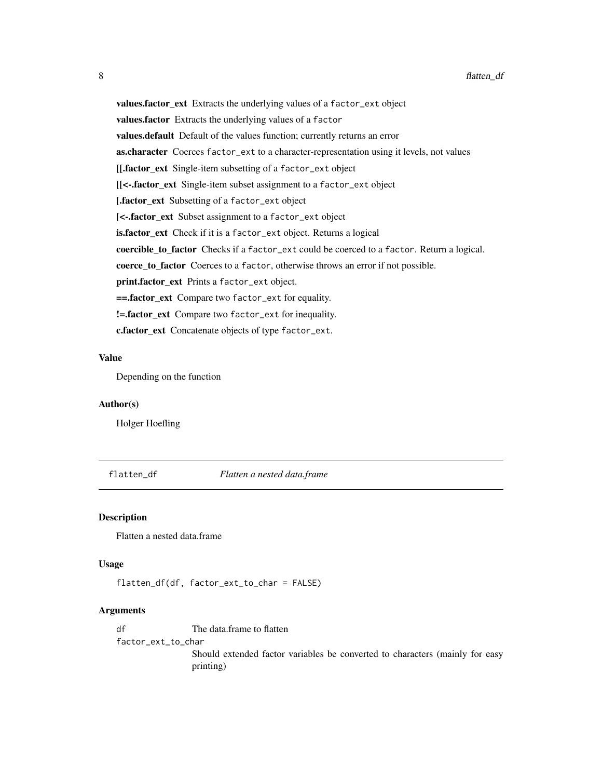values.factor\_ext Extracts the underlying values of a factor\_ext object values.factor Extracts the underlying values of a factor values.default Default of the values function; currently returns an error as.character Coerces factor\_ext to a character-representation using it levels, not values [[.factor\_ext Single-item subsetting of a factor\_ext object [[<-.factor\_ext Single-item subset assignment to a factor\_ext object [.factor\_ext Subsetting of a factor\_ext object [<-.factor\_ext Subset assignment to a factor\_ext object is.factor\_ext Check if it is a factor\_ext object. Returns a logical coercible\_to\_factor Checks if a factor\_ext could be coerced to a factor. Return a logical. coerce\_to\_factor Coerces to a factor, otherwise throws an error if not possible. print.factor\_ext Prints a factor\_ext object. ==.factor\_ext Compare two factor\_ext for equality. !=.factor\_ext Compare two factor\_ext for inequality. c.factor\_ext Concatenate objects of type factor\_ext.

#### Value

Depending on the function

# Author(s)

Holger Hoefling

flatten\_df *Flatten a nested data.frame*

### Description

Flatten a nested data.frame

#### Usage

flatten\_df(df, factor\_ext\_to\_char = FALSE)

# Arguments

df The data.frame to flatten factor\_ext\_to\_char Should extended factor variables be converted to characters (mainly for easy printing)

<span id="page-7-0"></span>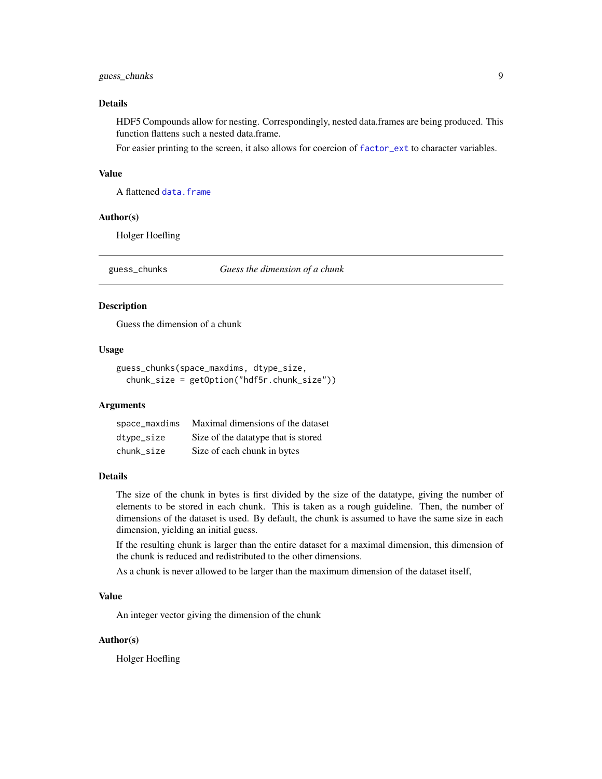# <span id="page-8-0"></span>guess\_chunks 9

# Details

HDF5 Compounds allow for nesting. Correspondingly, nested data.frames are being produced. This function flattens such a nested data.frame.

For easier printing to the screen, it also allows for coercion of [factor\\_ext](#page-4-1) to character variables.

# Value

A flattened [data.frame](#page-0-0)

# Author(s)

Holger Hoefling

<span id="page-8-1"></span>guess\_chunks *Guess the dimension of a chunk*

#### **Description**

Guess the dimension of a chunk

#### Usage

```
guess_chunks(space_maxdims, dtype_size,
 chunk_size = getOption("hdf5r.chunk_size"))
```
#### Arguments

| space_maxdims | Maximal dimensions of the dataset    |
|---------------|--------------------------------------|
| dtype_size    | Size of the data type that is stored |
| chunk_size    | Size of each chunk in bytes          |

# Details

The size of the chunk in bytes is first divided by the size of the datatype, giving the number of elements to be stored in each chunk. This is taken as a rough guideline. Then, the number of dimensions of the dataset is used. By default, the chunk is assumed to have the same size in each dimension, yielding an initial guess.

If the resulting chunk is larger than the entire dataset for a maximal dimension, this dimension of the chunk is reduced and redistributed to the other dimensions.

As a chunk is never allowed to be larger than the maximum dimension of the dataset itself,

#### Value

An integer vector giving the dimension of the chunk

#### Author(s)

Holger Hoefling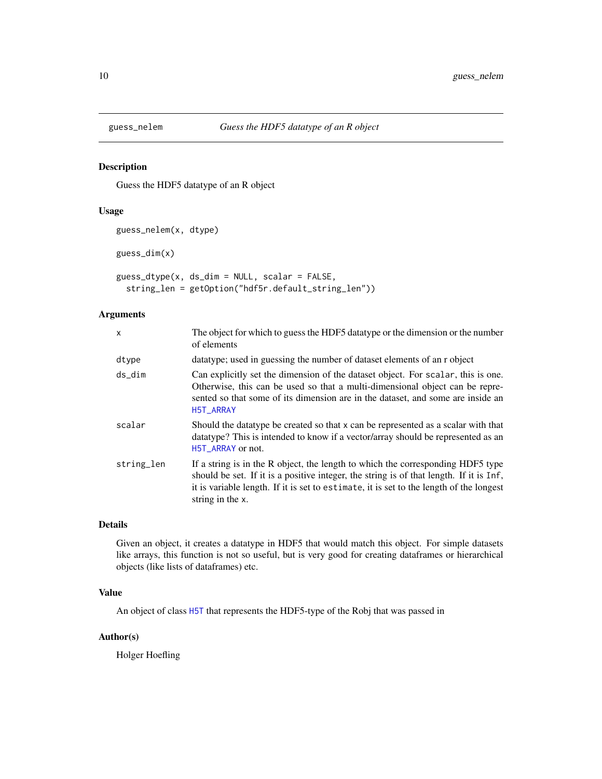<span id="page-9-0"></span>

# Description

Guess the HDF5 datatype of an R object

# Usage

```
guess_nelem(x, dtype)
guess_dim(x)
guess_dtype(x, ds_dim = NULL, scalar = FALSE,
  string_len = getOption("hdf5r.default_string_len"))
```
# Arguments

| x          | The object for which to guess the HDF5 datatype or the dimension or the number<br>of elements                                                                                                                                                                                             |
|------------|-------------------------------------------------------------------------------------------------------------------------------------------------------------------------------------------------------------------------------------------------------------------------------------------|
| dtype      | data type; used in guessing the number of dataset elements of an r object                                                                                                                                                                                                                 |
| ds_dim     | Can explicitly set the dimension of the dataset object. For scalar, this is one.<br>Otherwise, this can be used so that a multi-dimensional object can be repre-<br>sented so that some of its dimension are in the dataset, and some are inside an<br>H5T_ARRAY                          |
| scalar     | Should the datatype be created so that x can be represented as a scalar with that<br>datatype? This is intended to know if a vector/array should be represented as an<br>H5T_ARRAY or not.                                                                                                |
| string_len | If a string is in the R object, the length to which the corresponding HDF5 type<br>should be set. If it is a positive integer, the string is of that length. If it is Inf,<br>it is variable length. If it is set to estimate, it is set to the length of the longest<br>string in the x. |

# Details

Given an object, it creates a datatype in HDF5 that would match this object. For simple datasets like arrays, this function is not so useful, but is very good for creating dataframes or hierarchical objects (like lists of dataframes) etc.

# Value

An object of class [H5T](#page-59-1) that represents the HDF5-type of the Robj that was passed in

## Author(s)

Holger Hoefling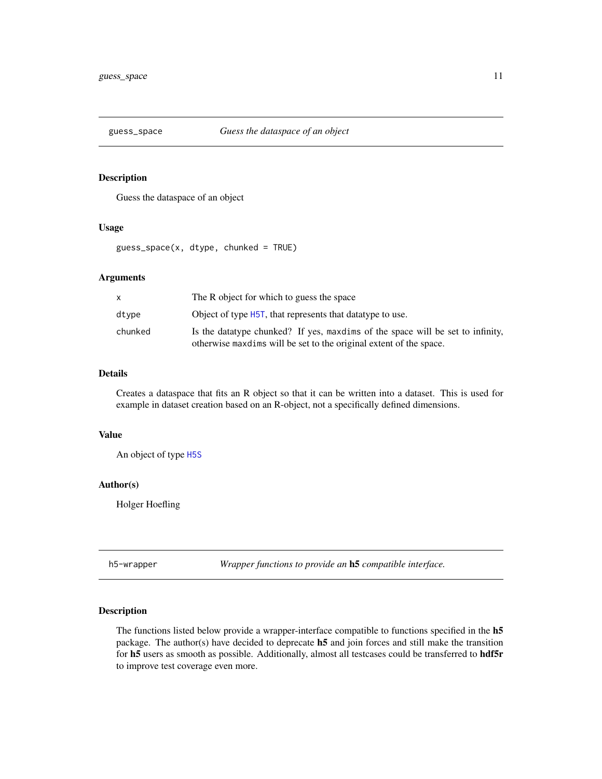<span id="page-10-0"></span>

# Description

Guess the dataspace of an object

#### Usage

guess\_space(x, dtype, chunked = TRUE)

# Arguments

|         | The R object for which to guess the space                                                                                                             |
|---------|-------------------------------------------------------------------------------------------------------------------------------------------------------|
| dtype   | Object of type H5T, that represents that data type to use.                                                                                            |
| chunked | Is the data type chunked? If yes, maxdims of the space will be set to infinity,<br>otherwise maxdims will be set to the original extent of the space. |

# Details

Creates a dataspace that fits an R object so that it can be written into a dataset. This is used for example in dataset creation based on an R-object, not a specifically defined dimensions.

# Value

An object of type [H5S](#page-54-1)

#### Author(s)

Holger Hoefling

h5-wrapper *Wrapper functions to provide an* h5 *compatible interface.*

# <span id="page-10-1"></span>Description

The functions listed below provide a wrapper-interface compatible to functions specified in the h5 package. The author(s) have decided to deprecate h5 and join forces and still make the transition for h5 users as smooth as possible. Additionally, almost all testcases could be transferred to hdf5r to improve test coverage even more.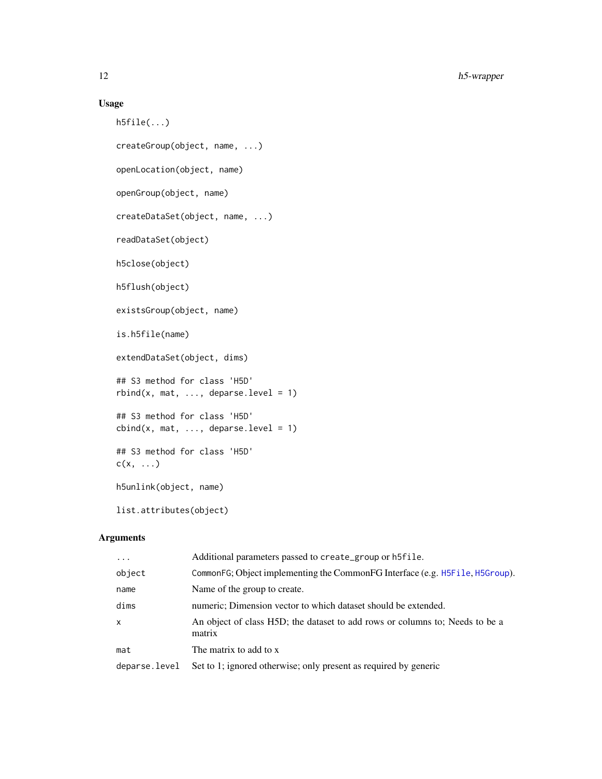# Usage

```
h5file(...)
createGroup(object, name, ...)
openLocation(object, name)
openGroup(object, name)
createDataSet(object, name, ...)
readDataSet(object)
h5close(object)
h5flush(object)
existsGroup(object, name)
is.h5file(name)
extendDataSet(object, dims)
## S3 method for class 'H5D'
rbind(x, mat, ..., deparse.level = 1)## S3 method for class 'H5D'
cbind(x, mat, ..., deparse. level = 1)## S3 method for class 'H5D'
c(x, \ldots)h5unlink(object, name)
```
list.attributes(object)

# Arguments

| $\cdots$      | Additional parameters passed to create_group or h5file.                                |
|---------------|----------------------------------------------------------------------------------------|
| object        | CommonFG; Object implementing the CommonFG Interface (e.g. H5F11e, H5Group).           |
| name          | Name of the group to create.                                                           |
| dims          | numeric; Dimension vector to which dataset should be extended.                         |
| $\times$      | An object of class H5D; the dataset to add rows or columns to; Needs to be a<br>matrix |
| mat           | The matrix to add to x                                                                 |
| deparse.level | Set to 1; ignored otherwise; only present as required by generic                       |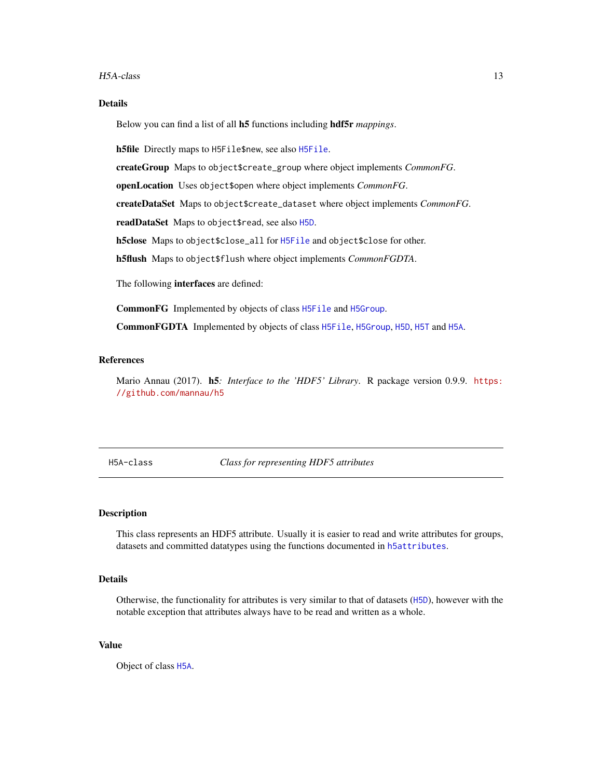#### <span id="page-12-0"></span>H5A-class 13

# Details

Below you can find a list of all h5 functions including hdf5r *mappings*.

h5file Directly maps to H5File\$new, see also [H5File](#page-22-1).

createGroup Maps to object\$create\_group where object implements *CommonFG*.

openLocation Uses object\$open where object implements *CommonFG*.

createDataSet Maps to object\$create\_dataset where object implements *CommonFG*.

readDataSet Maps to object\$read, see also [H5D](#page-16-1).

h5close Maps to object\$close\_all for [H5File](#page-22-1) and object\$close for other.

h5flush Maps to object\$flush where object implements *CommonFGDTA*.

The following interfaces are defined:

CommonFG Implemented by objects of class [H5File](#page-22-1) and [H5Group](#page-29-1).

CommonFGDTA Implemented by objects of class [H5File](#page-22-1), [H5Group](#page-29-1), [H5D](#page-16-1), [H5T](#page-59-1) and [H5A](#page-12-1).

# References

Mario Annau (2017). h5*: Interface to the 'HDF5' Library*. R package version 0.9.9. [https:](https://github.com/mannau/h5) [//github.com/mannau/h5](https://github.com/mannau/h5)

H5A-class *Class for representing HDF5 attributes*

# <span id="page-12-1"></span>**Description**

This class represents an HDF5 attribute. Usually it is easier to read and write attributes for groups, datasets and committed datatypes using the functions documented in [h5attributes](#page-14-1).

# Details

Otherwise, the functionality for attributes is very similar to that of datasets ([H5D](#page-16-1)), however with the notable exception that attributes always have to be read and written as a whole.

# Value

Object of class [H5A](#page-12-1).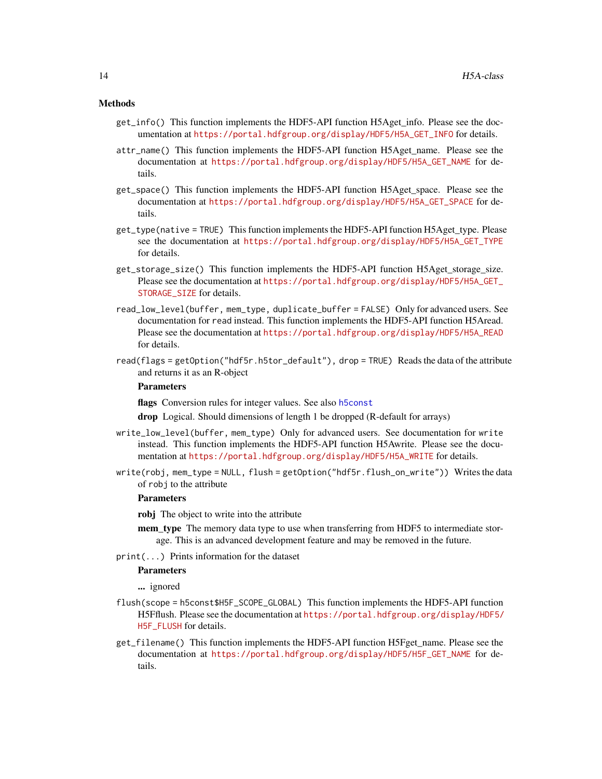#### Methods

- get\_info() This function implements the HDF5-API function H5Aget\_info. Please see the documentation at [https://portal.hdfgroup.org/display/HDF5/H5A\\_GET\\_INFO](https://portal.hdfgroup.org/display/HDF5/H5A_GET_INFO) for details.
- attr\_name() This function implements the HDF5-API function H5Aget\_name. Please see the documentation at [https://portal.hdfgroup.org/display/HDF5/H5A\\_GET\\_NAME](https://portal.hdfgroup.org/display/HDF5/H5A_GET_NAME) for details.
- get\_space() This function implements the HDF5-API function H5Aget\_space. Please see the documentation at [https://portal.hdfgroup.org/display/HDF5/H5A\\_GET\\_SPACE](https://portal.hdfgroup.org/display/HDF5/H5A_GET_SPACE) for details.
- get\_type(native = TRUE) This function implements the HDF5-API function H5Aget\_type. Please see the documentation at [https://portal.hdfgroup.org/display/HDF5/H5A\\_GET\\_TYPE](https://portal.hdfgroup.org/display/HDF5/H5A_GET_TYPE) for details.
- get\_storage\_size() This function implements the HDF5-API function H5Aget\_storage\_size. Please see the documentation at [https://portal.hdfgroup.org/display/HDF5/H5A\\_GET\\_](https://portal.hdfgroup.org/display/HDF5/H5A_GET_STORAGE_SIZE) [STORAGE\\_SIZE](https://portal.hdfgroup.org/display/HDF5/H5A_GET_STORAGE_SIZE) for details.
- read\_low\_level(buffer, mem\_type, duplicate\_buffer = FALSE) Only for advanced users. See documentation for read instead. This function implements the HDF5-API function H5Aread. Please see the documentation at [https://portal.hdfgroup.org/display/HDF5/H5A\\_READ](https://portal.hdfgroup.org/display/HDF5/H5A_READ) for details.
- read(flags = getOption("hdf5r.h5tor\_default"), drop = TRUE) Reads the data of the attribute and returns it as an R-object

#### **Parameters**

flags Conversion rules for integer values. See also [h5const](#page-15-1)

drop Logical. Should dimensions of length 1 be dropped (R-default for arrays)

- write\_low\_level(buffer, mem\_type) Only for advanced users. See documentation for write instead. This function implements the HDF5-API function H5Awrite. Please see the documentation at [https://portal.hdfgroup.org/display/HDF5/H5A\\_WRITE](https://portal.hdfgroup.org/display/HDF5/H5A_WRITE) for details.
- write(robj, mem\_type = NULL, flush = getOption("hdf5r.flush\_on\_write")) Writes the data of robj to the attribute

#### **Parameters**

robj The object to write into the attribute

- mem\_type The memory data type to use when transferring from HDF5 to intermediate storage. This is an advanced development feature and may be removed in the future.
- print(...) Prints information for the dataset

# **Parameters**

... ignored

- flush(scope = h5const\$H5F\_SCOPE\_GLOBAL) This function implements the HDF5-API function H5Fflush. Please see the documentation at [https://portal.hdfgroup.org/display/HDF5/](https://portal.hdfgroup.org/display/HDF5/H5F_FLUSH) [H5F\\_FLUSH](https://portal.hdfgroup.org/display/HDF5/H5F_FLUSH) for details.
- get\_filename() This function implements the HDF5-API function H5Fget\_name. Please see the documentation at [https://portal.hdfgroup.org/display/HDF5/H5F\\_GET\\_NAME](https://portal.hdfgroup.org/display/HDF5/H5F_GET_NAME) for details.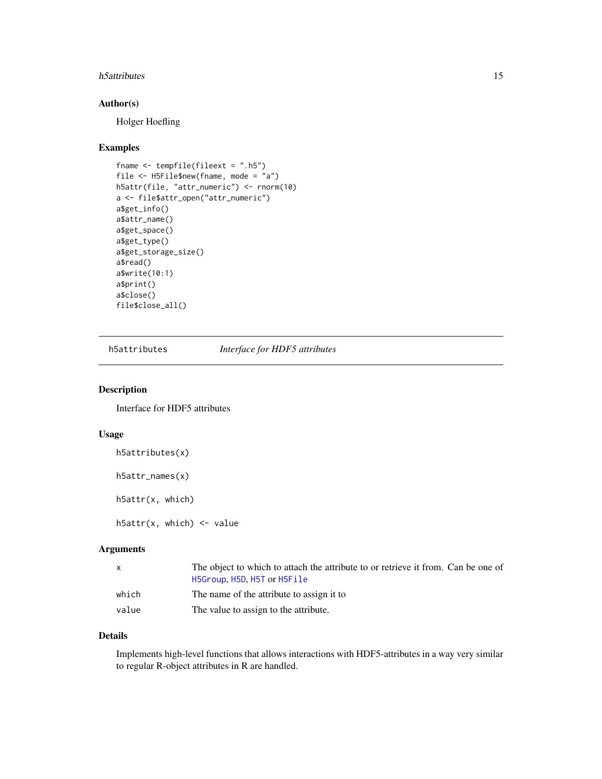#### <span id="page-14-0"></span>h5attributes 15

# Author(s)

Holger Hoefling

#### Examples

```
fname <- tempfile(fileext = ".h5")
file <- H5File$new(fname, mode = "a")
h5attr(file, "attr_numeric") <- rnorm(10)
a <- file$attr_open("attr_numeric")
a$get_info()
a$attr_name()
a$get_space()
a$get_type()
a$get_storage_size()
a$read()
a$write(10:1)
a$print()
a$close()
file$close_all()
```
<span id="page-14-1"></span>h5attributes *Interface for HDF5 attributes*

# <span id="page-14-2"></span>Description

Interface for HDF5 attributes

# Usage

```
h5attributes(x)
h5attr_names(x)
h5attr(x, which)
h5attr(x, which) <- value
```
# Arguments

| X     | The object to which to attach the attribute to or retrieve it from. Can be one of |
|-------|-----------------------------------------------------------------------------------|
|       | H5Group, H5D, H5T or H5File                                                       |
| which | The name of the attribute to assign it to                                         |
| value | The value to assign to the attribute.                                             |

# Details

Implements high-level functions that allows interactions with HDF5-attributes in a way very similar to regular R-object attributes in R are handled.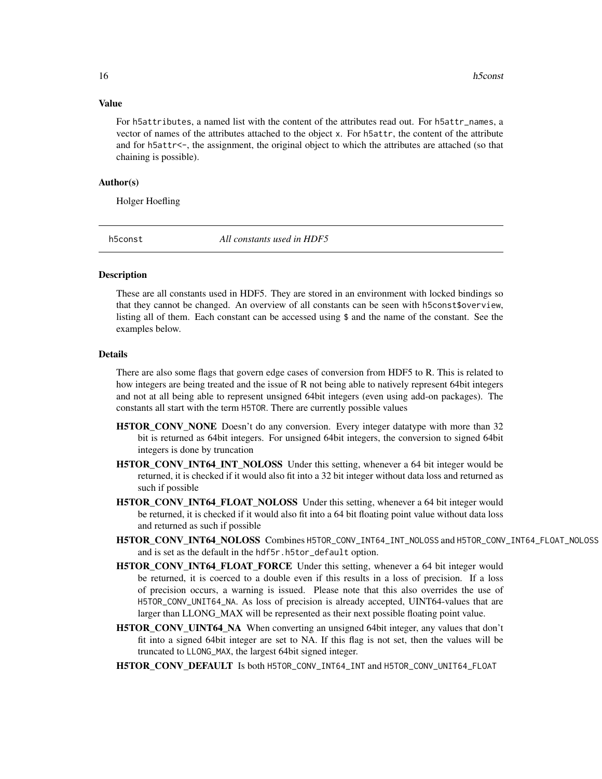#### Value

For h5attributes, a named list with the content of the attributes read out. For h5attr\_names, a vector of names of the attributes attached to the object x. For h5attr, the content of the attribute and for h5attr<-, the assignment, the original object to which the attributes are attached (so that chaining is possible).

# Author(s)

Holger Hoefling

<span id="page-15-1"></span>

h5const *All constants used in HDF5*

## Description

These are all constants used in HDF5. They are stored in an environment with locked bindings so that they cannot be changed. An overview of all constants can be seen with h5const\$overview, listing all of them. Each constant can be accessed using \$ and the name of the constant. See the examples below.

#### Details

There are also some flags that govern edge cases of conversion from HDF5 to R. This is related to how integers are being treated and the issue of R not being able to natively represent 64bit integers and not at all being able to represent unsigned 64bit integers (even using add-on packages). The constants all start with the term H5TOR. There are currently possible values

- H5TOR\_CONV\_NONE Doesn't do any conversion. Every integer datatype with more than 32 bit is returned as 64bit integers. For unsigned 64bit integers, the conversion to signed 64bit integers is done by truncation
- H5TOR\_CONV\_INT64\_INT\_NOLOSS Under this setting, whenever a 64 bit integer would be returned, it is checked if it would also fit into a 32 bit integer without data loss and returned as such if possible
- H5TOR\_CONV\_INT64\_FLOAT\_NOLOSS Under this setting, whenever a 64 bit integer would be returned, it is checked if it would also fit into a 64 bit floating point value without data loss and returned as such if possible
- H5TOR\_CONV\_INT64\_NOLOSS Combines H5TOR\_CONV\_INT64\_INT\_NOLOSS and H5TOR\_CONV\_INT64\_FLOAT\_NOLOSS and is set as the default in the hdf5r.h5tor\_default option.
- H5TOR\_CONV\_INT64\_FLOAT\_FORCE Under this setting, whenever a 64 bit integer would be returned, it is coerced to a double even if this results in a loss of precision. If a loss of precision occurs, a warning is issued. Please note that this also overrides the use of H5TOR\_CONV\_UNIT64\_NA. As loss of precision is already accepted, UINT64-values that are larger than LLONG\_MAX will be represented as their next possible floating point value.
- H5TOR\_CONV\_UINT64\_NA When converting an unsigned 64bit integer, any values that don't fit into a signed 64bit integer are set to NA. If this flag is not set, then the values will be truncated to LLONG\_MAX, the largest 64bit signed integer.
- H5TOR\_CONV\_DEFAULT Is both H5TOR\_CONV\_INT64\_INT and H5TOR\_CONV\_UNIT64\_FLOAT

<span id="page-15-0"></span>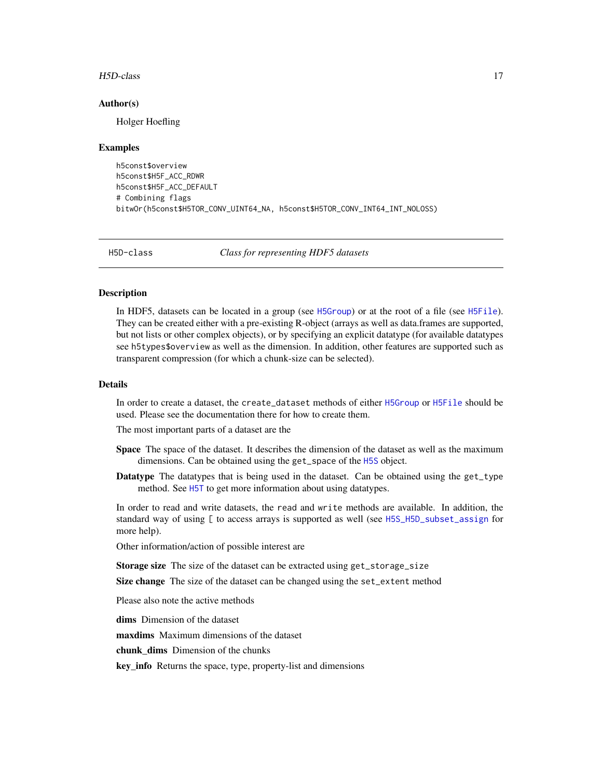#### <span id="page-16-0"></span>H5D-class 17

#### Author(s)

Holger Hoefling

#### Examples

```
h5const$overview
h5const$H5F_ACC_RDWR
h5const$H5F_ACC_DEFAULT
# Combining flags
bitwOr(h5const$H5TOR_CONV_UINT64_NA, h5const$H5TOR_CONV_INT64_INT_NOLOSS)
```
H5D-class *Class for representing HDF5 datasets*

#### <span id="page-16-1"></span>Description

In HDF5, datasets can be located in a group (see [H5Group](#page-29-1)) or at the root of a file (see [H5File](#page-22-1)). They can be created either with a pre-existing R-object (arrays as well as data.frames are supported, but not lists or other complex objects), or by specifying an explicit datatype (for available datatypes see h5types\$overview as well as the dimension. In addition, other features are supported such as transparent compression (for which a chunk-size can be selected).

# Details

In order to create a dataset, the create\_dataset methods of either [H5Group](#page-29-1) or [H5File](#page-22-1) should be used. Please see the documentation there for how to create them.

The most important parts of a dataset are the

- Space The space of the dataset. It describes the dimension of the dataset as well as the maximum dimensions. Can be obtained using the get\_space of the [H5S](#page-54-1) object.
- Datatype The datatypes that is being used in the dataset. Can be obtained using the get\_type method. See [H5T](#page-59-1) to get more information about using datatypes.

In order to read and write datasets, the read and write methods are available. In addition, the standard way of using [ to access arrays is supported as well (see [H5S\\_H5D\\_subset\\_assign](#page-57-1) for more help).

Other information/action of possible interest are

**Storage size** The size of the dataset can be extracted using get\_storage\_size

Size change The size of the dataset can be changed using the set\_extent method

Please also note the active methods

dims Dimension of the dataset

maxdims Maximum dimensions of the dataset

chunk dims Dimension of the chunks

key\_info Returns the space, type, property-list and dimensions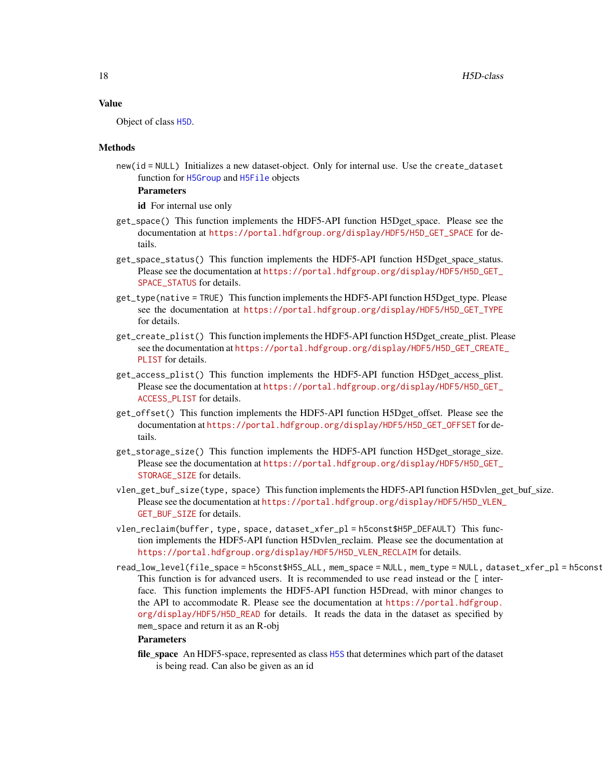#### Value

Object of class [H5D](#page-16-1).

#### Methods

new(id = NULL) Initializes a new dataset-object. Only for internal use. Use the create\_dataset function for [H5Group](#page-29-1) and [H5File](#page-22-1) objects

# Parameters

id For internal use only

- get\_space() This function implements the HDF5-API function H5Dget\_space. Please see the documentation at [https://portal.hdfgroup.org/display/HDF5/H5D\\_GET\\_SPACE](https://portal.hdfgroup.org/display/HDF5/H5D_GET_SPACE) for details.
- get\_space\_status() This function implements the HDF5-API function H5Dget\_space\_status. Please see the documentation at [https://portal.hdfgroup.org/display/HDF5/H5D\\_GET\\_](https://portal.hdfgroup.org/display/HDF5/H5D_GET_SPACE_STATUS) SPACE STATUS for details.
- get\_type(native = TRUE) This function implements the HDF5-API function H5Dget\_type. Please see the documentation at [https://portal.hdfgroup.org/display/HDF5/H5D\\_GET\\_TYPE](https://portal.hdfgroup.org/display/HDF5/H5D_GET_TYPE) for details.
- get\_create\_plist() This function implements the HDF5-API function H5Dget\_create\_plist. Please see the documentation at [https://portal.hdfgroup.org/display/HDF5/H5D\\_GET\\_CREATE](https://portal.hdfgroup.org/display/HDF5/H5D_GET_CREATE_PLIST)\_ [PLIST](https://portal.hdfgroup.org/display/HDF5/H5D_GET_CREATE_PLIST) for details.
- get\_access\_plist() This function implements the HDF5-API function H5Dget\_access\_plist. Please see the documentation at [https://portal.hdfgroup.org/display/HDF5/H5D\\_GET\\_](https://portal.hdfgroup.org/display/HDF5/H5D_GET_ACCESS_PLIST) [ACCESS\\_PLIST](https://portal.hdfgroup.org/display/HDF5/H5D_GET_ACCESS_PLIST) for details.
- get\_offset() This function implements the HDF5-API function H5Dget\_offset. Please see the documentation at [https://portal.hdfgroup.org/display/HDF5/H5D\\_GET\\_OFFSET](https://portal.hdfgroup.org/display/HDF5/H5D_GET_OFFSET) for details.
- get\_storage\_size() This function implements the HDF5-API function H5Dget\_storage\_size. Please see the documentation at [https://portal.hdfgroup.org/display/HDF5/H5D\\_GET\\_](https://portal.hdfgroup.org/display/HDF5/H5D_GET_STORAGE_SIZE) [STORAGE\\_SIZE](https://portal.hdfgroup.org/display/HDF5/H5D_GET_STORAGE_SIZE) for details.
- vlen\_get\_buf\_size(type, space) This function implements the HDF5-API function H5Dvlen\_get\_buf\_size. Please see the documentation at [https://portal.hdfgroup.org/display/HDF5/H5D\\_VLEN\\_](https://portal.hdfgroup.org/display/HDF5/H5D_VLEN_GET_BUF_SIZE) [GET\\_BUF\\_SIZE](https://portal.hdfgroup.org/display/HDF5/H5D_VLEN_GET_BUF_SIZE) for details.
- vlen\_reclaim(buffer, type, space, dataset\_xfer\_pl = h5const\$H5P\_DEFAULT) This function implements the HDF5-API function H5Dvlen\_reclaim. Please see the documentation at [https://portal.hdfgroup.org/display/HDF5/H5D\\_VLEN\\_RECLAIM](https://portal.hdfgroup.org/display/HDF5/H5D_VLEN_RECLAIM) for details.
- read\_low\_level(file\_space = h5const\$H5S\_ALL, mem\_space = NULL, mem\_type = NULL, dataset\_xfer\_pl = h5const This function is for advanced users. It is recommended to use read instead or the [ interface. This function implements the HDF5-API function H5Dread, with minor changes to the API to accommodate R. Please see the documentation at [https://portal.hdfgroup.](https://portal.hdfgroup.org/display/HDF5/H5D_READ) [org/display/HDF5/H5D\\_READ](https://portal.hdfgroup.org/display/HDF5/H5D_READ) for details. It reads the data in the dataset as specified by mem\_space and return it as an R-obj

#### Parameters

file\_space An HDF5-space, represented as class [H5S](#page-54-1) that determines which part of the dataset is being read. Can also be given as an id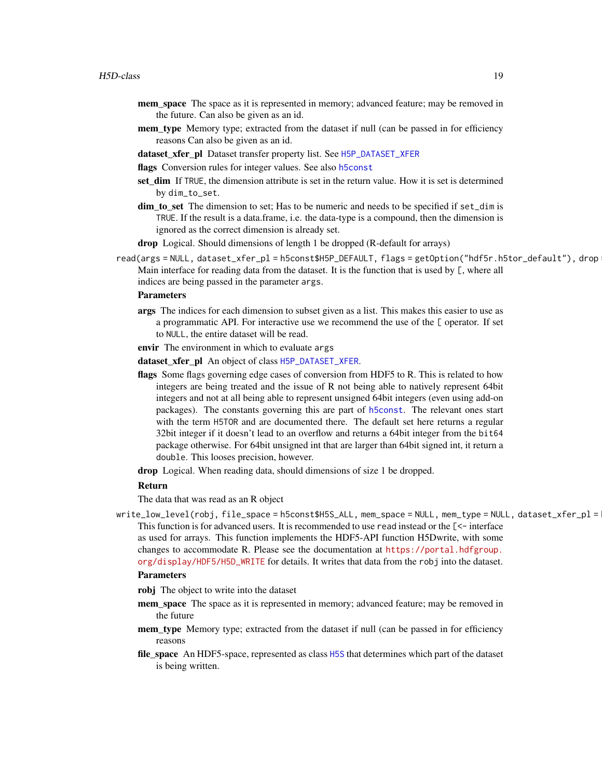- mem\_space The space as it is represented in memory; advanced feature; may be removed in the future. Can also be given as an id.
- mem\_type Memory type; extracted from the dataset if null (can be passed in for efficiency reasons Can also be given as an id.
- dataset\_xfer\_pl Dataset transfer property list. See [H5P\\_DATASET\\_XFER](#page-41-1)
- flags Conversion rules for integer values. See also [h5const](#page-15-1)
- set\_dim If TRUE, the dimension attribute is set in the return value. How it is set is determined by dim\_to\_set.
- dim\_to\_set The dimension to set; Has to be numeric and needs to be specified if set\_dim is TRUE. If the result is a data.frame, i.e. the data-type is a compound, then the dimension is ignored as the correct dimension is already set.
- drop Logical. Should dimensions of length 1 be dropped (R-default for arrays)
- read(args = NULL, dataset\_xfer\_pl = h5const\$H5P\_DEFAULT, flags = getOption("hdf5r.h5tor\_default"), drop Main interface for reading data from the dataset. It is the function that is used by [, where all indices are being passed in the parameter args.

#### Parameters

- args The indices for each dimension to subset given as a list. This makes this easier to use as a programmatic API. For interactive use we recommend the use of the [ operator. If set to NULL, the entire dataset will be read.
- envir The environment in which to evaluate args

dataset\_xfer\_pl An object of class [H5P\\_DATASET\\_XFER](#page-41-1).

- flags Some flags governing edge cases of conversion from HDF5 to R. This is related to how integers are being treated and the issue of R not being able to natively represent 64bit integers and not at all being able to represent unsigned 64bit integers (even using add-on packages). The constants governing this are part of [h5const](#page-15-1). The relevant ones start with the term H5TOR and are documented there. The default set here returns a regular 32bit integer if it doesn't lead to an overflow and returns a 64bit integer from the bit64 package otherwise. For 64bit unsigned int that are larger than 64bit signed int, it return a double. This looses precision, however.
- drop Logical. When reading data, should dimensions of size 1 be dropped.

#### Return

The data that was read as an R object

write\_low\_level(robj, file\_space = h5const\$H5S\_ALL, mem\_space = NULL, mem\_type = NULL, dataset\_xfer\_pl = This function is for advanced users. It is recommended to use read instead or the [<- interface as used for arrays. This function implements the HDF5-API function H5Dwrite, with some changes to accommodate R. Please see the documentation at [https://portal.hdfgroup.](https://portal.hdfgroup.org/display/HDF5/H5D_WRITE) [org/display/HDF5/H5D\\_WRITE](https://portal.hdfgroup.org/display/HDF5/H5D_WRITE) for details. It writes that data from the robj into the dataset.

#### **Parameters**

- robj The object to write into the dataset
- mem\_space The space as it is represented in memory; advanced feature; may be removed in the future
- mem type Memory type; extracted from the dataset if null (can be passed in for efficiency reasons
- file\_space An HDF5-space, represented as class [H5S](#page-54-1) that determines which part of the dataset is being written.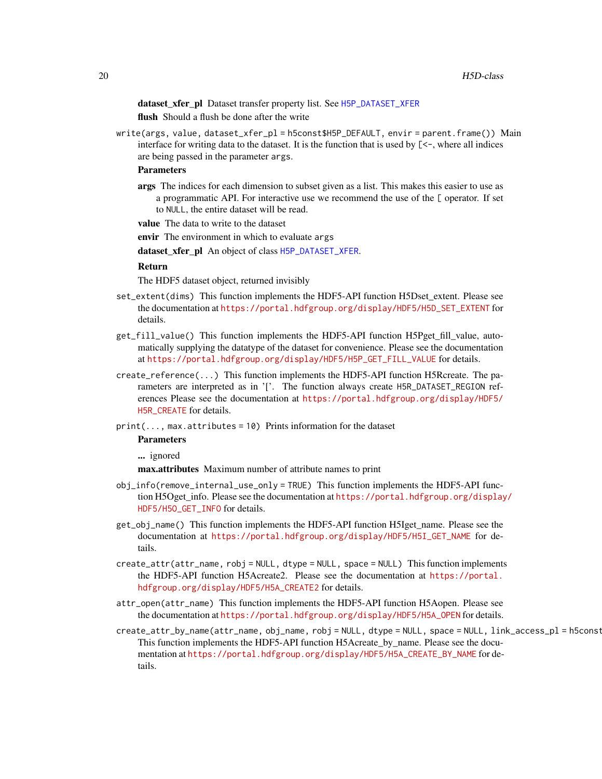dataset\_xfer\_pl Dataset transfer property list. See [H5P\\_DATASET\\_XFER](#page-41-1) flush Should a flush be done after the write

write(args, value, dataset\_xfer\_pl = h5const\$H5P\_DEFAULT, envir = parent.frame()) Main interface for writing data to the dataset. It is the function that is used by  $\lceil \langle -\rangle$ , where all indices are being passed in the parameter args.

#### **Parameters**

args The indices for each dimension to subset given as a list. This makes this easier to use as a programmatic API. For interactive use we recommend the use of the [ operator. If set to NULL, the entire dataset will be read.

value The data to write to the dataset

envir The environment in which to evaluate args

dataset\_xfer\_pl An object of class [H5P\\_DATASET\\_XFER](#page-41-1).

#### Return

The HDF5 dataset object, returned invisibly

- set\_extent(dims) This function implements the HDF5-API function H5Dset\_extent. Please see the documentation at [https://portal.hdfgroup.org/display/HDF5/H5D\\_SET\\_EXTENT](https://portal.hdfgroup.org/display/HDF5/H5D_SET_EXTENT) for details.
- get\_fill\_value() This function implements the HDF5-API function H5Pget\_fill\_value, automatically supplying the datatype of the dataset for convenience. Please see the documentation at [https://portal.hdfgroup.org/display/HDF5/H5P\\_GET\\_FILL\\_VALUE](https://portal.hdfgroup.org/display/HDF5/H5P_GET_FILL_VALUE) for details.
- create\_reference(...) This function implements the HDF5-API function H5Rcreate. The parameters are interpreted as in '['. The function always create H5R\_DATASET\_REGION references Please see the documentation at [https://portal.hdfgroup.org/display/HDF5/](https://portal.hdfgroup.org/display/HDF5/H5R_CREATE) [H5R\\_CREATE](https://portal.hdfgroup.org/display/HDF5/H5R_CREATE) for details.

print(..., max.attributes = 10) Prints information for the dataset

# Parameters

... ignored

max.attributes Maximum number of attribute names to print

- obj\_info(remove\_internal\_use\_only = TRUE) This function implements the HDF5-API function H5Oget\_info. Please see the documentation at [https://portal.hdfgroup.org/display](https://portal.hdfgroup.org/display/HDF5/H5O_GET_INFO)/ [HDF5/H5O\\_GET\\_INFO](https://portal.hdfgroup.org/display/HDF5/H5O_GET_INFO) for details.
- get\_obj\_name() This function implements the HDF5-API function H5Iget\_name. Please see the documentation at [https://portal.hdfgroup.org/display/HDF5/H5I\\_GET\\_NAME](https://portal.hdfgroup.org/display/HDF5/H5I_GET_NAME) for details.
- create\_attr(attr\_name, robj = NULL, dtype = NULL, space = NULL) This function implements the HDF5-API function H5Acreate2. Please see the documentation at [https://portal.](https://portal.hdfgroup.org/display/HDF5/H5A_CREATE2) [hdfgroup.org/display/HDF5/H5A\\_CREATE2](https://portal.hdfgroup.org/display/HDF5/H5A_CREATE2) for details.
- attr\_open(attr\_name) This function implements the HDF5-API function H5Aopen. Please see the documentation at [https://portal.hdfgroup.org/display/HDF5/H5A\\_OPEN](https://portal.hdfgroup.org/display/HDF5/H5A_OPEN) for details.
- create\_attr\_by\_name(attr\_name, obj\_name, robj = NULL, dtype = NULL, space = NULL, link\_access\_pl = h5const This function implements the HDF5-API function H5Acreate\_by\_name. Please see the documentation at [https://portal.hdfgroup.org/display/HDF5/H5A\\_CREATE\\_BY\\_NAME](https://portal.hdfgroup.org/display/HDF5/H5A_CREATE_BY_NAME) for details.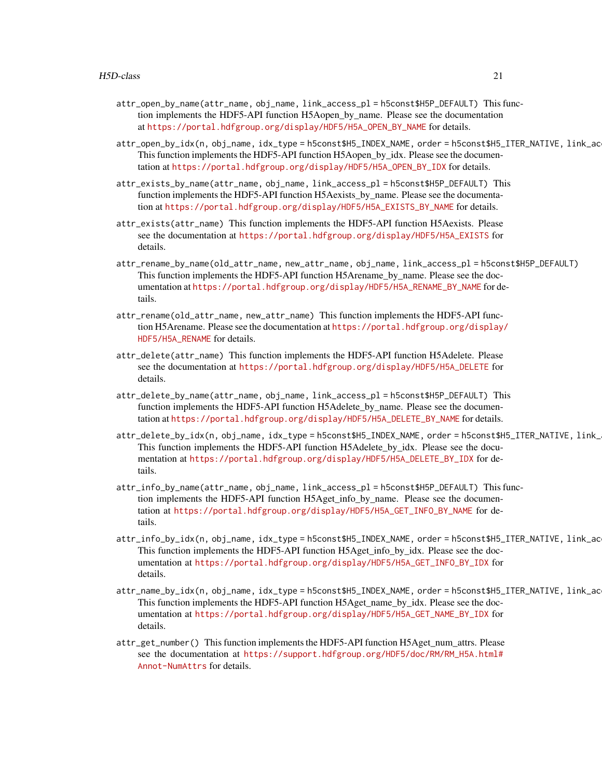- attr\_open\_by\_name(attr\_name, obj\_name, link\_access\_pl = h5const\$H5P\_DEFAULT) This function implements the HDF5-API function H5Aopen\_by\_name. Please see the documentation at [https://portal.hdfgroup.org/display/HDF5/H5A\\_OPEN\\_BY\\_NAME](https://portal.hdfgroup.org/display/HDF5/H5A_OPEN_BY_NAME) for details.
- attr\_open\_by\_idx(n, obj\_name, idx\_type = h5const\$H5\_INDEX\_NAME, order = h5const\$H5\_ITER\_NATIVE, link\_ac This function implements the HDF5-API function H5Aopen\_by\_idx. Please see the documentation at [https://portal.hdfgroup.org/display/HDF5/H5A\\_OPEN\\_BY\\_IDX](https://portal.hdfgroup.org/display/HDF5/H5A_OPEN_BY_IDX) for details.
- attr\_exists\_by\_name(attr\_name, obj\_name, link\_access\_pl = h5const\$H5P\_DEFAULT) This function implements the HDF5-API function H5Aexists\_by\_name. Please see the documentation at [https://portal.hdfgroup.org/display/HDF5/H5A\\_EXISTS\\_BY\\_NAME](https://portal.hdfgroup.org/display/HDF5/H5A_EXISTS_BY_NAME) for details.
- attr\_exists(attr\_name) This function implements the HDF5-API function H5Aexists. Please see the documentation at [https://portal.hdfgroup.org/display/HDF5/H5A\\_EXISTS](https://portal.hdfgroup.org/display/HDF5/H5A_EXISTS) for details.
- attr\_rename\_by\_name(old\_attr\_name, new\_attr\_name, obj\_name, link\_access\_pl = h5const\$H5P\_DEFAULT) This function implements the HDF5-API function H5Arename\_by\_name. Please see the documentation at [https://portal.hdfgroup.org/display/HDF5/H5A\\_RENAME\\_BY\\_NAME](https://portal.hdfgroup.org/display/HDF5/H5A_RENAME_BY_NAME) for details.
- attr\_rename(old\_attr\_name, new\_attr\_name) This function implements the HDF5-API function H5Arename. Please see the documentation at [https://portal.hdfgroup.org/display/](https://portal.hdfgroup.org/display/HDF5/H5A_RENAME) [HDF5/H5A\\_RENAME](https://portal.hdfgroup.org/display/HDF5/H5A_RENAME) for details.
- attr\_delete(attr\_name) This function implements the HDF5-API function H5Adelete. Please see the documentation at [https://portal.hdfgroup.org/display/HDF5/H5A\\_DELETE](https://portal.hdfgroup.org/display/HDF5/H5A_DELETE) for details.
- attr\_delete\_by\_name(attr\_name, obj\_name, link\_access\_pl = h5const\$H5P\_DEFAULT) This function implements the HDF5-API function H5Adelete by name. Please see the documentation at [https://portal.hdfgroup.org/display/HDF5/H5A\\_DELETE\\_BY\\_NAME](https://portal.hdfgroup.org/display/HDF5/H5A_DELETE_BY_NAME) for details.
- attr\_delete\_by\_idx(n, obj\_name, idx\_type = h5const\$H5\_INDEX\_NAME, order = h5const\$H5\_ITER\_NATIVE, link\_ This function implements the HDF5-API function H5Adelete\_by\_idx. Please see the documentation at [https://portal.hdfgroup.org/display/HDF5/H5A\\_DELETE\\_BY\\_IDX](https://portal.hdfgroup.org/display/HDF5/H5A_DELETE_BY_IDX) for details.
- attr\_info\_by\_name(attr\_name, obj\_name, link\_access\_pl = h5const\$H5P\_DEFAULT) This function implements the HDF5-API function H5Aget\_info\_by\_name. Please see the documentation at [https://portal.hdfgroup.org/display/HDF5/H5A\\_GET\\_INFO\\_BY\\_NAME](https://portal.hdfgroup.org/display/HDF5/H5A_GET_INFO_BY_NAME) for details.
- attr\_info\_by\_idx(n, obj\_name, idx\_type = h5const\$H5\_INDEX\_NAME, order = h5const\$H5\_ITER\_NATIVE, link\_ac This function implements the HDF5-API function H5Aget\_info\_by\_idx. Please see the documentation at [https://portal.hdfgroup.org/display/HDF5/H5A\\_GET\\_INFO\\_BY\\_IDX](https://portal.hdfgroup.org/display/HDF5/H5A_GET_INFO_BY_IDX) for details.
- attr\_name\_by\_idx(n, obj\_name, idx\_type = h5const\$H5\_INDEX\_NAME, order = h5const\$H5\_ITER\_NATIVE, link\_ac This function implements the HDF5-API function H5Aget\_name\_by\_idx. Please see the documentation at [https://portal.hdfgroup.org/display/HDF5/H5A\\_GET\\_NAME\\_BY\\_IDX](https://portal.hdfgroup.org/display/HDF5/H5A_GET_NAME_BY_IDX) for details.
- attr\_get\_number() This function implements the HDF5-API function H5Aget\_num\_attrs. Please see the documentation at [https://support.hdfgroup.org/HDF5/doc/RM/RM\\_H5A.html#](https://support.hdfgroup.org/HDF5/doc/RM/RM_H5A.html#Annot-NumAttrs) [Annot-NumAttrs](https://support.hdfgroup.org/HDF5/doc/RM/RM_H5A.html#Annot-NumAttrs) for details.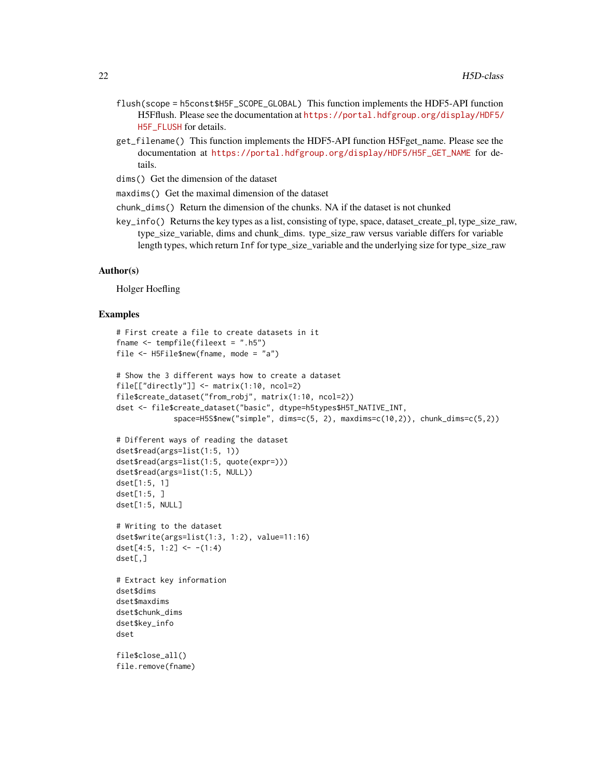- flush(scope = h5const\$H5F\_SCOPE\_GLOBAL) This function implements the HDF5-API function H5Fflush. Please see the documentation at [https://portal.hdfgroup.org/display/HDF5/](https://portal.hdfgroup.org/display/HDF5/H5F_FLUSH) [H5F\\_FLUSH](https://portal.hdfgroup.org/display/HDF5/H5F_FLUSH) for details.
- get\_filename() This function implements the HDF5-API function H5Fget\_name. Please see the documentation at [https://portal.hdfgroup.org/display/HDF5/H5F\\_GET\\_NAME](https://portal.hdfgroup.org/display/HDF5/H5F_GET_NAME) for details.
- dims() Get the dimension of the dataset
- maxdims() Get the maximal dimension of the dataset
- chunk\_dims() Return the dimension of the chunks. NA if the dataset is not chunked
- key\_info() Returns the key types as a list, consisting of type, space, dataset\_create\_pl, type\_size\_raw, type\_size\_variable, dims and chunk\_dims. type\_size\_raw versus variable differs for variable length types, which return Inf for type\_size\_variable and the underlying size for type\_size\_raw

#### Author(s)

Holger Hoefling

#### Examples

```
# First create a file to create datasets in it
fname \le tempfile(fileext = ".h5")
file <- H5File$new(fname, mode = "a")
# Show the 3 different ways how to create a dataset
file[["directly"] <- matrix(1:10, ncol=2)
file$create_dataset("from_robj", matrix(1:10, ncol=2))
dset <- file$create_dataset("basic", dtype=h5types$H5T_NATIVE_INT,
             space=H5S$new("simple", dims=c(5, 2), maxdims=c(10,2)), chunk_dims=c(5,2))
# Different ways of reading the dataset
dset$read(args=list(1:5, 1))
dset$read(args=list(1:5, quote(expr=)))
dset$read(args=list(1:5, NULL))
dset[1:5, 1]
dset[1:5, ]
dset[1:5, NULL]
# Writing to the dataset
dset$write(args=list(1:3, 1:2), value=11:16)
dset[4:5, 1:2] <- -(1:4)dset[,]
# Extract key information
dset$dims
dset$maxdims
dset$chunk_dims
dset$key_info
dset
file$close_all()
file.remove(fname)
```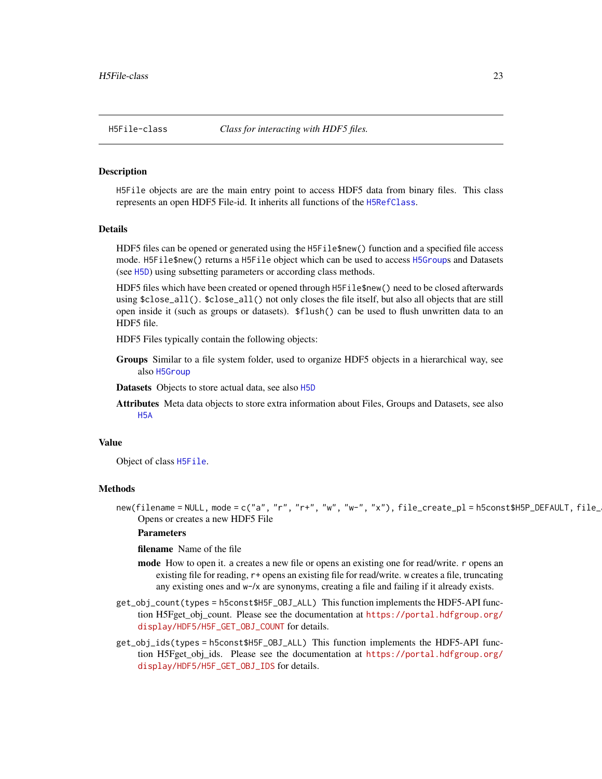<span id="page-22-0"></span>

## <span id="page-22-1"></span>Description

H5File objects are are the main entry point to access HDF5 data from binary files. This class represents an open HDF5 File-id. It inherits all functions of the [H5RefClass](#page-49-1).

#### Details

HDF5 files can be opened or generated using the H5File\$new() function and a specified file access mode. H5File\$new() returns a H5File object which can be used to access [H5Group](#page-29-1)s and Datasets (see [H5D](#page-16-1)) using subsetting parameters or according class methods.

HDF5 files which have been created or opened through H5File\$new() need to be closed afterwards using \$close\_all(). \$close\_all() not only closes the file itself, but also all objects that are still open inside it (such as groups or datasets). \$flush() can be used to flush unwritten data to an HDF5 file.

HDF5 Files typically contain the following objects:

Groups Similar to a file system folder, used to organize HDF5 objects in a hierarchical way, see also [H5Group](#page-29-1)

Datasets Objects to store actual data, see also [H5D](#page-16-1)

Attributes Meta data objects to store extra information about Files, Groups and Datasets, see also [H5A](#page-12-1)

# Value

Object of class [H5File](#page-22-1).

#### Methods

new(filename = NULL, mode = c("a", "r", "r+", "w", "w-", "x"), file\_create\_pl = h5const\$H5P\_DEFAULT, file\_ Opens or creates a new HDF5 File

#### **Parameters**

filename Name of the file

- mode How to open it. a creates a new file or opens an existing one for read/write. r opens an existing file for reading, r+ opens an existing file for read/write. w creates a file, truncating any existing ones and w-/x are synonyms, creating a file and failing if it already exists.
- get\_obj\_count(types = h5const\$H5F\_OBJ\_ALL) This function implements the HDF5-API function H5Fget\_obj\_count. Please see the documentation at [https://portal.hdfgroup.org/](https://portal.hdfgroup.org/display/HDF5/H5F_GET_OBJ_COUNT) [display/HDF5/H5F\\_GET\\_OBJ\\_COUNT](https://portal.hdfgroup.org/display/HDF5/H5F_GET_OBJ_COUNT) for details.
- get\_obj\_ids(types = h5const\$H5F\_OBJ\_ALL) This function implements the HDF5-API function H5Fget\_obj\_ids. Please see the documentation at [https://portal.hdfgroup.org/](https://portal.hdfgroup.org/display/HDF5/H5F_GET_OBJ_IDS) [display/HDF5/H5F\\_GET\\_OBJ\\_IDS](https://portal.hdfgroup.org/display/HDF5/H5F_GET_OBJ_IDS) for details.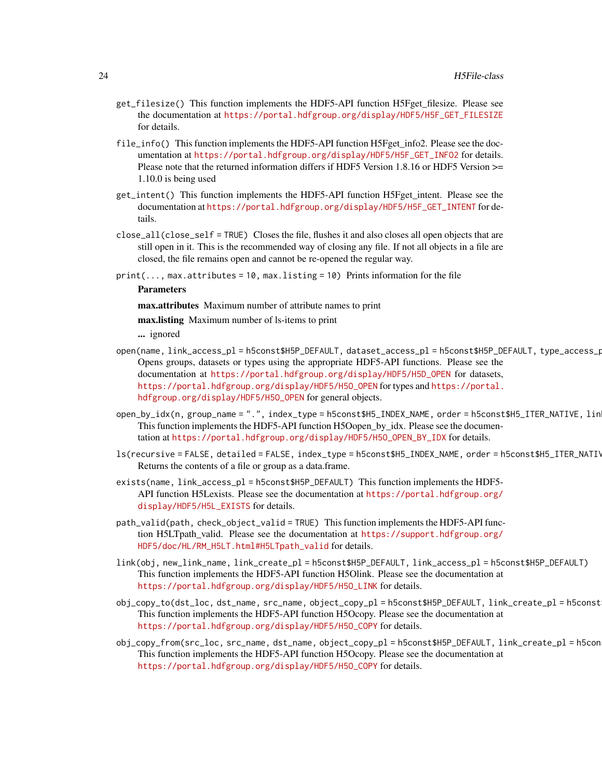- get\_filesize() This function implements the HDF5-API function H5Fget\_filesize. Please see the documentation at [https://portal.hdfgroup.org/display/HDF5/H5F\\_GET\\_FILESIZE](https://portal.hdfgroup.org/display/HDF5/H5F_GET_FILESIZE) for details.
- file\_info() This function implements the HDF5-API function H5Fget\_info2. Please see the documentation at [https://portal.hdfgroup.org/display/HDF5/H5F\\_GET\\_INFO2](https://portal.hdfgroup.org/display/HDF5/H5F_GET_INFO2) for details. Please note that the returned information differs if HDF5 Version 1.8.16 or HDF5 Version >= 1.10.0 is being used
- get\_intent() This function implements the HDF5-API function H5Fget\_intent. Please see the documentation at [https://portal.hdfgroup.org/display/HDF5/H5F\\_GET\\_INTENT](https://portal.hdfgroup.org/display/HDF5/H5F_GET_INTENT) for details.
- close\_all(close\_self = TRUE) Closes the file, flushes it and also closes all open objects that are still open in it. This is the recommended way of closing any file. If not all objects in a file are closed, the file remains open and cannot be re-opened the regular way.
- $print(..., max. attributes = 10, max. listing = 10)$  Prints information for the file

#### Parameters

max.attributes Maximum number of attribute names to print

max.listing Maximum number of ls-items to print

... ignored

- open(name, link\_access\_pl = h5const\$H5P\_DEFAULT, dataset\_access\_pl = h5const\$H5P\_DEFAULT, type\_access\_pl = h5const\$H5P\_DEFAULT) Opens groups, datasets or types using the appropriate HDF5-API functions. Please see the documentation at [https://portal.hdfgroup.org/display/HDF5/H5D\\_OPEN](https://portal.hdfgroup.org/display/HDF5/H5D_OPEN) for datasets, [https://portal.hdfgroup.org/display/HDF5/H5O\\_OPEN](https://portal.hdfgroup.org/display/HDF5/H5O_OPEN) for types and [https://portal.](https://portal.hdfgroup.org/display/HDF5/H5O_OPEN) [hdfgroup.org/display/HDF5/H5O\\_OPEN](https://portal.hdfgroup.org/display/HDF5/H5O_OPEN) for general objects.
- open\_by\_idx(n, group\_name = ".", index\_type = h5const\$H5\_INDEX\_NAME, order = h5const\$H5\_ITER\_NATIVE, lin This function implements the HDF5-API function H5Oopen\_by\_idx. Please see the documentation at [https://portal.hdfgroup.org/display/HDF5/H5O\\_OPEN\\_BY\\_IDX](https://portal.hdfgroup.org/display/HDF5/H5O_OPEN_BY_IDX) for details.
- ls(recursive = FALSE, detailed = FALSE, index\_type = h5const\$H5\_INDEX\_NAME, order = h5const\$H5\_ITER\_NATI\ Returns the contents of a file or group as a data.frame.
- exists(name, link\_access\_pl = h5const\$H5P\_DEFAULT) This function implements the HDF5- API function H5Lexists. Please see the documentation at [https://portal.hdfgroup.org/](https://portal.hdfgroup.org/display/HDF5/H5L_EXISTS) [display/HDF5/H5L\\_EXISTS](https://portal.hdfgroup.org/display/HDF5/H5L_EXISTS) for details.
- path\_valid(path, check\_object\_valid = TRUE) This function implements the HDF5-API function H5LTpath\_valid. Please see the documentation at [https://support.hdfgroup.org/](https://support.hdfgroup.org/HDF5/doc/HL/RM_H5LT.html#H5LTpath_valid) [HDF5/doc/HL/RM\\_H5LT.html#H5LTpath\\_valid](https://support.hdfgroup.org/HDF5/doc/HL/RM_H5LT.html#H5LTpath_valid) for details.
- link(obj, new\_link\_name, link\_create\_pl = h5const\$H5P\_DEFAULT, link\_access\_pl = h5const\$H5P\_DEFAULT) This function implements the HDF5-API function H5Olink. Please see the documentation at [https://portal.hdfgroup.org/display/HDF5/H5O\\_LINK](https://portal.hdfgroup.org/display/HDF5/H5O_LINK) for details.
- obj\_copy\_to(dst\_loc, dst\_name, src\_name, object\_copy\_pl = h5const\$H5P\_DEFAULT, link\_create\_pl = h5const\$H5P\_DEFAULT) This function implements the HDF5-API function H5Ocopy. Please see the documentation at [https://portal.hdfgroup.org/display/HDF5/H5O\\_COPY](https://portal.hdfgroup.org/display/HDF5/H5O_COPY) for details.
- obj\_copy\_from(src\_loc, src\_name, dst\_name, object\_copy\_pl = h5const\$H5P\_DEFAULT, link\_create\_pl = h5const\$H5P\_DEFAULT) This function implements the HDF5-API function H5Ocopy. Please see the documentation at [https://portal.hdfgroup.org/display/HDF5/H5O\\_COPY](https://portal.hdfgroup.org/display/HDF5/H5O_COPY) for details.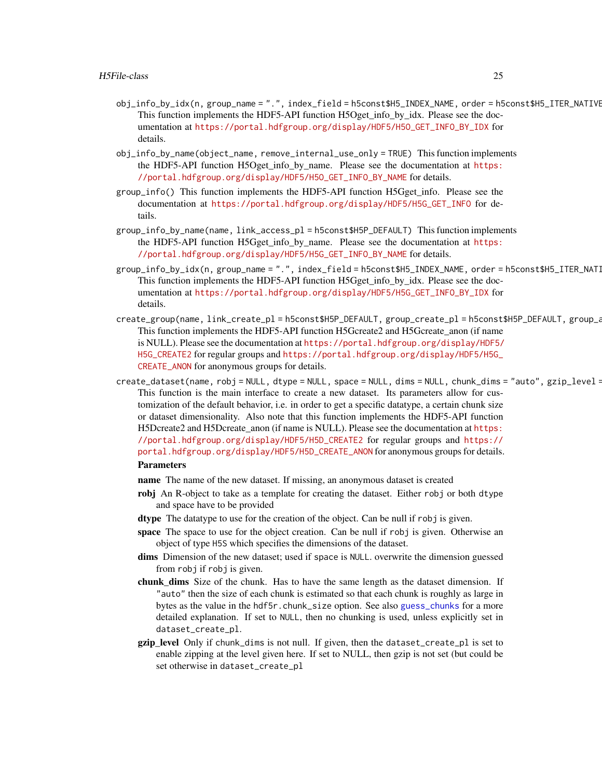- obj\_info\_by\_idx(n, group\_name = ".", index\_field = h5const\$H5\_INDEX\_NAME, order = h5const\$H5\_ITER\_NATIVE This function implements the HDF5-API function H5Oget\_info\_by\_idx. Please see the documentation at [https://portal.hdfgroup.org/display/HDF5/H5O\\_GET\\_INFO\\_BY\\_IDX](https://portal.hdfgroup.org/display/HDF5/H5O_GET_INFO_BY_IDX) for details.
- obj\_info\_by\_name(object\_name, remove\_internal\_use\_only = TRUE) This function implements the HDF5-API function H5Oget\_info\_by\_name. Please see the documentation at [https:](https://portal.hdfgroup.org/display/HDF5/H5O_GET_INFO_BY_NAME) [//portal.hdfgroup.org/display/HDF5/H5O\\_GET\\_INFO\\_BY\\_NAME](https://portal.hdfgroup.org/display/HDF5/H5O_GET_INFO_BY_NAME) for details.
- group\_info() This function implements the HDF5-API function H5Gget\_info. Please see the documentation at [https://portal.hdfgroup.org/display/HDF5/H5G\\_GET\\_INFO](https://portal.hdfgroup.org/display/HDF5/H5G_GET_INFO) for details.
- group\_info\_by\_name(name, link\_access\_pl = h5const\$H5P\_DEFAULT) This function implements the HDF5-API function H5Gget\_info\_by\_name. Please see the documentation at [https:](https://portal.hdfgroup.org/display/HDF5/H5G_GET_INFO_BY_NAME) [//portal.hdfgroup.org/display/HDF5/H5G\\_GET\\_INFO\\_BY\\_NAME](https://portal.hdfgroup.org/display/HDF5/H5G_GET_INFO_BY_NAME) for details.
- group\_info\_by\_idx(n, group\_name = ".", index\_field = h5const\$H5\_INDEX\_NAME, order = h5const\$H5\_ITER\_NATI This function implements the HDF5-API function H5Gget\_info\_by\_idx. Please see the documentation at [https://portal.hdfgroup.org/display/HDF5/H5G\\_GET\\_INFO\\_BY\\_IDX](https://portal.hdfgroup.org/display/HDF5/H5G_GET_INFO_BY_IDX) for details.
- create\_group(name, link\_create\_pl = h5const\$H5P\_DEFAULT, group\_create\_pl = h5const\$H5P\_DEFAULT, group\_a This function implements the HDF5-API function H5Gcreate2 and H5Gcreate anon (if name is NULL). Please see the documentation at [https://portal.hdfgroup.org/display/HDF5/](https://portal.hdfgroup.org/display/HDF5/H5G_CREATE2) [H5G\\_CREATE2](https://portal.hdfgroup.org/display/HDF5/H5G_CREATE2) for regular groups and [https://portal.hdfgroup.org/display/HDF5/H5G\\_](https://portal.hdfgroup.org/display/HDF5/H5G_CREATE_ANON) [CREATE\\_ANON](https://portal.hdfgroup.org/display/HDF5/H5G_CREATE_ANON) for anonymous groups for details.
- create\_dataset(name, robj = NULL, dtype = NULL, space = NULL, dims = NULL, chunk\_dims = "auto", gzip\_level = This function is the main interface to create a new dataset. Its parameters allow for customization of the default behavior, i.e. in order to get a specific datatype, a certain chunk size or dataset dimensionality. Also note that this function implements the HDF5-API function H5Dcreate2 and H5Dcreate anon (if name is NULL). Please see the documentation at [https:](https://portal.hdfgroup.org/display/HDF5/H5D_CREATE2) [//portal.hdfgroup.org/display/HDF5/H5D\\_CREATE2](https://portal.hdfgroup.org/display/HDF5/H5D_CREATE2) for regular groups and [https://](https://portal.hdfgroup.org/display/HDF5/H5D_CREATE_ANON) [portal.hdfgroup.org/display/HDF5/H5D\\_CREATE\\_ANON](https://portal.hdfgroup.org/display/HDF5/H5D_CREATE_ANON) for anonymous groups for details. Parameters
	- name The name of the new dataset. If missing, an anonymous dataset is created
	- robj An R-object to take as a template for creating the dataset. Either robj or both dtype and space have to be provided
	- dtype The datatype to use for the creation of the object. Can be null if robj is given.
	- space The space to use for the object creation. Can be null if robj is given. Otherwise an object of type H5S which specifies the dimensions of the dataset.
	- dims Dimension of the new dataset; used if space is NULL. overwrite the dimension guessed from robj if robj is given.
	- chunk dims Size of the chunk. Has to have the same length as the dataset dimension. If "auto" then the size of each chunk is estimated so that each chunk is roughly as large in bytes as the value in the hdf5r.chunk\_size option. See also [guess\\_chunks](#page-8-1) for a more detailed explanation. If set to NULL, then no chunking is used, unless explicitly set in dataset\_create\_pl.
	- gzip\_level Only if chunk\_dims is not null. If given, then the dataset\_create\_pl is set to enable zipping at the level given here. If set to NULL, then gzip is not set (but could be set otherwise in dataset\_create\_pl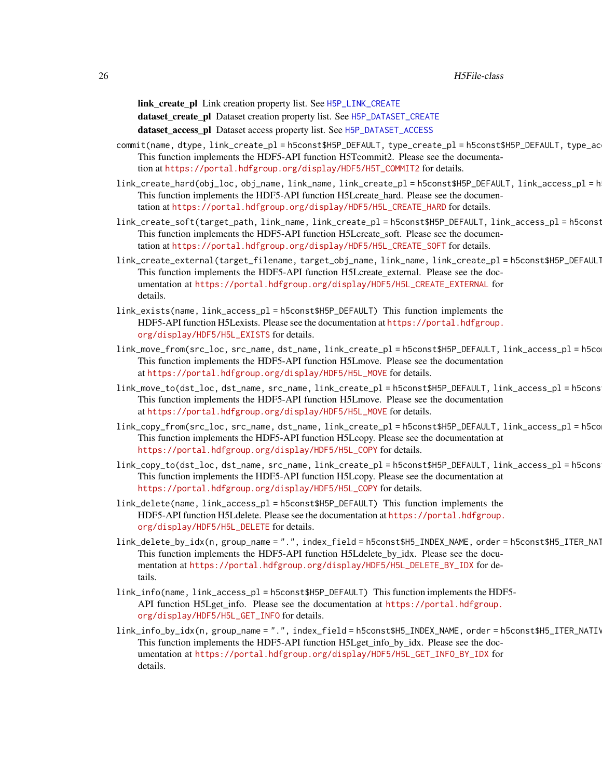link\_create\_pl Link creation property list. See [H5P\\_LINK\\_CREATE](#page-45-1)

dataset\_create\_pl Dataset creation property list. See [H5P\\_DATASET\\_CREATE](#page-39-1)

dataset\_access\_pl Dataset access property list. See [H5P\\_DATASET\\_ACCESS](#page-38-1)

- commit(name, dtype, link\_create\_pl = h5const\$H5P\_DEFAULT, type\_create\_pl = h5const\$H5P\_DEFAULT, type\_ac This function implements the HDF5-API function H5Tcommit2. Please see the documentation at [https://portal.hdfgroup.org/display/HDF5/H5T\\_COMMIT2](https://portal.hdfgroup.org/display/HDF5/H5T_COMMIT2) for details.
- link\_create\_hard(obj\_loc, obj\_name, link\_name, link\_create\_pl = h5const\$H5P\_DEFAULT, link\_access\_pl = h5const\$H5P\_DEFAULT) This function implements the HDF5-API function H5Lcreate\_hard. Please see the documentation at [https://portal.hdfgroup.org/display/HDF5/H5L\\_CREATE\\_HARD](https://portal.hdfgroup.org/display/HDF5/H5L_CREATE_HARD) for details.
- link\_create\_soft(target\_path, link\_name, link\_create\_pl = h5const\$H5P\_DEFAULT, link\_access\_pl = h5const This function implements the HDF5-API function H5Lcreate soft. Please see the documentation at [https://portal.hdfgroup.org/display/HDF5/H5L\\_CREATE\\_SOFT](https://portal.hdfgroup.org/display/HDF5/H5L_CREATE_SOFT) for details.
- link\_create\_external(target\_filename, target\_obj\_name, link\_name, link\_create\_pl = h5const\$H5P\_DEFAULT, link\_access\_pl = h5const\$H5P\_DEFAULT) This function implements the HDF5-API function H5Lcreate\_external. Please see the documentation at [https://portal.hdfgroup.org/display/HDF5/H5L\\_CREATE\\_EXTERNAL](https://portal.hdfgroup.org/display/HDF5/H5L_CREATE_EXTERNAL) for details.
- link\_exists(name, link\_access\_pl = h5const\$H5P\_DEFAULT) This function implements the HDF5-API function H5Lexists. Please see the documentation at [https://portal.hdfgroup.](https://portal.hdfgroup.org/display/HDF5/H5L_EXISTS) [org/display/HDF5/H5L\\_EXISTS](https://portal.hdfgroup.org/display/HDF5/H5L_EXISTS) for details.
- link\_move\_from(src\_loc, src\_name, dst\_name, link\_create\_pl = h5const\$H5P\_DEFAULT, link\_access\_pl = h5const\$H5P\_DEFAULT) This function implements the HDF5-API function H5Lmove. Please see the documentation at [https://portal.hdfgroup.org/display/HDF5/H5L\\_MOVE](https://portal.hdfgroup.org/display/HDF5/H5L_MOVE) for details.
- link\_move\_to(dst\_loc, dst\_name, src\_name, link\_create\_pl = h5const\$H5P\_DEFAULT, link\_access\_pl = h5cons This function implements the HDF5-API function H5Lmove. Please see the documentation at [https://portal.hdfgroup.org/display/HDF5/H5L\\_MOVE](https://portal.hdfgroup.org/display/HDF5/H5L_MOVE) for details.
- link\_copy\_from(src\_loc, src\_name, dst\_name, link\_create\_pl = h5const\$H5P\_DEFAULT, link\_access\_pl = h5const\$H5P\_DEFAULT) This function implements the HDF5-API function H5Lcopy. Please see the documentation at [https://portal.hdfgroup.org/display/HDF5/H5L\\_COPY](https://portal.hdfgroup.org/display/HDF5/H5L_COPY) for details.
- link\_copy\_to(dst\_loc, dst\_name, src\_name, link\_create\_pl = h5const\$H5P\_DEFAULT, link\_access\_pl = h5const\$H5P\_DEFAULT) This function implements the HDF5-API function H5Lcopy. Please see the documentation at [https://portal.hdfgroup.org/display/HDF5/H5L\\_COPY](https://portal.hdfgroup.org/display/HDF5/H5L_COPY) for details.
- link\_delete(name, link\_access\_pl = h5const\$H5P\_DEFAULT) This function implements the HDF5-API function H5Ldelete. Please see the documentation at [https://portal.hdfgroup.](https://portal.hdfgroup.org/display/HDF5/H5L_DELETE) [org/display/HDF5/H5L\\_DELETE](https://portal.hdfgroup.org/display/HDF5/H5L_DELETE) for details.
- link\_delete\_by\_idx(n, group\_name = ".", index\_field = h5const\$H5\_INDEX\_NAME, order = h5const\$H5\_ITER\_NAT This function implements the HDF5-API function H5Ldelete\_by\_idx. Please see the documentation at [https://portal.hdfgroup.org/display/HDF5/H5L\\_DELETE\\_BY\\_IDX](https://portal.hdfgroup.org/display/HDF5/H5L_DELETE_BY_IDX) for details.
- link\_info(name, link\_access\_pl = h5const\$H5P\_DEFAULT) This function implements the HDF5- API function H5Lget\_info. Please see the documentation at [https://portal.hdfgroup.](https://portal.hdfgroup.org/display/HDF5/H5L_GET_INFO) [org/display/HDF5/H5L\\_GET\\_INFO](https://portal.hdfgroup.org/display/HDF5/H5L_GET_INFO) for details.
- link\_info\_by\_idx(n, group\_name = ".", index\_field = h5const\$H5\_INDEX\_NAME, order = h5const\$H5\_ITER\_NATIV This function implements the HDF5-API function H5Lget\_info\_by\_idx. Please see the documentation at [https://portal.hdfgroup.org/display/HDF5/H5L\\_GET\\_INFO\\_BY\\_IDX](https://portal.hdfgroup.org/display/HDF5/H5L_GET_INFO_BY_IDX) for details.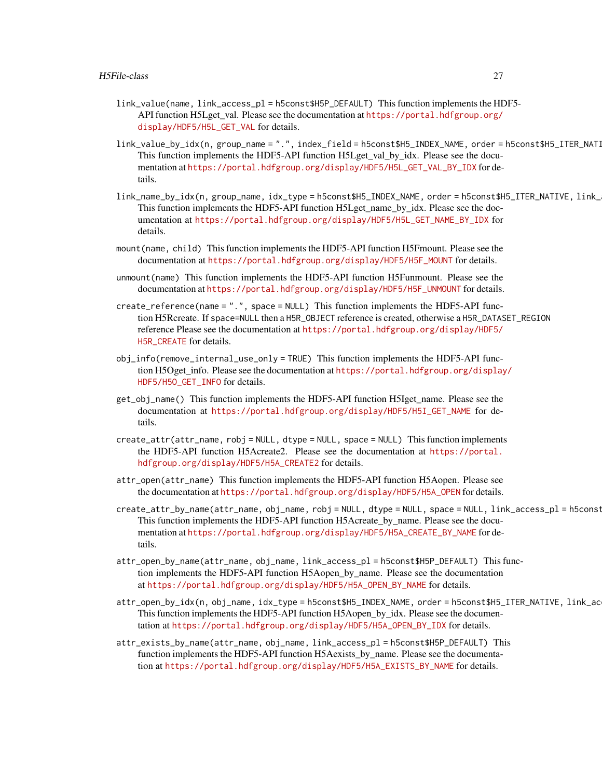- link\_value(name, link\_access\_pl = h5const\$H5P\_DEFAULT) This function implements the HDF5 API function H5Lget val. Please see the documentation at [https://portal.hdfgroup.org/](https://portal.hdfgroup.org/display/HDF5/H5L_GET_VAL) [display/HDF5/H5L\\_GET\\_VAL](https://portal.hdfgroup.org/display/HDF5/H5L_GET_VAL) for details.
- link\_value\_by\_idx(n, group\_name = ".", index\_field = h5const\$H5\_INDEX\_NAME, order = h5const\$H5\_ITER\_NATI This function implements the HDF5-API function H5Lget\_val\_by\_idx. Please see the documentation at [https://portal.hdfgroup.org/display/HDF5/H5L\\_GET\\_VAL\\_BY\\_IDX](https://portal.hdfgroup.org/display/HDF5/H5L_GET_VAL_BY_IDX) for details.
- link\_name\_by\_idx(n, group\_name, idx\_type = h5const\$H5\_INDEX\_NAME, order = h5const\$H5\_ITER\_NATIVE, link\_ This function implements the HDF5-API function H5Lget\_name\_by\_idx. Please see the documentation at [https://portal.hdfgroup.org/display/HDF5/H5L\\_GET\\_NAME\\_BY\\_IDX](https://portal.hdfgroup.org/display/HDF5/H5L_GET_NAME_BY_IDX) for details.
- mount(name, child) This function implements the HDF5-API function H5Fmount. Please see the documentation at [https://portal.hdfgroup.org/display/HDF5/H5F\\_MOUNT](https://portal.hdfgroup.org/display/HDF5/H5F_MOUNT) for details.
- unmount(name) This function implements the HDF5-API function H5Funmount. Please see the documentation at [https://portal.hdfgroup.org/display/HDF5/H5F\\_UNMOUNT](https://portal.hdfgroup.org/display/HDF5/H5F_UNMOUNT) for details.
- create\_reference(name = ".", space = NULL) This function implements the HDF5-API function H5Rcreate. If space=NULL then a H5R\_OBJECT reference is created, otherwise a H5R\_DATASET\_REGION reference Please see the documentation at [https://portal.hdfgroup.org/display/HDF5/](https://portal.hdfgroup.org/display/HDF5/H5R_CREATE) [H5R\\_CREATE](https://portal.hdfgroup.org/display/HDF5/H5R_CREATE) for details.
- obj\_info(remove\_internal\_use\_only = TRUE) This function implements the HDF5-API function H5Oget\_info. Please see the documentation at [https://portal.hdfgroup.org/display](https://portal.hdfgroup.org/display/HDF5/H5O_GET_INFO)/ [HDF5/H5O\\_GET\\_INFO](https://portal.hdfgroup.org/display/HDF5/H5O_GET_INFO) for details.
- get\_obj\_name() This function implements the HDF5-API function H5Iget\_name. Please see the documentation at [https://portal.hdfgroup.org/display/HDF5/H5I\\_GET\\_NAME](https://portal.hdfgroup.org/display/HDF5/H5I_GET_NAME) for details.
- create\_attr(attr\_name, robj = NULL, dtype = NULL, space = NULL) This function implements the HDF5-API function H5Acreate2. Please see the documentation at [https://portal.](https://portal.hdfgroup.org/display/HDF5/H5A_CREATE2) [hdfgroup.org/display/HDF5/H5A\\_CREATE2](https://portal.hdfgroup.org/display/HDF5/H5A_CREATE2) for details.
- attr\_open(attr\_name) This function implements the HDF5-API function H5Aopen. Please see the documentation at [https://portal.hdfgroup.org/display/HDF5/H5A\\_OPEN](https://portal.hdfgroup.org/display/HDF5/H5A_OPEN) for details.
- create\_attr\_by\_name(attr\_name, obj\_name, robj = NULL, dtype = NULL, space = NULL, link\_access\_pl = h5const This function implements the HDF5-API function H5Acreate\_by\_name. Please see the documentation at [https://portal.hdfgroup.org/display/HDF5/H5A\\_CREATE\\_BY\\_NAME](https://portal.hdfgroup.org/display/HDF5/H5A_CREATE_BY_NAME) for details.
- attr\_open\_by\_name(attr\_name, obj\_name, link\_access\_pl = h5const\$H5P\_DEFAULT) This function implements the HDF5-API function H5Aopen\_by\_name. Please see the documentation at [https://portal.hdfgroup.org/display/HDF5/H5A\\_OPEN\\_BY\\_NAME](https://portal.hdfgroup.org/display/HDF5/H5A_OPEN_BY_NAME) for details.
- attr\_open\_by\_idx(n, obj\_name, idx\_type = h5const\$H5\_INDEX\_NAME, order = h5const\$H5\_ITER\_NATIVE, link\_ac This function implements the HDF5-API function H5Aopen\_by\_idx. Please see the documentation at [https://portal.hdfgroup.org/display/HDF5/H5A\\_OPEN\\_BY\\_IDX](https://portal.hdfgroup.org/display/HDF5/H5A_OPEN_BY_IDX) for details.
- attr\_exists\_by\_name(attr\_name, obj\_name, link\_access\_pl = h5const\$H5P\_DEFAULT) This function implements the HDF5-API function H5Aexists\_by\_name. Please see the documentation at [https://portal.hdfgroup.org/display/HDF5/H5A\\_EXISTS\\_BY\\_NAME](https://portal.hdfgroup.org/display/HDF5/H5A_EXISTS_BY_NAME) for details.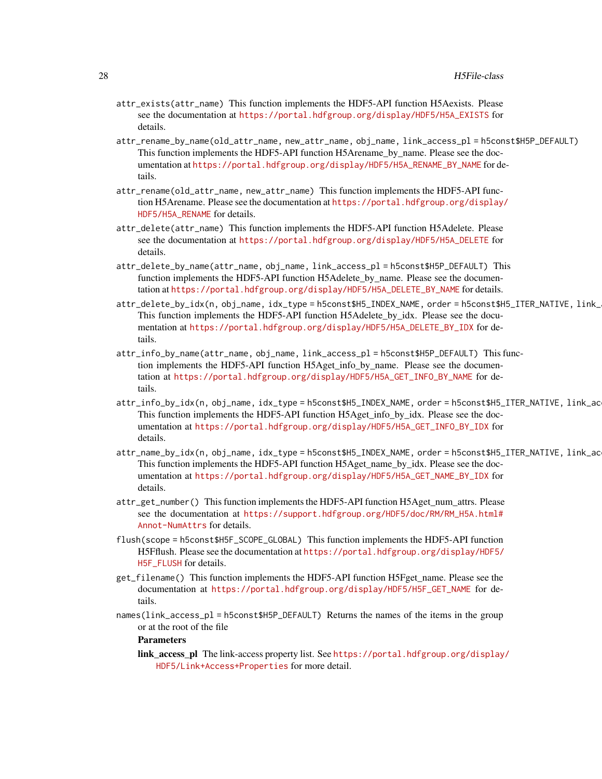- attr\_exists(attr\_name) This function implements the HDF5-API function H5Aexists. Please see the documentation at [https://portal.hdfgroup.org/display/HDF5/H5A\\_EXISTS](https://portal.hdfgroup.org/display/HDF5/H5A_EXISTS) for details.
- attr\_rename\_by\_name(old\_attr\_name, new\_attr\_name, obj\_name, link\_access\_pl = h5const\$H5P\_DEFAULT) This function implements the HDF5-API function H5Arename\_by\_name. Please see the documentation at [https://portal.hdfgroup.org/display/HDF5/H5A\\_RENAME\\_BY\\_NAME](https://portal.hdfgroup.org/display/HDF5/H5A_RENAME_BY_NAME) for details.
- attr\_rename(old\_attr\_name, new\_attr\_name) This function implements the HDF5-API function H5Arename. Please see the documentation at [https://portal.hdfgroup.org/display/](https://portal.hdfgroup.org/display/HDF5/H5A_RENAME) [HDF5/H5A\\_RENAME](https://portal.hdfgroup.org/display/HDF5/H5A_RENAME) for details.
- attr\_delete(attr\_name) This function implements the HDF5-API function H5Adelete. Please see the documentation at [https://portal.hdfgroup.org/display/HDF5/H5A\\_DELETE](https://portal.hdfgroup.org/display/HDF5/H5A_DELETE) for details.
- attr\_delete\_by\_name(attr\_name, obj\_name, link\_access\_pl = h5const\$H5P\_DEFAULT) This function implements the HDF5-API function H5Adelete by name. Please see the documentation at [https://portal.hdfgroup.org/display/HDF5/H5A\\_DELETE\\_BY\\_NAME](https://portal.hdfgroup.org/display/HDF5/H5A_DELETE_BY_NAME) for details.
- attr\_delete\_by\_idx(n, obj\_name, idx\_type = h5const\$H5\_INDEX\_NAME, order = h5const\$H5\_ITER\_NATIVE, link\_ This function implements the HDF5-API function H5Adelete\_by\_idx. Please see the documentation at [https://portal.hdfgroup.org/display/HDF5/H5A\\_DELETE\\_BY\\_IDX](https://portal.hdfgroup.org/display/HDF5/H5A_DELETE_BY_IDX) for details.
- attr\_info\_by\_name(attr\_name, obj\_name, link\_access\_pl = h5const\$H5P\_DEFAULT) This function implements the HDF5-API function H5Aget\_info\_by\_name. Please see the documentation at [https://portal.hdfgroup.org/display/HDF5/H5A\\_GET\\_INFO\\_BY\\_NAME](https://portal.hdfgroup.org/display/HDF5/H5A_GET_INFO_BY_NAME) for details.
- attr\_info\_by\_idx(n, obj\_name, idx\_type = h5const\$H5\_INDEX\_NAME, order = h5const\$H5\_ITER\_NATIVE, link\_ac This function implements the HDF5-API function H5Aget\_info\_by\_idx. Please see the documentation at [https://portal.hdfgroup.org/display/HDF5/H5A\\_GET\\_INFO\\_BY\\_IDX](https://portal.hdfgroup.org/display/HDF5/H5A_GET_INFO_BY_IDX) for details.
- attr\_name\_by\_idx(n, obj\_name, idx\_type = h5const\$H5\_INDEX\_NAME, order = h5const\$H5\_ITER\_NATIVE, link\_ac This function implements the HDF5-API function H5Aget\_name\_by\_idx. Please see the documentation at [https://portal.hdfgroup.org/display/HDF5/H5A\\_GET\\_NAME\\_BY\\_IDX](https://portal.hdfgroup.org/display/HDF5/H5A_GET_NAME_BY_IDX) for details.
- attr\_get\_number() This function implements the HDF5-API function H5Aget\_num\_attrs. Please see the documentation at [https://support.hdfgroup.org/HDF5/doc/RM/RM\\_H5A.html#](https://support.hdfgroup.org/HDF5/doc/RM/RM_H5A.html#Annot-NumAttrs) [Annot-NumAttrs](https://support.hdfgroup.org/HDF5/doc/RM/RM_H5A.html#Annot-NumAttrs) for details.
- flush(scope = h5const\$H5F\_SCOPE\_GLOBAL) This function implements the HDF5-API function H5Fflush. Please see the documentation at [https://portal.hdfgroup.org/display/HDF5/](https://portal.hdfgroup.org/display/HDF5/H5F_FLUSH) [H5F\\_FLUSH](https://portal.hdfgroup.org/display/HDF5/H5F_FLUSH) for details.
- get\_filename() This function implements the HDF5-API function H5Fget\_name. Please see the documentation at [https://portal.hdfgroup.org/display/HDF5/H5F\\_GET\\_NAME](https://portal.hdfgroup.org/display/HDF5/H5F_GET_NAME) for details.
- names(link\_access\_pl = h5const\$H5P\_DEFAULT) Returns the names of the items in the group or at the root of the file

#### Parameters

link\_access\_pl The link-access property list. See [https://portal.hdfgroup.org/display](https://portal.hdfgroup.org/display/HDF5/Link+Access+Properties)/ [HDF5/Link+Access+Properties](https://portal.hdfgroup.org/display/HDF5/Link+Access+Properties) for more detail.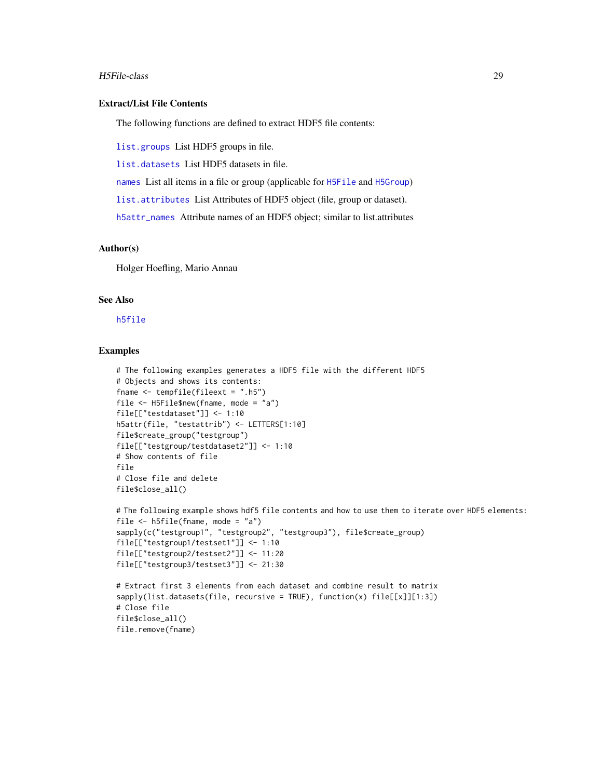#### H5File-class 29

# Extract/List File Contents

The following functions are defined to extract HDF5 file contents:

[list.groups](#page-73-1) List HDF5 groups in file.

[list.datasets](#page-73-1) List HDF5 datasets in file.

[names](#page-0-0) List all items in a file or group (applicable for [H5File](#page-22-1) and [H5Group](#page-29-1))

[list.attributes](#page-10-1) List Attributes of HDF5 object (file, group or dataset).

[h5attr\\_names](#page-14-2) Attribute names of an HDF5 object; similar to list.attributes

# Author(s)

Holger Hoefling, Mario Annau

# See Also

[h5file](#page-10-1)

# Examples

```
# The following examples generates a HDF5 file with the different HDF5
# Objects and shows its contents:
fname \le tempfile(fileext = ".h5")
file <- H5File$new(fname, mode = "a")
file[["testdataset"]] <- 1:10
h5attr(file, "testattrib") <- LETTERS[1:10]
file$create_group("testgroup")
file[["testgroup/testdataset2"]] <- 1:10
# Show contents of file
file
# Close file and delete
file$close_all()
```

```
# The following example shows hdf5 file contents and how to use them to iterate over HDF5 elements:
file \leq h5file(fname, mode = "a")
sapply(c("testgroup1", "testgroup2", "testgroup3"), file$create_group)
file[["testgroup1/testset1"]] <- 1:10
file[["testgroup2/testset2"]] <- 11:20
file[["testgroup3/testset3"]] <- 21:30
# Extract first 3 elements from each dataset and combine result to matrix
sapply(list.datasets(file, recursive = TRUE), function(x) file[[x]][1:3])# Close file
```

```
file$close_all()
file.remove(fname)
```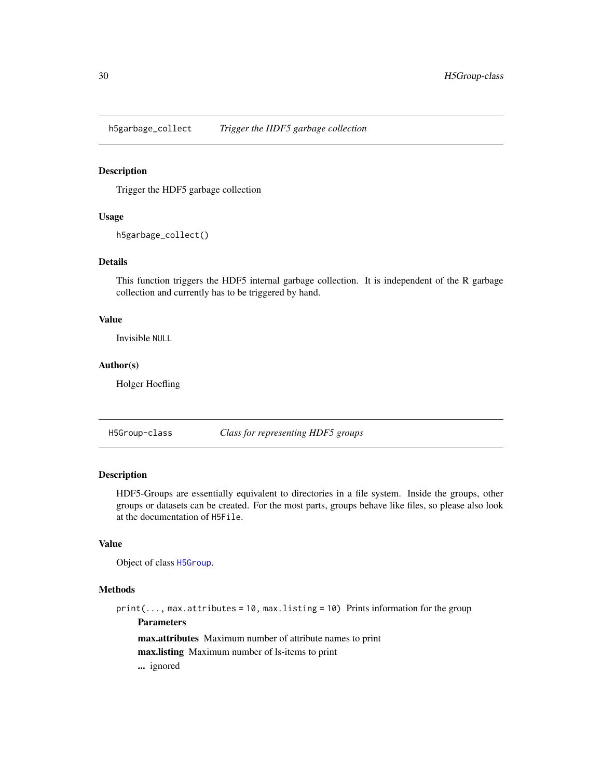<span id="page-29-0"></span>h5garbage\_collect *Trigger the HDF5 garbage collection*

#### Description

Trigger the HDF5 garbage collection

# Usage

h5garbage\_collect()

#### Details

This function triggers the HDF5 internal garbage collection. It is independent of the R garbage collection and currently has to be triggered by hand.

# Value

Invisible NULL

# Author(s)

Holger Hoefling

H5Group-class *Class for representing HDF5 groups*

# <span id="page-29-1"></span>Description

HDF5-Groups are essentially equivalent to directories in a file system. Inside the groups, other groups or datasets can be created. For the most parts, groups behave like files, so please also look at the documentation of H5File.

# Value

Object of class [H5Group](#page-29-1).

# Methods

 $print(..., max. attributes = 10, max. listing = 10)$  Prints information for the group Parameters max.attributes Maximum number of attribute names to print max.listing Maximum number of ls-items to print

... ignored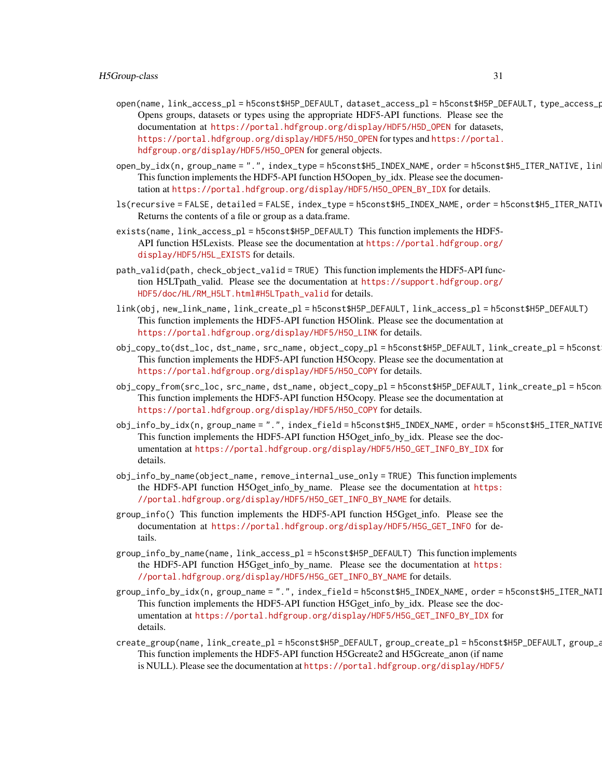- open(name, link\_access\_pl = h5const\$H5P\_DEFAULT, dataset\_access\_pl = h5const\$H5P\_DEFAULT, type\_access\_pl = h5const\$H5P\_DEFAULT) Opens groups, datasets or types using the appropriate HDF5-API functions. Please see the documentation at [https://portal.hdfgroup.org/display/HDF5/H5D\\_OPEN](https://portal.hdfgroup.org/display/HDF5/H5D_OPEN) for datasets, [https://portal.hdfgroup.org/display/HDF5/H5O\\_OPEN](https://portal.hdfgroup.org/display/HDF5/H5O_OPEN) for types and [https://portal.](https://portal.hdfgroup.org/display/HDF5/H5O_OPEN) [hdfgroup.org/display/HDF5/H5O\\_OPEN](https://portal.hdfgroup.org/display/HDF5/H5O_OPEN) for general objects.
- open\_by\_idx(n, group\_name = ".", index\_type = h5const\$H5\_INDEX\_NAME, order = h5const\$H5\_ITER\_NATIVE, lin This function implements the HDF5-API function H5Oopen\_by\_idx. Please see the documentation at [https://portal.hdfgroup.org/display/HDF5/H5O\\_OPEN\\_BY\\_IDX](https://portal.hdfgroup.org/display/HDF5/H5O_OPEN_BY_IDX) for details.
- ls(recursive = FALSE, detailed = FALSE, index\_type = h5const\$H5\_INDEX\_NAME, order = h5const\$H5\_ITER\_NATI\ Returns the contents of a file or group as a data.frame.
- exists(name, link\_access\_pl = h5const\$H5P\_DEFAULT) This function implements the HDF5- API function H5Lexists. Please see the documentation at [https://portal.hdfgroup.org/](https://portal.hdfgroup.org/display/HDF5/H5L_EXISTS) [display/HDF5/H5L\\_EXISTS](https://portal.hdfgroup.org/display/HDF5/H5L_EXISTS) for details.
- path\_valid(path, check\_object\_valid = TRUE) This function implements the HDF5-API function H5LTpath\_valid. Please see the documentation at [https://support.hdfgroup.org/](https://support.hdfgroup.org/HDF5/doc/HL/RM_H5LT.html#H5LTpath_valid) [HDF5/doc/HL/RM\\_H5LT.html#H5LTpath\\_valid](https://support.hdfgroup.org/HDF5/doc/HL/RM_H5LT.html#H5LTpath_valid) for details.
- link(obj, new\_link\_name, link\_create\_pl = h5const\$H5P\_DEFAULT, link\_access\_pl = h5const\$H5P\_DEFAULT) This function implements the HDF5-API function H5Olink. Please see the documentation at [https://portal.hdfgroup.org/display/HDF5/H5O\\_LINK](https://portal.hdfgroup.org/display/HDF5/H5O_LINK) for details.
- obj\_copy\_to(dst\_loc, dst\_name, src\_name, object\_copy\_pl = h5const\$H5P\_DEFAULT, link\_create\_pl = h5const\$H5P\_DEFAULT) This function implements the HDF5-API function H5Ocopy. Please see the documentation at [https://portal.hdfgroup.org/display/HDF5/H5O\\_COPY](https://portal.hdfgroup.org/display/HDF5/H5O_COPY) for details.
- obj\_copy\_from(src\_loc, src\_name, dst\_name, object\_copy\_pl = h5const\$H5P\_DEFAULT, link\_create\_pl = h5const\$H5P\_DEFAULT) This function implements the HDF5-API function H5Ocopy. Please see the documentation at [https://portal.hdfgroup.org/display/HDF5/H5O\\_COPY](https://portal.hdfgroup.org/display/HDF5/H5O_COPY) for details.
- obj\_info\_by\_idx(n, group\_name = ".", index\_field = h5const\$H5\_INDEX\_NAME, order = h5const\$H5\_ITER\_NATIVE This function implements the HDF5-API function H5Oget\_info\_by\_idx. Please see the documentation at [https://portal.hdfgroup.org/display/HDF5/H5O\\_GET\\_INFO\\_BY\\_IDX](https://portal.hdfgroup.org/display/HDF5/H5O_GET_INFO_BY_IDX) for details.
- obj\_info\_by\_name(object\_name, remove\_internal\_use\_only = TRUE) This function implements the HDF5-API function H5Oget\_info\_by\_name. Please see the documentation at [https:](https://portal.hdfgroup.org/display/HDF5/H5O_GET_INFO_BY_NAME) [//portal.hdfgroup.org/display/HDF5/H5O\\_GET\\_INFO\\_BY\\_NAME](https://portal.hdfgroup.org/display/HDF5/H5O_GET_INFO_BY_NAME) for details.
- group\_info() This function implements the HDF5-API function H5Gget\_info. Please see the documentation at [https://portal.hdfgroup.org/display/HDF5/H5G\\_GET\\_INFO](https://portal.hdfgroup.org/display/HDF5/H5G_GET_INFO) for details.
- group\_info\_by\_name(name, link\_access\_pl = h5const\$H5P\_DEFAULT) This function implements the HDF5-API function H5Gget\_info\_by\_name. Please see the documentation at [https:](https://portal.hdfgroup.org/display/HDF5/H5G_GET_INFO_BY_NAME) [//portal.hdfgroup.org/display/HDF5/H5G\\_GET\\_INFO\\_BY\\_NAME](https://portal.hdfgroup.org/display/HDF5/H5G_GET_INFO_BY_NAME) for details.
- group\_info\_by\_idx(n, group\_name = ".", index\_field = h5const\$H5\_INDEX\_NAME, order = h5const\$H5\_ITER\_NAT] This function implements the HDF5-API function H5Gget\_info\_by\_idx. Please see the documentation at [https://portal.hdfgroup.org/display/HDF5/H5G\\_GET\\_INFO\\_BY\\_IDX](https://portal.hdfgroup.org/display/HDF5/H5G_GET_INFO_BY_IDX) for details.
- create\_group(name, link\_create\_pl = h5const\$H5P\_DEFAULT, group\_create\_pl = h5const\$H5P\_DEFAULT, group\_a This function implements the HDF5-API function H5Gcreate2 and H5Gcreate\_anon (if name is NULL). Please see the documentation at [https://portal.hdfgroup.org/display/HDF5/](https://portal.hdfgroup.org/display/HDF5/H5G_CREATE2)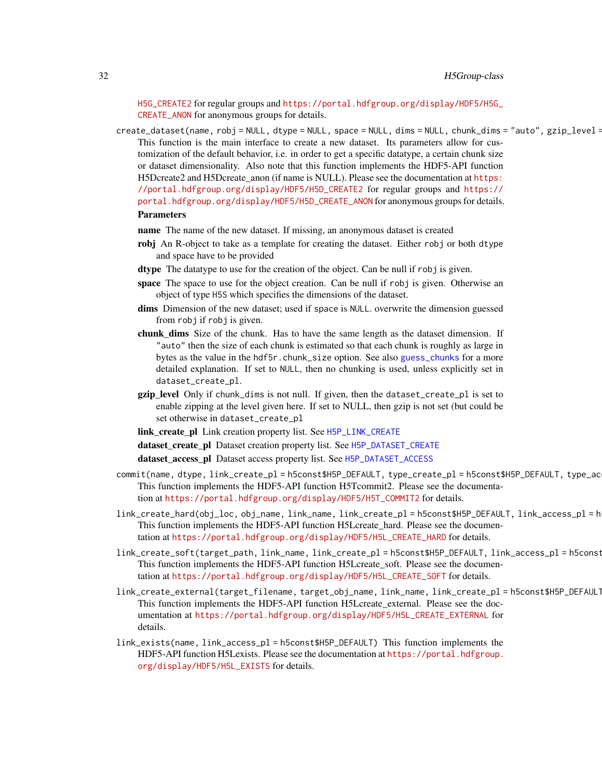[H5G\\_CREATE2](https://portal.hdfgroup.org/display/HDF5/H5G_CREATE2) for regular groups and [https://portal.hdfgroup.org/display/HDF5/H5G\\_](https://portal.hdfgroup.org/display/HDF5/H5G_CREATE_ANON) [CREATE\\_ANON](https://portal.hdfgroup.org/display/HDF5/H5G_CREATE_ANON) for anonymous groups for details.

create\_dataset(name, robj = NULL, dtype = NULL, space = NULL, dims = NULL, chunk\_dims = "auto", gzip\_level = This function is the main interface to create a new dataset. Its parameters allow for customization of the default behavior, i.e. in order to get a specific datatype, a certain chunk size or dataset dimensionality. Also note that this function implements the HDF5-API function H5Dcreate2 and H5Dcreate\_anon (if name is NULL). Please see the documentation at [https:](https://portal.hdfgroup.org/display/HDF5/H5D_CREATE2) [//portal.hdfgroup.org/display/HDF5/H5D\\_CREATE2](https://portal.hdfgroup.org/display/HDF5/H5D_CREATE2) for regular groups and [https://](https://portal.hdfgroup.org/display/HDF5/H5D_CREATE_ANON) [portal.hdfgroup.org/display/HDF5/H5D\\_CREATE\\_ANON](https://portal.hdfgroup.org/display/HDF5/H5D_CREATE_ANON) for anonymous groups for details.

#### Parameters

- name The name of the new dataset. If missing, an anonymous dataset is created
- robj An R-object to take as a template for creating the dataset. Either robj or both dtype and space have to be provided
- dtype The datatype to use for the creation of the object. Can be null if robj is given.
- space The space to use for the object creation. Can be null if robj is given. Otherwise an object of type H5S which specifies the dimensions of the dataset.
- dims Dimension of the new dataset; used if space is NULL. overwrite the dimension guessed from robj if robj is given.
- chunk\_dims Size of the chunk. Has to have the same length as the dataset dimension. If "auto" then the size of each chunk is estimated so that each chunk is roughly as large in bytes as the value in the hdf5r.chunk\_size option. See also [guess\\_chunks](#page-8-1) for a more detailed explanation. If set to NULL, then no chunking is used, unless explicitly set in dataset\_create\_pl.
- gzip\_level Only if chunk\_dims is not null. If given, then the dataset\_create\_pl is set to enable zipping at the level given here. If set to NULL, then gzip is not set (but could be set otherwise in dataset\_create\_pl
- link\_create\_pl Link creation property list. See [H5P\\_LINK\\_CREATE](#page-45-1)
- dataset\_create\_pl Dataset creation property list. See [H5P\\_DATASET\\_CREATE](#page-39-1)

dataset\_access\_pl Dataset access property list. See [H5P\\_DATASET\\_ACCESS](#page-38-1)

- commit(name, dtype, link\_create\_pl = h5const\$H5P\_DEFAULT, type\_create\_pl = h5const\$H5P\_DEFAULT, type\_ac This function implements the HDF5-API function H5Tcommit2. Please see the documentation at [https://portal.hdfgroup.org/display/HDF5/H5T\\_COMMIT2](https://portal.hdfgroup.org/display/HDF5/H5T_COMMIT2) for details.
- link\_create\_hard(obj\_loc, obj\_name, link\_name, link\_create\_pl = h5const\$H5P\_DEFAULT, link\_access\_pl = h This function implements the HDF5-API function H5Lcreate\_hard. Please see the documentation at [https://portal.hdfgroup.org/display/HDF5/H5L\\_CREATE\\_HARD](https://portal.hdfgroup.org/display/HDF5/H5L_CREATE_HARD) for details.
- link\_create\_soft(target\_path, link\_name, link\_create\_pl = h5const\$H5P\_DEFAULT, link\_access\_pl = h5const This function implements the HDF5-API function H5Lcreate\_soft. Please see the documentation at [https://portal.hdfgroup.org/display/HDF5/H5L\\_CREATE\\_SOFT](https://portal.hdfgroup.org/display/HDF5/H5L_CREATE_SOFT) for details.
- link\_create\_external(target\_filename, target\_obj\_name, link\_name, link\_create\_pl = h5const\$H5P\_DEFAULT, link\_access\_pl = h5const\$H5P\_DEFAULT) This function implements the HDF5-API function H5Lcreate\_external. Please see the documentation at [https://portal.hdfgroup.org/display/HDF5/H5L\\_CREATE\\_EXTERNAL](https://portal.hdfgroup.org/display/HDF5/H5L_CREATE_EXTERNAL) for details.
- link\_exists(name, link\_access\_pl = h5const\$H5P\_DEFAULT) This function implements the HDF5-API function H5Lexists. Please see the documentation at [https://portal.hdfgroup.](https://portal.hdfgroup.org/display/HDF5/H5L_EXISTS) [org/display/HDF5/H5L\\_EXISTS](https://portal.hdfgroup.org/display/HDF5/H5L_EXISTS) for details.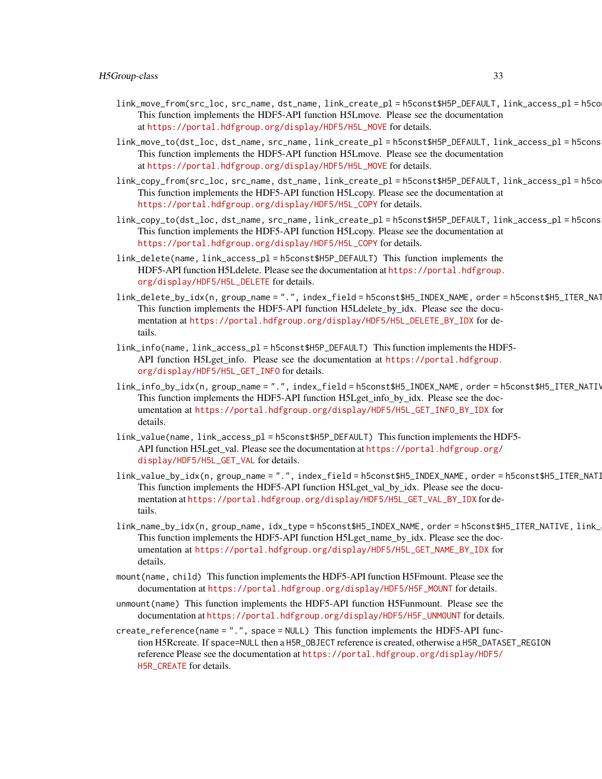- link\_move\_from(src\_loc, src\_name, dst\_name, link\_create\_pl = h5const\$H5P\_DEFAULT, link\_access\_pl = h5const\$H5P\_DEFAULT) This function implements the HDF5-API function H5Lmove. Please see the documentation at [https://portal.hdfgroup.org/display/HDF5/H5L\\_MOVE](https://portal.hdfgroup.org/display/HDF5/H5L_MOVE) for details.
- link\_move\_to(dst\_loc, dst\_name, src\_name, link\_create\_pl = h5const\$H5P\_DEFAULT, link\_access\_pl = h5cons This function implements the HDF5-API function H5Lmove. Please see the documentation at [https://portal.hdfgroup.org/display/HDF5/H5L\\_MOVE](https://portal.hdfgroup.org/display/HDF5/H5L_MOVE) for details.
- link\_copy\_from(src\_loc, src\_name, dst\_name, link\_create\_pl = h5const\$H5P\_DEFAULT, link\_access\_pl = h5const\$H5P\_DEFAULT) This function implements the HDF5-API function H5Lcopy. Please see the documentation at [https://portal.hdfgroup.org/display/HDF5/H5L\\_COPY](https://portal.hdfgroup.org/display/HDF5/H5L_COPY) for details.
- link\_copy\_to(dst\_loc, dst\_name, src\_name, link\_create\_pl = h5const\$H5P\_DEFAULT, link\_access\_pl = h5const\$H5P\_DEFAULT) This function implements the HDF5-API function H5Lcopy. Please see the documentation at [https://portal.hdfgroup.org/display/HDF5/H5L\\_COPY](https://portal.hdfgroup.org/display/HDF5/H5L_COPY) for details.
- link\_delete(name, link\_access\_pl = h5const\$H5P\_DEFAULT) This function implements the HDF5-API function H5Ldelete. Please see the documentation at [https://portal.hdfgroup.](https://portal.hdfgroup.org/display/HDF5/H5L_DELETE) [org/display/HDF5/H5L\\_DELETE](https://portal.hdfgroup.org/display/HDF5/H5L_DELETE) for details.
- link\_delete\_by\_idx(n, group\_name = ".", index\_field = h5const\$H5\_INDEX\_NAME, order = h5const\$H5\_ITER\_NAT This function implements the HDF5-API function H5Ldelete\_by\_idx. Please see the documentation at [https://portal.hdfgroup.org/display/HDF5/H5L\\_DELETE\\_BY\\_IDX](https://portal.hdfgroup.org/display/HDF5/H5L_DELETE_BY_IDX) for details.
- link\_info(name, link\_access\_pl = h5const\$H5P\_DEFAULT) This function implements the HDF5- API function H5Lget\_info. Please see the documentation at [https://portal.hdfgroup.](https://portal.hdfgroup.org/display/HDF5/H5L_GET_INFO) [org/display/HDF5/H5L\\_GET\\_INFO](https://portal.hdfgroup.org/display/HDF5/H5L_GET_INFO) for details.
- link\_info\_by\_idx(n, group\_name = ".", index\_field = h5const\$H5\_INDEX\_NAME, order = h5const\$H5\_ITER\_NATIV This function implements the HDF5-API function H5Lget\_info\_by\_idx. Please see the documentation at [https://portal.hdfgroup.org/display/HDF5/H5L\\_GET\\_INFO\\_BY\\_IDX](https://portal.hdfgroup.org/display/HDF5/H5L_GET_INFO_BY_IDX) for details.
- link\_value(name, link\_access\_pl = h5const\$H5P\_DEFAULT) This function implements the HDF5- API function H5Lget\_val. Please see the documentation at [https://portal.hdfgroup.org/](https://portal.hdfgroup.org/display/HDF5/H5L_GET_VAL) [display/HDF5/H5L\\_GET\\_VAL](https://portal.hdfgroup.org/display/HDF5/H5L_GET_VAL) for details.
- link\_value\_by\_idx(n, group\_name = ".", index\_field = h5const\$H5\_INDEX\_NAME, order = h5const\$H5\_ITER\_NATI This function implements the HDF5-API function H5Lget\_val\_by\_idx. Please see the documentation at [https://portal.hdfgroup.org/display/HDF5/H5L\\_GET\\_VAL\\_BY\\_IDX](https://portal.hdfgroup.org/display/HDF5/H5L_GET_VAL_BY_IDX) for details.
- link\_name\_by\_idx(n, group\_name, idx\_type = h5const\$H5\_INDEX\_NAME, order = h5const\$H5\_ITER\_NATIVE, link\_ This function implements the HDF5-API function H5Lget\_name\_by\_idx. Please see the documentation at [https://portal.hdfgroup.org/display/HDF5/H5L\\_GET\\_NAME\\_BY\\_IDX](https://portal.hdfgroup.org/display/HDF5/H5L_GET_NAME_BY_IDX) for details.
- mount(name, child) This function implements the HDF5-API function H5Fmount. Please see the documentation at [https://portal.hdfgroup.org/display/HDF5/H5F\\_MOUNT](https://portal.hdfgroup.org/display/HDF5/H5F_MOUNT) for details.
- unmount(name) This function implements the HDF5-API function H5Funmount. Please see the documentation at [https://portal.hdfgroup.org/display/HDF5/H5F\\_UNMOUNT](https://portal.hdfgroup.org/display/HDF5/H5F_UNMOUNT) for details.
- create\_reference(name = ".", space = NULL) This function implements the HDF5-API function H5Rcreate. If space=NULL then a H5R\_OBJECT reference is created, otherwise a H5R\_DATASET\_REGION reference Please see the documentation at [https://portal.hdfgroup.org/display/HDF5/](https://portal.hdfgroup.org/display/HDF5/H5R_CREATE) [H5R\\_CREATE](https://portal.hdfgroup.org/display/HDF5/H5R_CREATE) for details.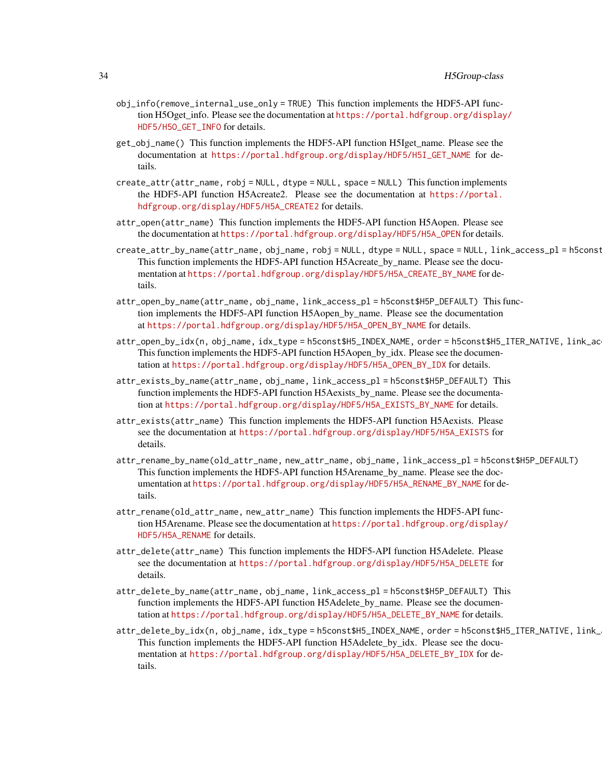# 34 H5Group-class

- obj\_info(remove\_internal\_use\_only = TRUE) This function implements the HDF5-API function H5Oget info. Please see the documentation at [https://portal.hdfgroup.org/display](https://portal.hdfgroup.org/display/HDF5/H5O_GET_INFO)/ [HDF5/H5O\\_GET\\_INFO](https://portal.hdfgroup.org/display/HDF5/H5O_GET_INFO) for details.
- get\_obj\_name() This function implements the HDF5-API function H5Iget\_name. Please see the documentation at [https://portal.hdfgroup.org/display/HDF5/H5I\\_GET\\_NAME](https://portal.hdfgroup.org/display/HDF5/H5I_GET_NAME) for details.
- create\_attr(attr\_name, robj = NULL, dtype = NULL, space = NULL) This function implements the HDF5-API function H5Acreate2. Please see the documentation at [https://portal.](https://portal.hdfgroup.org/display/HDF5/H5A_CREATE2) [hdfgroup.org/display/HDF5/H5A\\_CREATE2](https://portal.hdfgroup.org/display/HDF5/H5A_CREATE2) for details.
- attr\_open(attr\_name) This function implements the HDF5-API function H5Aopen. Please see the documentation at [https://portal.hdfgroup.org/display/HDF5/H5A\\_OPEN](https://portal.hdfgroup.org/display/HDF5/H5A_OPEN) for details.
- create\_attr\_by\_name(attr\_name, obj\_name, robj = NULL, dtype = NULL, space = NULL, link\_access\_pl = h5const This function implements the HDF5-API function H5Acreate\_by\_name. Please see the documentation at [https://portal.hdfgroup.org/display/HDF5/H5A\\_CREATE\\_BY\\_NAME](https://portal.hdfgroup.org/display/HDF5/H5A_CREATE_BY_NAME) for details.
- attr\_open\_by\_name(attr\_name, obj\_name, link\_access\_pl = h5const\$H5P\_DEFAULT) This function implements the HDF5-API function H5Aopen\_by\_name. Please see the documentation at [https://portal.hdfgroup.org/display/HDF5/H5A\\_OPEN\\_BY\\_NAME](https://portal.hdfgroup.org/display/HDF5/H5A_OPEN_BY_NAME) for details.
- attr\_open\_by\_idx(n, obj\_name, idx\_type = h5const\$H5\_INDEX\_NAME, order = h5const\$H5\_ITER\_NATIVE, link\_ac This function implements the HDF5-API function H5Aopen by idx. Please see the documentation at [https://portal.hdfgroup.org/display/HDF5/H5A\\_OPEN\\_BY\\_IDX](https://portal.hdfgroup.org/display/HDF5/H5A_OPEN_BY_IDX) for details.
- attr\_exists\_by\_name(attr\_name, obj\_name, link\_access\_pl = h5const\$H5P\_DEFAULT) This function implements the HDF5-API function H5Aexists\_by\_name. Please see the documentation at [https://portal.hdfgroup.org/display/HDF5/H5A\\_EXISTS\\_BY\\_NAME](https://portal.hdfgroup.org/display/HDF5/H5A_EXISTS_BY_NAME) for details.
- attr\_exists(attr\_name) This function implements the HDF5-API function H5Aexists. Please see the documentation at [https://portal.hdfgroup.org/display/HDF5/H5A\\_EXISTS](https://portal.hdfgroup.org/display/HDF5/H5A_EXISTS) for details.
- attr\_rename\_by\_name(old\_attr\_name, new\_attr\_name, obj\_name, link\_access\_pl = h5const\$H5P\_DEFAULT) This function implements the HDF5-API function H5Arename by name. Please see the documentation at [https://portal.hdfgroup.org/display/HDF5/H5A\\_RENAME\\_BY\\_NAME](https://portal.hdfgroup.org/display/HDF5/H5A_RENAME_BY_NAME) for details.
- attr\_rename(old\_attr\_name, new\_attr\_name) This function implements the HDF5-API function H5Arename. Please see the documentation at [https://portal.hdfgroup.org/display/](https://portal.hdfgroup.org/display/HDF5/H5A_RENAME) [HDF5/H5A\\_RENAME](https://portal.hdfgroup.org/display/HDF5/H5A_RENAME) for details.
- attr\_delete(attr\_name) This function implements the HDF5-API function H5Adelete. Please see the documentation at [https://portal.hdfgroup.org/display/HDF5/H5A\\_DELETE](https://portal.hdfgroup.org/display/HDF5/H5A_DELETE) for details.
- attr\_delete\_by\_name(attr\_name, obj\_name, link\_access\_pl = h5const\$H5P\_DEFAULT) This function implements the HDF5-API function H5Adelete\_by\_name. Please see the documentation at [https://portal.hdfgroup.org/display/HDF5/H5A\\_DELETE\\_BY\\_NAME](https://portal.hdfgroup.org/display/HDF5/H5A_DELETE_BY_NAME) for details.
- attr\_delete\_by\_idx(n, obj\_name, idx\_type = h5const\$H5\_INDEX\_NAME, order = h5const\$H5\_ITER\_NATIVE, link\_ This function implements the HDF5-API function H5Adelete\_by\_idx. Please see the documentation at [https://portal.hdfgroup.org/display/HDF5/H5A\\_DELETE\\_BY\\_IDX](https://portal.hdfgroup.org/display/HDF5/H5A_DELETE_BY_IDX) for details.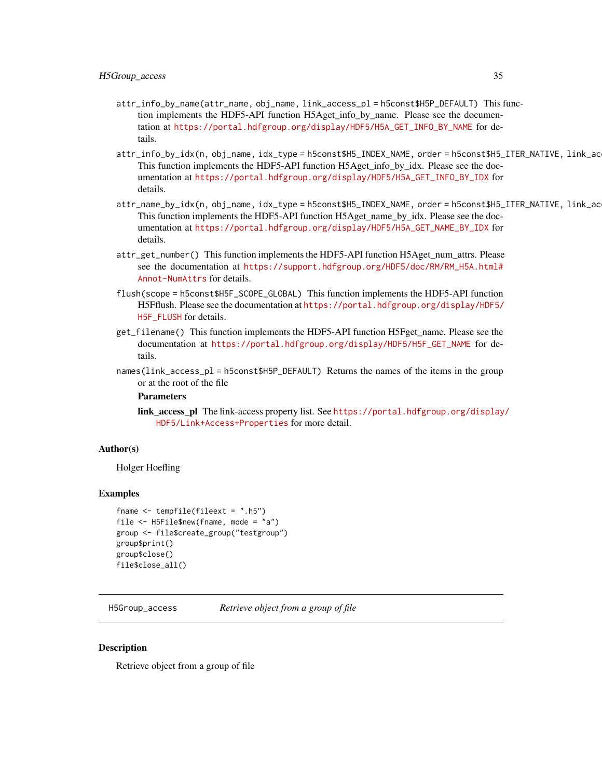- <span id="page-34-0"></span>attr\_info\_by\_name(attr\_name, obj\_name, link\_access\_pl = h5const\$H5P\_DEFAULT) This function implements the HDF5-API function H5Aget\_info\_by\_name. Please see the documentation at [https://portal.hdfgroup.org/display/HDF5/H5A\\_GET\\_INFO\\_BY\\_NAME](https://portal.hdfgroup.org/display/HDF5/H5A_GET_INFO_BY_NAME) for details.
- attr\_info\_by\_idx(n, obj\_name, idx\_type = h5const\$H5\_INDEX\_NAME, order = h5const\$H5\_ITER\_NATIVE, link\_ac This function implements the HDF5-API function H5Aget\_info\_by\_idx. Please see the documentation at [https://portal.hdfgroup.org/display/HDF5/H5A\\_GET\\_INFO\\_BY\\_IDX](https://portal.hdfgroup.org/display/HDF5/H5A_GET_INFO_BY_IDX) for details.
- attr\_name\_by\_idx(n, obj\_name, idx\_type = h5const\$H5\_INDEX\_NAME, order = h5const\$H5\_ITER\_NATIVE, link\_ac This function implements the HDF5-API function H5Aget\_name\_by\_idx. Please see the documentation at [https://portal.hdfgroup.org/display/HDF5/H5A\\_GET\\_NAME\\_BY\\_IDX](https://portal.hdfgroup.org/display/HDF5/H5A_GET_NAME_BY_IDX) for details.
- attr\_get\_number() This function implements the HDF5-API function H5Aget\_num\_attrs. Please see the documentation at [https://support.hdfgroup.org/HDF5/doc/RM/RM\\_H5A.html#](https://support.hdfgroup.org/HDF5/doc/RM/RM_H5A.html#Annot-NumAttrs) [Annot-NumAttrs](https://support.hdfgroup.org/HDF5/doc/RM/RM_H5A.html#Annot-NumAttrs) for details.
- flush(scope = h5const\$H5F\_SCOPE\_GLOBAL) This function implements the HDF5-API function H5Fflush. Please see the documentation at [https://portal.hdfgroup.org/display/HDF5/](https://portal.hdfgroup.org/display/HDF5/H5F_FLUSH) H<sub>5F</sub> FLUSH for details.
- get\_filename() This function implements the HDF5-API function H5Fget\_name. Please see the documentation at [https://portal.hdfgroup.org/display/HDF5/H5F\\_GET\\_NAME](https://portal.hdfgroup.org/display/HDF5/H5F_GET_NAME) for details.
- names(link\_access\_pl = h5const\$H5P\_DEFAULT) Returns the names of the items in the group or at the root of the file

## **Parameters**

link\_access\_pl The link-access property list. See [https://portal.hdfgroup.org/display](https://portal.hdfgroup.org/display/HDF5/Link+Access+Properties)/ [HDF5/Link+Access+Properties](https://portal.hdfgroup.org/display/HDF5/Link+Access+Properties) for more detail.

#### Author(s)

Holger Hoefling

### Examples

```
fname \le tempfile(fileext = ".h5")
file <- H5File$new(fname, mode = "a")
group <- file$create_group("testgroup")
group$print()
group$close()
file$close_all()
```
H5Group\_access *Retrieve object from a group of file*

#### **Description**

Retrieve object from a group of file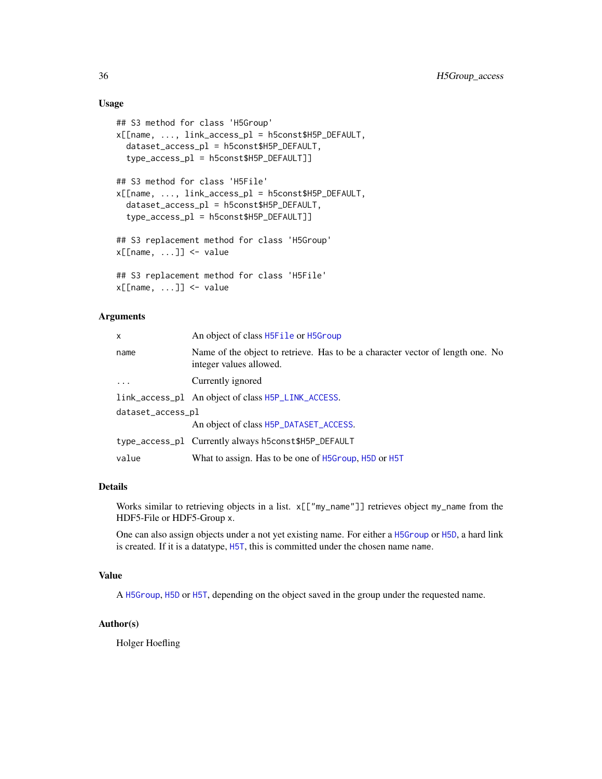# Usage

```
## S3 method for class 'H5Group'
x[[name, ..., link_access_pl = h5const$H5P_DEFAULT,
  dataset_access_pl = h5const$H5P_DEFAULT,
  type_access_pl = h5const$H5P_DEFAULT]]
## S3 method for class 'H5File'
x[[name, ..., link_access_pl = h5const$H5P_DEFAULT,
  dataset_access_pl = h5const$H5P_DEFAULT,
  type_access_pl = h5const$H5P_DEFAULT]]
## S3 replacement method for class 'H5Group'
x[\text{name}, \dots] \leq value
## S3 replacement method for class 'H5File'
x[[name, ...]] <- value
```
# Arguments

| x                 | An object of class H5File or H5Group                                                                      |
|-------------------|-----------------------------------------------------------------------------------------------------------|
| name              | Name of the object to retrieve. Has to be a character vector of length one. No<br>integer values allowed. |
| $\cdots$          | Currently ignored                                                                                         |
|                   | link_access_pl An object of class H5P_LINK_ACCESS.                                                        |
| dataset_access_pl |                                                                                                           |
|                   | An object of class H5P_DATASET_ACCESS.                                                                    |
|                   | type_access_pl Currently always h5const\$H5P_DEFAULT                                                      |
| value             | What to assign. Has to be one of H5Group, H5D or H5T                                                      |

# Details

Works similar to retrieving objects in a list. x[["my\_name"]] retrieves object my\_name from the HDF5-File or HDF5-Group x.

One can also assign objects under a not yet existing name. For either a [H5Group](#page-29-1) or [H5D](#page-16-1), a hard link is created. If it is a datatype, [H5T](#page-59-1), this is committed under the chosen name name.

# Value

A [H5Group](#page-29-1), [H5D](#page-16-1) or [H5T](#page-59-1), depending on the object saved in the group under the requested name.

# Author(s)

Holger Hoefling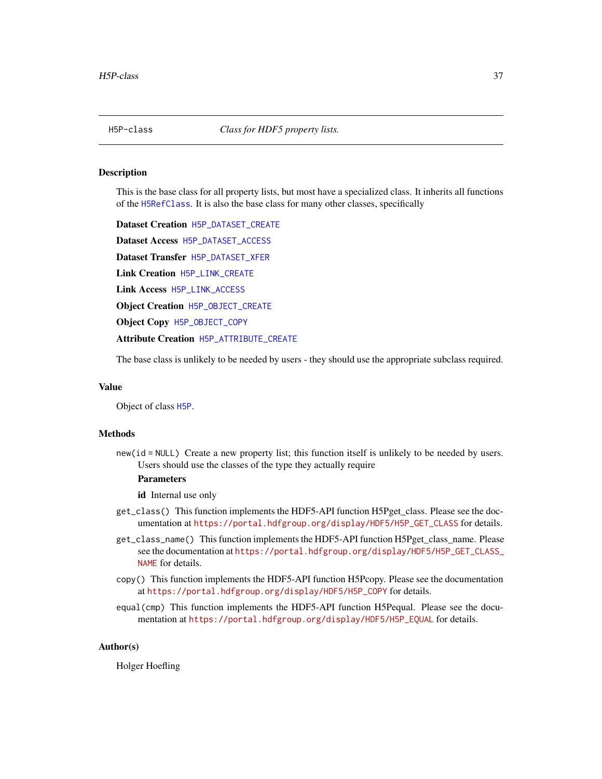<span id="page-36-0"></span>

This is the base class for all property lists, but most have a specialized class. It inherits all functions of the [H5RefClass](#page-49-0). It is also the base class for many other classes, specifically

Dataset Creation [H5P\\_DATASET\\_CREATE](#page-39-0) Dataset Access [H5P\\_DATASET\\_ACCESS](#page-38-0) Dataset Transfer [H5P\\_DATASET\\_XFER](#page-41-0) Link Creation [H5P\\_LINK\\_CREATE](#page-45-0) Link Access [H5P\\_LINK\\_ACCESS](#page-44-0) Object Creation [H5P\\_OBJECT\\_CREATE](#page-46-0) Object Copy [H5P\\_OBJECT\\_COPY](#page-46-1) Attribute Creation [H5P\\_ATTRIBUTE\\_CREATE](#page-37-0)

The base class is unlikely to be needed by users - they should use the appropriate subclass required.

#### Value

Object of class [H5P](#page-36-0).

### Methods

new(id = NULL) Create a new property list; this function itself is unlikely to be needed by users. Users should use the classes of the type they actually require

### **Parameters**

id Internal use only

- get\_class() This function implements the HDF5-API function H5Pget\_class. Please see the documentation at [https://portal.hdfgroup.org/display/HDF5/H5P\\_GET\\_CLASS](https://portal.hdfgroup.org/display/HDF5/H5P_GET_CLASS) for details.
- get\_class\_name() This function implements the HDF5-API function H5Pget\_class\_name. Please see the documentation at [https://portal.hdfgroup.org/display/HDF5/H5P\\_GET\\_CLASS\\_](https://portal.hdfgroup.org/display/HDF5/H5P_GET_CLASS_NAME) [NAME](https://portal.hdfgroup.org/display/HDF5/H5P_GET_CLASS_NAME) for details.
- copy() This function implements the HDF5-API function H5Pcopy. Please see the documentation at [https://portal.hdfgroup.org/display/HDF5/H5P\\_COPY](https://portal.hdfgroup.org/display/HDF5/H5P_COPY) for details.
- equal(cmp) This function implements the HDF5-API function H5Pequal. Please see the documentation at [https://portal.hdfgroup.org/display/HDF5/H5P\\_EQUAL](https://portal.hdfgroup.org/display/HDF5/H5P_EQUAL) for details.

#### Author(s)

Holger Hoefling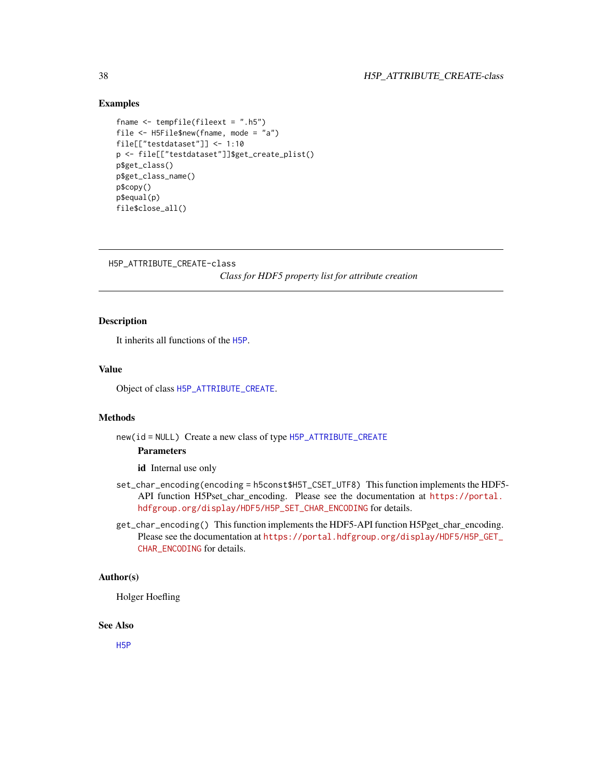### Examples

```
fname \le tempfile(fileext = ".h5")
file <- H5File$new(fname, mode = "a")
file[["testdataset"]] <- 1:10
p <- file[["testdataset"]]$get_create_plist()
p$get_class()
p$get_class_name()
p$copy()
p$equal(p)
file$close_all()
```
H5P\_ATTRIBUTE\_CREATE-class

*Class for HDF5 property list for attribute creation*

### <span id="page-37-0"></span>Description

It inherits all functions of the [H5P](#page-36-0).

### Value

Object of class [H5P\\_ATTRIBUTE\\_CREATE](#page-37-0).

### Methods

new(id = NULL) Create a new class of type [H5P\\_ATTRIBUTE\\_CREATE](#page-37-0)

#### Parameters

id Internal use only

- set\_char\_encoding(encoding = h5const\$H5T\_CSET\_UTF8) This function implements the HDF5- API function H5Pset\_char\_encoding. Please see the documentation at [https://portal.](https://portal.hdfgroup.org/display/HDF5/H5P_SET_CHAR_ENCODING) [hdfgroup.org/display/HDF5/H5P\\_SET\\_CHAR\\_ENCODING](https://portal.hdfgroup.org/display/HDF5/H5P_SET_CHAR_ENCODING) for details.
- get\_char\_encoding() This function implements the HDF5-API function H5Pget\_char\_encoding. Please see the documentation at [https://portal.hdfgroup.org/display/HDF5/H5P\\_GET\\_](https://portal.hdfgroup.org/display/HDF5/H5P_GET_CHAR_ENCODING) [CHAR\\_ENCODING](https://portal.hdfgroup.org/display/HDF5/H5P_GET_CHAR_ENCODING) for details.

### Author(s)

Holger Hoefling

#### See Also

[H5P](#page-36-0)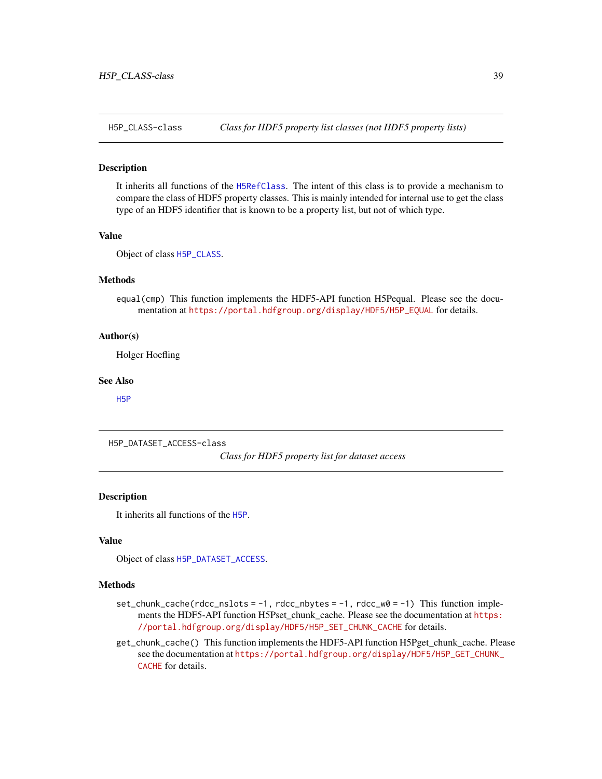<span id="page-38-1"></span>

It inherits all functions of the [H5RefClass](#page-49-0). The intent of this class is to provide a mechanism to compare the class of HDF5 property classes. This is mainly intended for internal use to get the class type of an HDF5 identifier that is known to be a property list, but not of which type.

#### Value

Object of class [H5P\\_CLASS](#page-38-1).

#### Methods

equal(cmp) This function implements the HDF5-API function H5Pequal. Please see the documentation at [https://portal.hdfgroup.org/display/HDF5/H5P\\_EQUAL](https://portal.hdfgroup.org/display/HDF5/H5P_EQUAL) for details.

#### Author(s)

Holger Hoefling

### See Also

[H5P](#page-36-0)

H5P\_DATASET\_ACCESS-class

*Class for HDF5 property list for dataset access*

### <span id="page-38-0"></span>Description

It inherits all functions of the [H5P](#page-36-0).

### Value

Object of class [H5P\\_DATASET\\_ACCESS](#page-38-0).

#### Methods

- $set_{\text{chunk\_cache}}(rdec_{\text{ll}}s) = -1$ ,  $rdec_{\text{ll}}s = -1$ ,  $rdec_{\text{w}}s = -1$ ) This function implements the HDF5-API function H5Pset\_chunk\_cache. Please see the documentation at [https:](https://portal.hdfgroup.org/display/HDF5/H5P_SET_CHUNK_CACHE) [//portal.hdfgroup.org/display/HDF5/H5P\\_SET\\_CHUNK\\_CACHE](https://portal.hdfgroup.org/display/HDF5/H5P_SET_CHUNK_CACHE) for details.
- get\_chunk\_cache() This function implements the HDF5-API function H5Pget\_chunk\_cache. Please see the documentation at [https://portal.hdfgroup.org/display/HDF5/H5P\\_GET\\_CHUNK\\_](https://portal.hdfgroup.org/display/HDF5/H5P_GET_CHUNK_CACHE) [CACHE](https://portal.hdfgroup.org/display/HDF5/H5P_GET_CHUNK_CACHE) for details.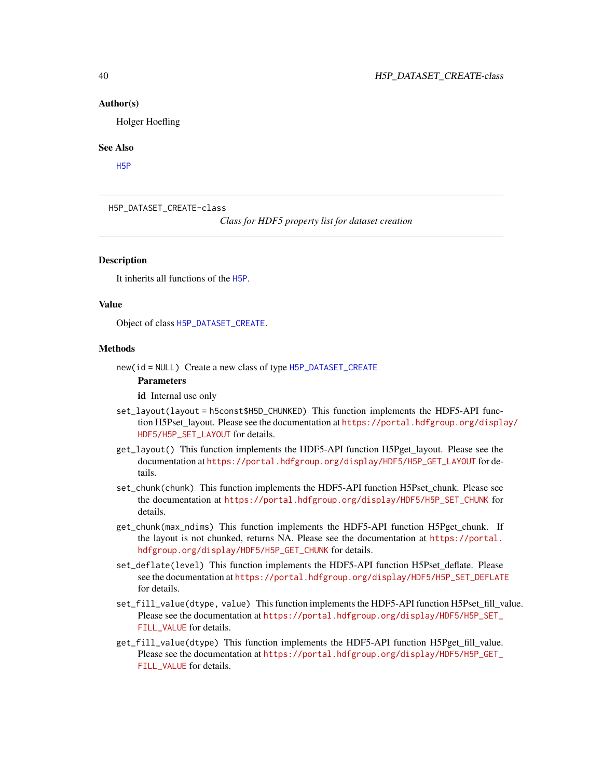#### Author(s)

Holger Hoefling

#### See Also

[H5P](#page-36-0)

H5P\_DATASET\_CREATE-class

*Class for HDF5 property list for dataset creation*

### <span id="page-39-0"></span>**Description**

It inherits all functions of the [H5P](#page-36-0).

### Value

Object of class [H5P\\_DATASET\\_CREATE](#page-39-0).

#### Methods

new(id = NULL) Create a new class of type [H5P\\_DATASET\\_CREATE](#page-39-0)

### **Parameters**

id Internal use only

- set\_layout(layout = h5const\$H5D\_CHUNKED) This function implements the HDF5-API function H5Pset\_layout. Please see the documentation at [https://portal.hdfgroup.org/displa](https://portal.hdfgroup.org/display/HDF5/H5P_SET_LAYOUT)y/ [HDF5/H5P\\_SET\\_LAYOUT](https://portal.hdfgroup.org/display/HDF5/H5P_SET_LAYOUT) for details.
- get\_layout() This function implements the HDF5-API function H5Pget\_layout. Please see the documentation at [https://portal.hdfgroup.org/display/HDF5/H5P\\_GET\\_LAYOUT](https://portal.hdfgroup.org/display/HDF5/H5P_GET_LAYOUT) for details.
- set\_chunk(chunk) This function implements the HDF5-API function H5Pset\_chunk. Please see the documentation at [https://portal.hdfgroup.org/display/HDF5/H5P\\_SET\\_CHUNK](https://portal.hdfgroup.org/display/HDF5/H5P_SET_CHUNK) for details.
- get\_chunk(max\_ndims) This function implements the HDF5-API function H5Pget\_chunk. If the layout is not chunked, returns NA. Please see the documentation at [https://portal.](https://portal.hdfgroup.org/display/HDF5/H5P_GET_CHUNK) [hdfgroup.org/display/HDF5/H5P\\_GET\\_CHUNK](https://portal.hdfgroup.org/display/HDF5/H5P_GET_CHUNK) for details.
- set\_deflate(level) This function implements the HDF5-API function H5Pset\_deflate. Please see the documentation at [https://portal.hdfgroup.org/display/HDF5/H5P\\_SET\\_DEFLATE](https://portal.hdfgroup.org/display/HDF5/H5P_SET_DEFLATE) for details.
- set\_fill\_value(dtype, value) This function implements the HDF5-API function H5Pset\_fill\_value. Please see the documentation at [https://portal.hdfgroup.org/display/HDF5/H5P\\_SET\\_](https://portal.hdfgroup.org/display/HDF5/H5P_SET_FILL_VALUE) [FILL\\_VALUE](https://portal.hdfgroup.org/display/HDF5/H5P_SET_FILL_VALUE) for details.
- get\_fill\_value(dtype) This function implements the HDF5-API function H5Pget\_fill\_value. Please see the documentation at [https://portal.hdfgroup.org/display/HDF5/H5P\\_GET\\_](https://portal.hdfgroup.org/display/HDF5/H5P_GET_FILL_VALUE) [FILL\\_VALUE](https://portal.hdfgroup.org/display/HDF5/H5P_GET_FILL_VALUE) for details.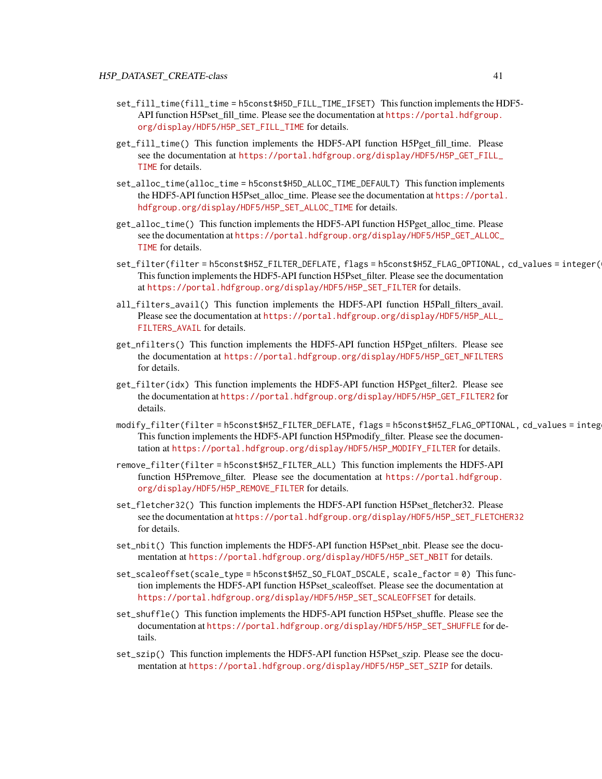- set\_fill\_time(fill\_time = h5const\$H5D\_FILL\_TIME\_IFSET) This function implements the HDF5- API function H5Pset\_fill\_time. Please see the documentation at [https://portal.hdfgroup.](https://portal.hdfgroup.org/display/HDF5/H5P_SET_FILL_TIME) [org/display/HDF5/H5P\\_SET\\_FILL\\_TIME](https://portal.hdfgroup.org/display/HDF5/H5P_SET_FILL_TIME) for details.
- get\_fill\_time() This function implements the HDF5-API function H5Pget\_fill\_time. Please see the documentation at [https://portal.hdfgroup.org/display/HDF5/H5P\\_GET\\_FILL\\_](https://portal.hdfgroup.org/display/HDF5/H5P_GET_FILL_TIME) [TIME](https://portal.hdfgroup.org/display/HDF5/H5P_GET_FILL_TIME) for details.
- set\_alloc\_time(alloc\_time = h5const\$H5D\_ALLOC\_TIME\_DEFAULT) This function implements the HDF5-API function H5Pset\_alloc\_time. Please see the documentation at [https://portal.](https://portal.hdfgroup.org/display/HDF5/H5P_SET_ALLOC_TIME) [hdfgroup.org/display/HDF5/H5P\\_SET\\_ALLOC\\_TIME](https://portal.hdfgroup.org/display/HDF5/H5P_SET_ALLOC_TIME) for details.
- get\_alloc\_time() This function implements the HDF5-API function H5Pget\_alloc\_time. Please see the documentation at [https://portal.hdfgroup.org/display/HDF5/H5P\\_GET\\_ALLOC\\_](https://portal.hdfgroup.org/display/HDF5/H5P_GET_ALLOC_TIME) [TIME](https://portal.hdfgroup.org/display/HDF5/H5P_GET_ALLOC_TIME) for details.
- set\_filter(filter = h5const\$H5Z\_FILTER\_DEFLATE, flags = h5const\$H5Z\_FLAG\_OPTIONAL, cd\_values = integer(0)) This function implements the HDF5-API function H5Pset\_filter. Please see the documentation at [https://portal.hdfgroup.org/display/HDF5/H5P\\_SET\\_FILTER](https://portal.hdfgroup.org/display/HDF5/H5P_SET_FILTER) for details.
- all\_filters\_avail() This function implements the HDF5-API function H5Pall\_filters\_avail. Please see the documentation at [https://portal.hdfgroup.org/display/HDF5/H5P\\_ALL\\_](https://portal.hdfgroup.org/display/HDF5/H5P_ALL_FILTERS_AVAIL) [FILTERS\\_AVAIL](https://portal.hdfgroup.org/display/HDF5/H5P_ALL_FILTERS_AVAIL) for details.
- get\_nfilters() This function implements the HDF5-API function H5Pget\_nfilters. Please see the documentation at [https://portal.hdfgroup.org/display/HDF5/H5P\\_GET\\_NFILTERS](https://portal.hdfgroup.org/display/HDF5/H5P_GET_NFILTERS) for details.
- get\_filter(idx) This function implements the HDF5-API function H5Pget\_filter2. Please see the documentation at [https://portal.hdfgroup.org/display/HDF5/H5P\\_GET\\_FILTER2](https://portal.hdfgroup.org/display/HDF5/H5P_GET_FILTER2) for details.
- modify\_filter(filter = h5const\$H5Z\_FILTER\_DEFLATE, flags = h5const\$H5Z\_FLAG\_OPTIONAL, cd\_values = integ This function implements the HDF5-API function H5Pmodify\_filter. Please see the documentation at [https://portal.hdfgroup.org/display/HDF5/H5P\\_MODIFY\\_FILTER](https://portal.hdfgroup.org/display/HDF5/H5P_MODIFY_FILTER) for details.
- remove\_filter(filter = h5const\$H5Z\_FILTER\_ALL) This function implements the HDF5-API function H5Premove\_filter. Please see the documentation at [https://portal.hdfgroup.](https://portal.hdfgroup.org/display/HDF5/H5P_REMOVE_FILTER) [org/display/HDF5/H5P\\_REMOVE\\_FILTER](https://portal.hdfgroup.org/display/HDF5/H5P_REMOVE_FILTER) for details.
- set\_fletcher32() This function implements the HDF5-API function H5Pset fletcher32. Please see the documentation at [https://portal.hdfgroup.org/display/HDF5/H5P\\_SET\\_FLETCHER32](https://portal.hdfgroup.org/display/HDF5/H5P_SET_FLETCHER32) for details.
- set\_nbit() This function implements the HDF5-API function H5Pset\_nbit. Please see the documentation at [https://portal.hdfgroup.org/display/HDF5/H5P\\_SET\\_NBIT](https://portal.hdfgroup.org/display/HDF5/H5P_SET_NBIT) for details.
- set\_scaleoffset(scale\_type = h5const\$H5Z\_SO\_FLOAT\_DSCALE, scale\_factor = 0) This function implements the HDF5-API function H5Pset\_scaleoffset. Please see the documentation at [https://portal.hdfgroup.org/display/HDF5/H5P\\_SET\\_SCALEOFFSET](https://portal.hdfgroup.org/display/HDF5/H5P_SET_SCALEOFFSET) for details.
- set\_shuffle() This function implements the HDF5-API function H5Pset\_shuffle. Please see the documentation at [https://portal.hdfgroup.org/display/HDF5/H5P\\_SET\\_SHUFFLE](https://portal.hdfgroup.org/display/HDF5/H5P_SET_SHUFFLE) for details.
- set\_szip() This function implements the HDF5-API function H5Pset szip. Please see the documentation at [https://portal.hdfgroup.org/display/HDF5/H5P\\_SET\\_SZIP](https://portal.hdfgroup.org/display/HDF5/H5P_SET_SZIP) for details.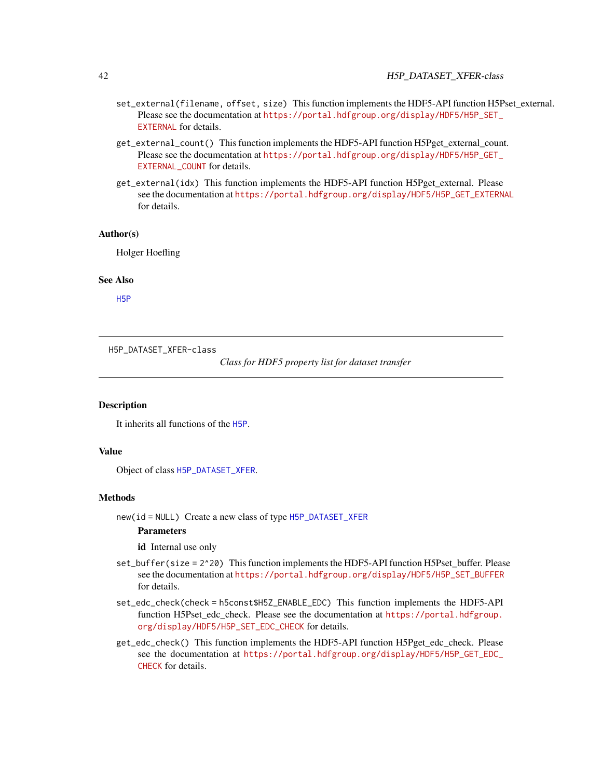### 42 H5P\_DATASET\_XFER-class

- set\_external(filename, offset, size) This function implements the HDF5-API function H5Pset\_external. Please see the documentation at [https://portal.hdfgroup.org/display/HDF5/H5P\\_SET\\_](https://portal.hdfgroup.org/display/HDF5/H5P_SET_EXTERNAL) [EXTERNAL](https://portal.hdfgroup.org/display/HDF5/H5P_SET_EXTERNAL) for details.
- get\_external\_count() This function implements the HDF5-API function H5Pget\_external\_count. Please see the documentation at [https://portal.hdfgroup.org/display/HDF5/H5P\\_GET\\_](https://portal.hdfgroup.org/display/HDF5/H5P_GET_EXTERNAL_COUNT) [EXTERNAL\\_COUNT](https://portal.hdfgroup.org/display/HDF5/H5P_GET_EXTERNAL_COUNT) for details.
- get\_external(idx) This function implements the HDF5-API function H5Pget\_external. Please see the documentation at [https://portal.hdfgroup.org/display/HDF5/H5P\\_GET\\_EXTERNAL](https://portal.hdfgroup.org/display/HDF5/H5P_GET_EXTERNAL) for details.

#### Author(s)

Holger Hoefling

#### See Also

[H5P](#page-36-0)

H5P\_DATASET\_XFER-class

*Class for HDF5 property list for dataset transfer*

### <span id="page-41-0"></span>**Description**

It inherits all functions of the [H5P](#page-36-0).

#### Value

Object of class [H5P\\_DATASET\\_XFER](#page-41-0).

#### Methods

new(id = NULL) Create a new class of type [H5P\\_DATASET\\_XFER](#page-41-0)

### Parameters

id Internal use only

- set\_buffer(size = 2^20) This function implements the HDF5-API function H5Pset\_buffer. Please see the documentation at [https://portal.hdfgroup.org/display/HDF5/H5P\\_SET\\_BUFFER](https://portal.hdfgroup.org/display/HDF5/H5P_SET_BUFFER) for details.
- set\_edc\_check(check = h5const\$H5Z\_ENABLE\_EDC) This function implements the HDF5-API function H5Pset\_edc\_check. Please see the documentation at [https://portal.hdfgroup.](https://portal.hdfgroup.org/display/HDF5/H5P_SET_EDC_CHECK) [org/display/HDF5/H5P\\_SET\\_EDC\\_CHECK](https://portal.hdfgroup.org/display/HDF5/H5P_SET_EDC_CHECK) for details.
- get\_edc\_check() This function implements the HDF5-API function H5Pget\_edc\_check. Please see the documentation at [https://portal.hdfgroup.org/display/HDF5/H5P\\_GET\\_EDC\\_](https://portal.hdfgroup.org/display/HDF5/H5P_GET_EDC_CHECK) [CHECK](https://portal.hdfgroup.org/display/HDF5/H5P_GET_EDC_CHECK) for details.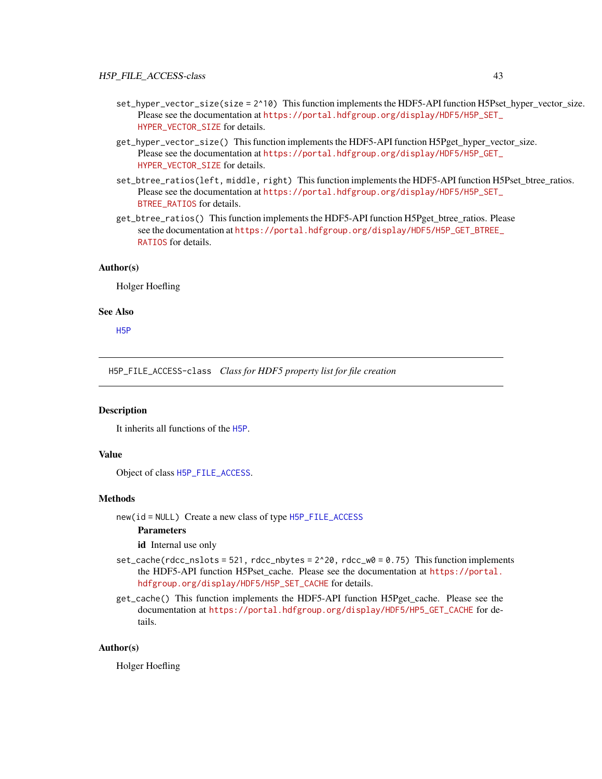- set\_hyper\_vector\_size(size = 2^10) This function implements the HDF5-API function H5Pset\_hyper\_vector\_size. Please see the documentation at [https://portal.hdfgroup.org/display/HDF5/H5P\\_SET\\_](https://portal.hdfgroup.org/display/HDF5/H5P_SET_HYPER_VECTOR_SIZE) [HYPER\\_VECTOR\\_SIZE](https://portal.hdfgroup.org/display/HDF5/H5P_SET_HYPER_VECTOR_SIZE) for details.
- get\_hyper\_vector\_size() This function implements the HDF5-API function H5Pget\_hyper\_vector\_size. Please see the documentation at [https://portal.hdfgroup.org/display/HDF5/H5P\\_GET\\_](https://portal.hdfgroup.org/display/HDF5/H5P_GET_HYPER_VECTOR_SIZE) [HYPER\\_VECTOR\\_SIZE](https://portal.hdfgroup.org/display/HDF5/H5P_GET_HYPER_VECTOR_SIZE) for details.
- set\_btree\_ratios(left, middle, right) This function implements the HDF5-API function H5Pset\_btree\_ratios. Please see the documentation at [https://portal.hdfgroup.org/display/HDF5/H5P\\_SET\\_](https://portal.hdfgroup.org/display/HDF5/H5P_SET_BTREE_RATIOS) [BTREE\\_RATIOS](https://portal.hdfgroup.org/display/HDF5/H5P_SET_BTREE_RATIOS) for details.
- get\_btree\_ratios() This function implements the HDF5-API function H5Pget\_btree\_ratios. Please see the documentation at [https://portal.hdfgroup.org/display/HDF5/H5P\\_GET\\_BTREE\\_](https://portal.hdfgroup.org/display/HDF5/H5P_GET_BTREE_RATIOS) [RATIOS](https://portal.hdfgroup.org/display/HDF5/H5P_GET_BTREE_RATIOS) for details.

#### Author(s)

Holger Hoefling

#### See Also

[H5P](#page-36-0)

H5P\_FILE\_ACCESS-class *Class for HDF5 property list for file creation*

#### <span id="page-42-0"></span>**Description**

It inherits all functions of the [H5P](#page-36-0).

### Value

Object of class [H5P\\_FILE\\_ACCESS](#page-42-0).

#### Methods

new(id = NULL) Create a new class of type [H5P\\_FILE\\_ACCESS](#page-42-0)

### Parameters

id Internal use only

- set\_cache(rdcc\_nslots = 521, rdcc\_nbytes =  $2^20$ , rdcc\_w0 = 0.75) This function implements the HDF5-API function H5Pset\_cache. Please see the documentation at [https://portal.](https://portal.hdfgroup.org/display/HDF5/H5P_SET_CACHE) [hdfgroup.org/display/HDF5/H5P\\_SET\\_CACHE](https://portal.hdfgroup.org/display/HDF5/H5P_SET_CACHE) for details.
- get\_cache() This function implements the HDF5-API function H5Pget\_cache. Please see the documentation at [https://portal.hdfgroup.org/display/HDF5/HP5\\_GET\\_CACHE](https://portal.hdfgroup.org/display/HDF5/HP5_GET_CACHE) for details.

#### Author(s)

Holger Hoefling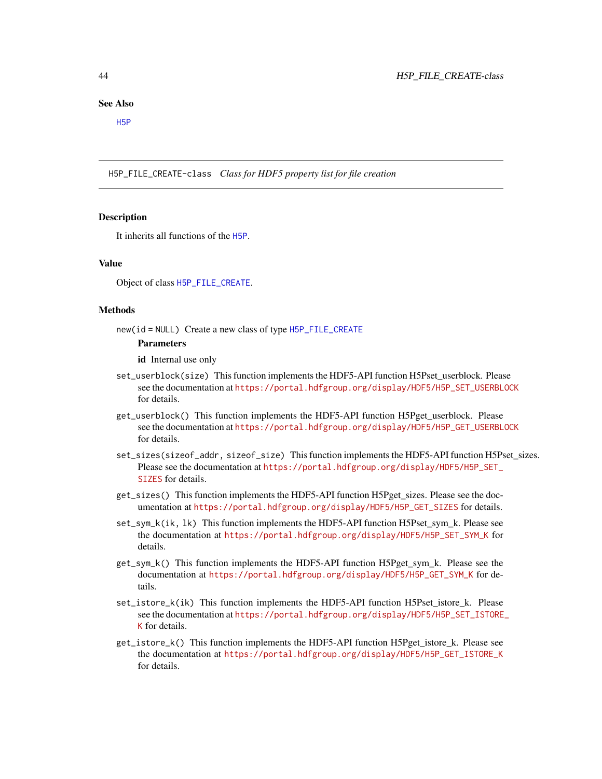#### See Also

[H5P](#page-36-0)

H5P\_FILE\_CREATE-class *Class for HDF5 property list for file creation*

#### <span id="page-43-0"></span>Description

It inherits all functions of the [H5P](#page-36-0).

#### Value

Object of class [H5P\\_FILE\\_CREATE](#page-43-0).

#### Methods

new(id = NULL) Create a new class of type [H5P\\_FILE\\_CREATE](#page-43-0)

### Parameters

id Internal use only

- set\_userblock(size) This function implements the HDF5-API function H5Pset\_userblock. Please see the documentation at [https://portal.hdfgroup.org/display/HDF5/H5P\\_SET\\_USERBLOCK](https://portal.hdfgroup.org/display/HDF5/H5P_SET_USERBLOCK) for details.
- get\_userblock() This function implements the HDF5-API function H5Pget\_userblock. Please see the documentation at [https://portal.hdfgroup.org/display/HDF5/H5P\\_GET\\_USERBLOCK](https://portal.hdfgroup.org/display/HDF5/H5P_GET_USERBLOCK) for details.
- set\_sizes(sizeof\_addr, sizeof\_size) This function implements the HDF5-API function H5Pset\_sizes. Please see the documentation at [https://portal.hdfgroup.org/display/HDF5/H5P\\_SET\\_](https://portal.hdfgroup.org/display/HDF5/H5P_SET_SIZES) [SIZES](https://portal.hdfgroup.org/display/HDF5/H5P_SET_SIZES) for details.
- get\_sizes() This function implements the HDF5-API function H5Pget\_sizes. Please see the documentation at [https://portal.hdfgroup.org/display/HDF5/H5P\\_GET\\_SIZES](https://portal.hdfgroup.org/display/HDF5/H5P_GET_SIZES) for details.
- set\_sym\_k(ik, lk) This function implements the HDF5-API function H5Pset\_sym\_k. Please see the documentation at [https://portal.hdfgroup.org/display/HDF5/H5P\\_SET\\_SYM\\_K](https://portal.hdfgroup.org/display/HDF5/H5P_SET_SYM_K) for details.
- get\_sym\_k() This function implements the HDF5-API function H5Pget\_sym\_k. Please see the documentation at [https://portal.hdfgroup.org/display/HDF5/H5P\\_GET\\_SYM\\_K](https://portal.hdfgroup.org/display/HDF5/H5P_GET_SYM_K) for details.
- set\_istore\_k(ik) This function implements the HDF5-API function H5Pset istore k. Please see the documentation at [https://portal.hdfgroup.org/display/HDF5/H5P\\_SET\\_ISTORE](https://portal.hdfgroup.org/display/HDF5/H5P_SET_ISTORE_K)\_ [K](https://portal.hdfgroup.org/display/HDF5/H5P_SET_ISTORE_K) for details.
- get\_istore\_k() This function implements the HDF5-API function H5Pget\_istore\_k. Please see the documentation at [https://portal.hdfgroup.org/display/HDF5/H5P\\_GET\\_ISTORE\\_K](https://portal.hdfgroup.org/display/HDF5/H5P_GET_ISTORE_K) for details.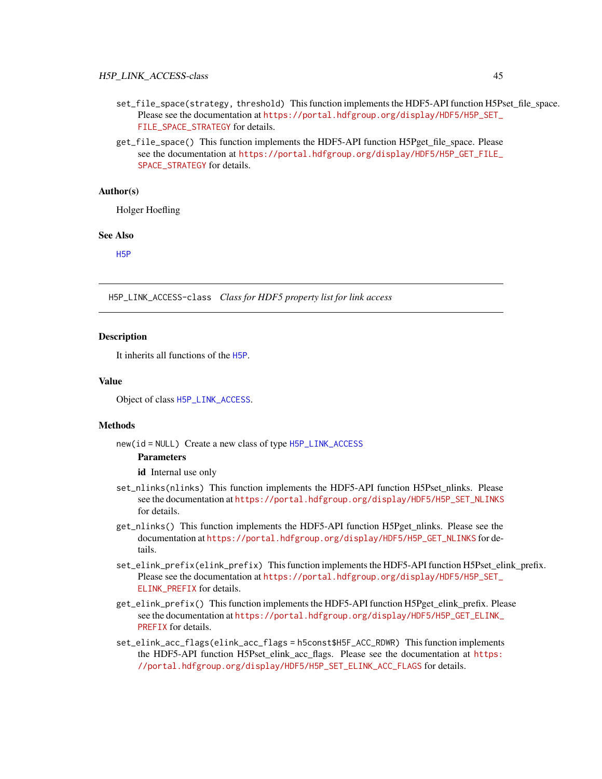### H5P\_LINK\_ACCESS-class 45

- set\_file\_space(strategy, threshold) This function implements the HDF5-API function H5Pset\_file\_space. Please see the documentation at [https://portal.hdfgroup.org/display/HDF5/H5P\\_SET\\_](https://portal.hdfgroup.org/display/HDF5/H5P_SET_FILE_SPACE_STRATEGY) [FILE\\_SPACE\\_STRATEGY](https://portal.hdfgroup.org/display/HDF5/H5P_SET_FILE_SPACE_STRATEGY) for details.
- get\_file\_space() This function implements the HDF5-API function H5Pget\_file\_space. Please see the documentation at [https://portal.hdfgroup.org/display/HDF5/H5P\\_GET\\_FILE\\_](https://portal.hdfgroup.org/display/HDF5/H5P_GET_FILE_SPACE_STRATEGY) [SPACE\\_STRATEGY](https://portal.hdfgroup.org/display/HDF5/H5P_GET_FILE_SPACE_STRATEGY) for details.

#### Author(s)

Holger Hoefling

#### See Also

[H5P](#page-36-0)

H5P\_LINK\_ACCESS-class *Class for HDF5 property list for link access*

#### <span id="page-44-0"></span>**Description**

It inherits all functions of the [H5P](#page-36-0).

#### Value

Object of class [H5P\\_LINK\\_ACCESS](#page-44-0).

#### Methods

new(id = NULL) Create a new class of type [H5P\\_LINK\\_ACCESS](#page-44-0)

### **Parameters**

id Internal use only

- set\_nlinks(nlinks) This function implements the HDF5-API function H5Pset\_nlinks. Please see the documentation at [https://portal.hdfgroup.org/display/HDF5/H5P\\_SET\\_NLINKS](https://portal.hdfgroup.org/display/HDF5/H5P_SET_NLINKS) for details.
- get\_nlinks() This function implements the HDF5-API function H5Pget\_nlinks. Please see the documentation at [https://portal.hdfgroup.org/display/HDF5/H5P\\_GET\\_NLINKS](https://portal.hdfgroup.org/display/HDF5/H5P_GET_NLINKS) for details.
- set\_elink\_prefix(elink\_prefix) This function implements the HDF5-API function H5Pset\_elink\_prefix. Please see the documentation at [https://portal.hdfgroup.org/display/HDF5/H5P\\_SET\\_](https://portal.hdfgroup.org/display/HDF5/H5P_SET_ELINK_PREFIX) [ELINK\\_PREFIX](https://portal.hdfgroup.org/display/HDF5/H5P_SET_ELINK_PREFIX) for details.
- get\_elink\_prefix() This function implements the HDF5-API function H5Pget\_elink\_prefix. Please see the documentation at [https://portal.hdfgroup.org/display/HDF5/H5P\\_GET\\_ELINK\\_](https://portal.hdfgroup.org/display/HDF5/H5P_GET_ELINK_PREFIX) [PREFIX](https://portal.hdfgroup.org/display/HDF5/H5P_GET_ELINK_PREFIX) for details.
- set\_elink\_acc\_flags(elink\_acc\_flags = h5const\$H5F\_ACC\_RDWR) This function implements the HDF5-API function H5Pset\_elink\_acc\_flags. Please see the documentation at [https:](https://portal.hdfgroup.org/display/HDF5/H5P_SET_ELINK_ACC_FLAGS) [//portal.hdfgroup.org/display/HDF5/H5P\\_SET\\_ELINK\\_ACC\\_FLAGS](https://portal.hdfgroup.org/display/HDF5/H5P_SET_ELINK_ACC_FLAGS) for details.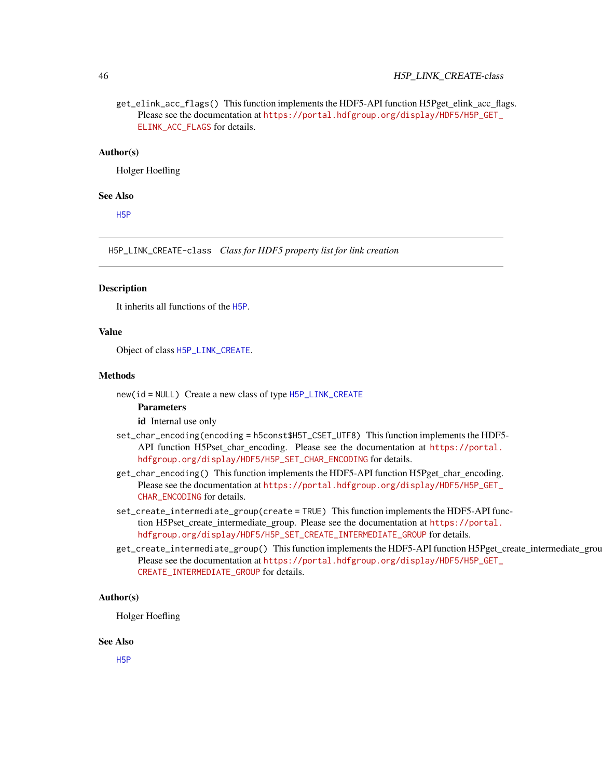### 46 H5P\_LINK\_CREATE-class

get\_elink\_acc\_flags() This function implements the HDF5-API function H5Pget\_elink\_acc\_flags. Please see the documentation at [https://portal.hdfgroup.org/display/HDF5/H5P\\_GET\\_](https://portal.hdfgroup.org/display/HDF5/H5P_GET_ELINK_ACC_FLAGS) [ELINK\\_ACC\\_FLAGS](https://portal.hdfgroup.org/display/HDF5/H5P_GET_ELINK_ACC_FLAGS) for details.

### Author(s)

Holger Hoefling

### See Also

[H5P](#page-36-0)

H5P\_LINK\_CREATE-class *Class for HDF5 property list for link creation*

#### <span id="page-45-0"></span>**Description**

It inherits all functions of the [H5P](#page-36-0).

#### Value

Object of class [H5P\\_LINK\\_CREATE](#page-45-0).

#### Methods

new(id = NULL) Create a new class of type [H5P\\_LINK\\_CREATE](#page-45-0)

# Parameters

id Internal use only

- set\_char\_encoding(encoding = h5const\$H5T\_CSET\_UTF8) This function implements the HDF5- API function H5Pset\_char\_encoding. Please see the documentation at [https://portal.](https://portal.hdfgroup.org/display/HDF5/H5P_SET_CHAR_ENCODING) [hdfgroup.org/display/HDF5/H5P\\_SET\\_CHAR\\_ENCODING](https://portal.hdfgroup.org/display/HDF5/H5P_SET_CHAR_ENCODING) for details.
- get\_char\_encoding() This function implements the HDF5-API function H5Pget\_char\_encoding. Please see the documentation at [https://portal.hdfgroup.org/display/HDF5/H5P\\_GET\\_](https://portal.hdfgroup.org/display/HDF5/H5P_GET_CHAR_ENCODING) [CHAR\\_ENCODING](https://portal.hdfgroup.org/display/HDF5/H5P_GET_CHAR_ENCODING) for details.
- set\_create\_intermediate\_group(create = TRUE) This function implements the HDF5-API function H5Pset\_create\_intermediate\_group. Please see the documentation at [https://portal.](https://portal.hdfgroup.org/display/HDF5/H5P_SET_CREATE_INTERMEDIATE_GROUP) [hdfgroup.org/display/HDF5/H5P\\_SET\\_CREATE\\_INTERMEDIATE\\_GROUP](https://portal.hdfgroup.org/display/HDF5/H5P_SET_CREATE_INTERMEDIATE_GROUP) for details.
- get\_create\_intermediate\_group() This function implements the HDF5-API function H5Pget\_create\_intermediate\_group. Please see the documentation at [https://portal.hdfgroup.org/display/HDF5/H5P\\_GET\\_](https://portal.hdfgroup.org/display/HDF5/H5P_GET_CREATE_INTERMEDIATE_GROUP) [CREATE\\_INTERMEDIATE\\_GROUP](https://portal.hdfgroup.org/display/HDF5/H5P_GET_CREATE_INTERMEDIATE_GROUP) for details.

#### Author(s)

Holger Hoefling

#### See Also

[H5P](#page-36-0)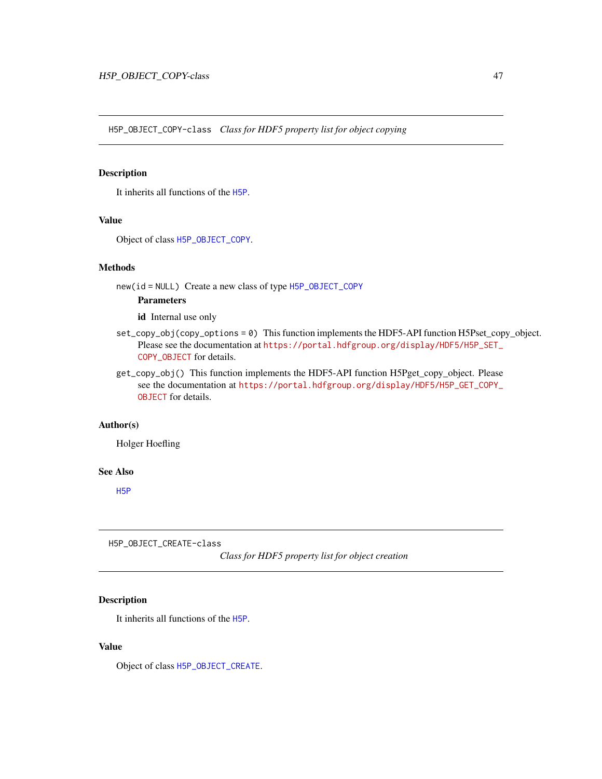H5P\_OBJECT\_COPY-class *Class for HDF5 property list for object copying*

### <span id="page-46-1"></span>Description

It inherits all functions of the [H5P](#page-36-0).

#### Value

Object of class [H5P\\_OBJECT\\_COPY](#page-46-1).

#### Methods

new(id = NULL) Create a new class of type [H5P\\_OBJECT\\_COPY](#page-46-1)

### Parameters

id Internal use only

- set\_copy\_obj(copy\_options = 0) This function implements the HDF5-API function H5Pset\_copy\_object. Please see the documentation at [https://portal.hdfgroup.org/display/HDF5/H5P\\_SET\\_](https://portal.hdfgroup.org/display/HDF5/H5P_SET_COPY_OBJECT) [COPY\\_OBJECT](https://portal.hdfgroup.org/display/HDF5/H5P_SET_COPY_OBJECT) for details.
- get\_copy\_obj() This function implements the HDF5-API function H5Pget\_copy\_object. Please see the documentation at [https://portal.hdfgroup.org/display/HDF5/H5P\\_GET\\_COPY\\_](https://portal.hdfgroup.org/display/HDF5/H5P_GET_COPY_OBJECT) [OBJECT](https://portal.hdfgroup.org/display/HDF5/H5P_GET_COPY_OBJECT) for details.

### Author(s)

Holger Hoefling

#### See Also

[H5P](#page-36-0)

H5P\_OBJECT\_CREATE-class

*Class for HDF5 property list for object creation*

### <span id="page-46-0"></span>Description

It inherits all functions of the [H5P](#page-36-0).

#### Value

Object of class [H5P\\_OBJECT\\_CREATE](#page-46-0).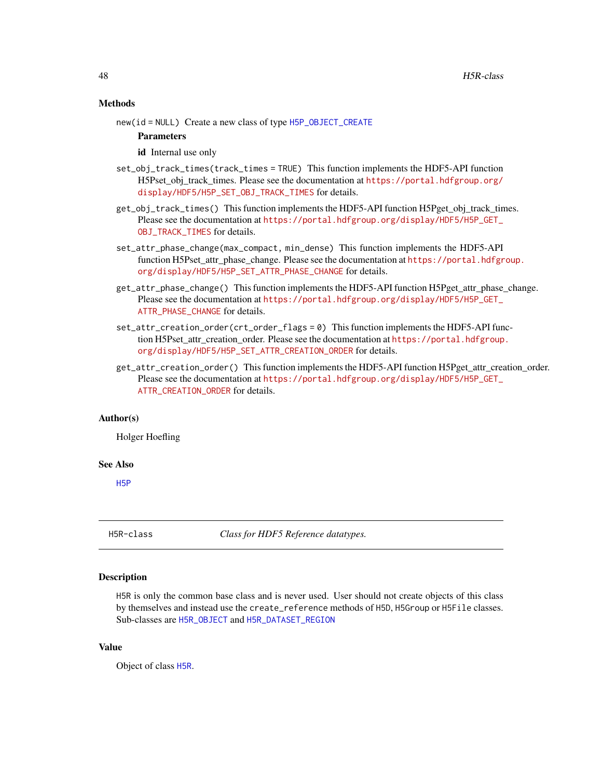#### Methods

new(id = NULL) Create a new class of type [H5P\\_OBJECT\\_CREATE](#page-46-0)

Parameters

id Internal use only

- set\_obj\_track\_times(track\_times = TRUE) This function implements the HDF5-API function H5Pset obj track times. Please see the documentation at [https://portal.hdfgroup.org/](https://portal.hdfgroup.org/display/HDF5/H5P_SET_OBJ_TRACK_TIMES) [display/HDF5/H5P\\_SET\\_OBJ\\_TRACK\\_TIMES](https://portal.hdfgroup.org/display/HDF5/H5P_SET_OBJ_TRACK_TIMES) for details.
- get\_obj\_track\_times() This function implements the HDF5-API function H5Pget\_obj\_track\_times. Please see the documentation at [https://portal.hdfgroup.org/display/HDF5/H5P\\_GET\\_](https://portal.hdfgroup.org/display/HDF5/H5P_GET_OBJ_TRACK_TIMES) [OBJ\\_TRACK\\_TIMES](https://portal.hdfgroup.org/display/HDF5/H5P_GET_OBJ_TRACK_TIMES) for details.
- set\_attr\_phase\_change(max\_compact, min\_dense) This function implements the HDF5-API function H5Pset\_attr\_phase\_change. Please see the documentation at [https://portal.hdfgr](https://portal.hdfgroup.org/display/HDF5/H5P_SET_ATTR_PHASE_CHANGE)oup. [org/display/HDF5/H5P\\_SET\\_ATTR\\_PHASE\\_CHANGE](https://portal.hdfgroup.org/display/HDF5/H5P_SET_ATTR_PHASE_CHANGE) for details.
- get\_attr\_phase\_change() This function implements the HDF5-API function H5Pget\_attr\_phase\_change. Please see the documentation at [https://portal.hdfgroup.org/display/HDF5/H5P\\_GET\\_](https://portal.hdfgroup.org/display/HDF5/H5P_GET_ATTR_PHASE_CHANGE) [ATTR\\_PHASE\\_CHANGE](https://portal.hdfgroup.org/display/HDF5/H5P_GET_ATTR_PHASE_CHANGE) for details.
- set\_attr\_creation\_order(crt\_order\_flags = 0) This function implements the HDF5-API function H5Pset\_attr\_creation\_order. Please see the documentation at [https://portal.hdfgroup](https://portal.hdfgroup.org/display/HDF5/H5P_SET_ATTR_CREATION_ORDER). [org/display/HDF5/H5P\\_SET\\_ATTR\\_CREATION\\_ORDER](https://portal.hdfgroup.org/display/HDF5/H5P_SET_ATTR_CREATION_ORDER) for details.
- get\_attr\_creation\_order() This function implements the HDF5-API function H5Pget\_attr\_creation\_order. Please see the documentation at [https://portal.hdfgroup.org/display/HDF5/H5P\\_GET\\_](https://portal.hdfgroup.org/display/HDF5/H5P_GET_ATTR_CREATION_ORDER) [ATTR\\_CREATION\\_ORDER](https://portal.hdfgroup.org/display/HDF5/H5P_GET_ATTR_CREATION_ORDER) for details.

### Author(s)

Holger Hoefling

#### See Also

[H5P](#page-36-0)

H5R-class *Class for HDF5 Reference datatypes.*

### <span id="page-47-0"></span>Description

H5R is only the common base class and is never used. User should not create objects of this class by themselves and instead use the create\_reference methods of H5D, H5Group or H5File classes. Sub-classes are [H5R\\_OBJECT](#page-53-0) and [H5R\\_DATASET\\_REGION](#page-50-0)

#### Value

Object of class [H5R](#page-47-0).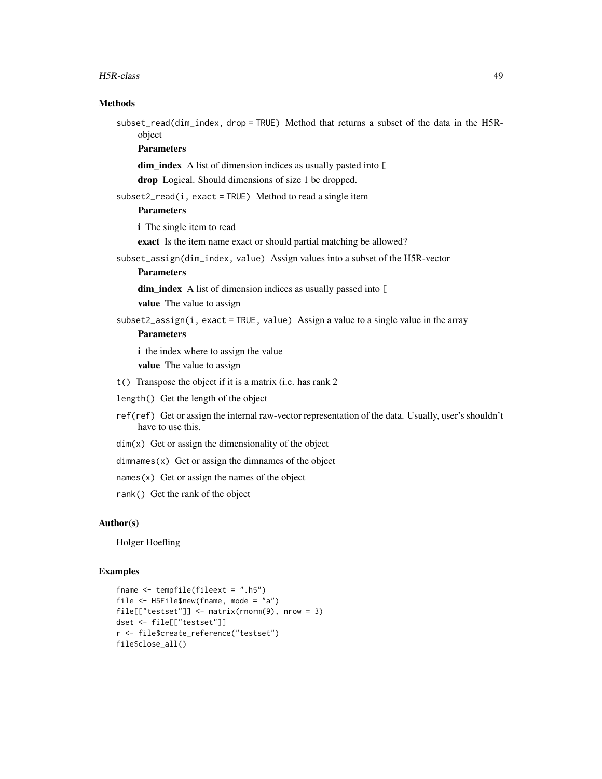#### H5R-class 49

### **Methods**

subset\_read(dim\_index, drop = TRUE) Method that returns a subset of the data in the H5Robject

### Parameters

dim\_index A list of dimension indices as usually pasted into [

drop Logical. Should dimensions of size 1 be dropped.

subset2\_read(i, exact = TRUE) Method to read a single item

## Parameters

i The single item to read

exact Is the item name exact or should partial matching be allowed?

subset\_assign(dim\_index, value) Assign values into a subset of the H5R-vector

### **Parameters**

dim\_index A list of dimension indices as usually passed into [

value The value to assign

subset2\_assign(i, exact = TRUE, value) Assign a value to a single value in the array

### Parameters

i the index where to assign the value

value The value to assign

- t() Transpose the object if it is a matrix (i.e. has rank 2
- length() Get the length of the object
- ref(ref) Get or assign the internal raw-vector representation of the data. Usually, user's shouldn't have to use this.
- $dim(x)$  Get or assign the dimensionality of the object

 $d$ imnames $(x)$  Get or assign the dimnames of the object

 $names(x)$  Get or assign the names of the object

rank() Get the rank of the object

#### Author(s)

Holger Hoefling

```
fname <- tempfile(fileext = ".h5")
file <- H5File$new(fname, mode = "a")
file[["testset"]] <- matrix(rnorm(9), nrow = 3)
dset <- file[["testset"]]
r <- file$create_reference("testset")
file$close_all()
```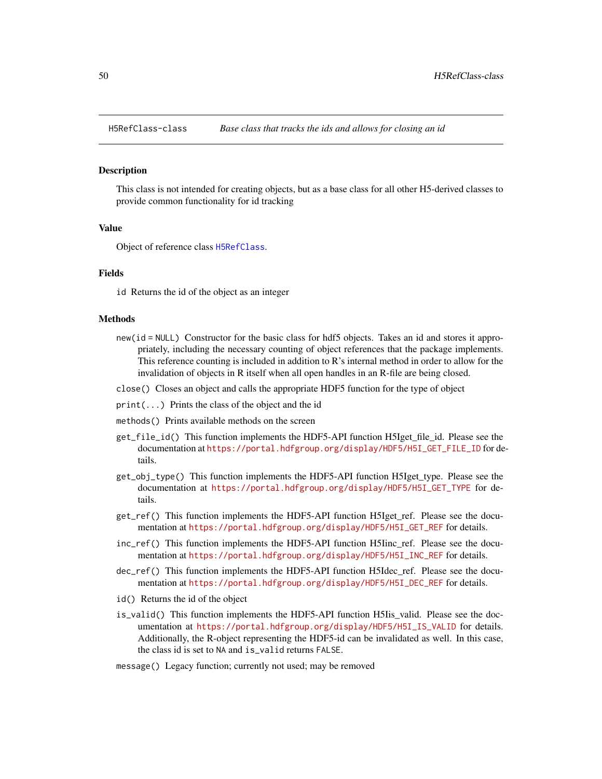<span id="page-49-0"></span>

This class is not intended for creating objects, but as a base class for all other H5-derived classes to provide common functionality for id tracking

#### Value

Object of reference class [H5RefClass](#page-49-0).

#### Fields

id Returns the id of the object as an integer

#### Methods

- new(id = NULL) Constructor for the basic class for hdf5 objects. Takes an id and stores it appropriately, including the necessary counting of object references that the package implements. This reference counting is included in addition to  $R$ 's internal method in order to allow for the invalidation of objects in R itself when all open handles in an R-file are being closed.
- close() Closes an object and calls the appropriate HDF5 function for the type of object
- print(...) Prints the class of the object and the id
- methods() Prints available methods on the screen
- get\_file\_id() This function implements the HDF5-API function H5Iget\_file\_id. Please see the documentation at [https://portal.hdfgroup.org/display/HDF5/H5I\\_GET\\_FILE\\_ID](https://portal.hdfgroup.org/display/HDF5/H5I_GET_FILE_ID) for details.
- get\_obj\_type() This function implements the HDF5-API function H5Iget\_type. Please see the documentation at [https://portal.hdfgroup.org/display/HDF5/H5I\\_GET\\_TYPE](https://portal.hdfgroup.org/display/HDF5/H5I_GET_TYPE) for details.
- get\_ref() This function implements the HDF5-API function H5Iget\_ref. Please see the documentation at [https://portal.hdfgroup.org/display/HDF5/H5I\\_GET\\_REF](https://portal.hdfgroup.org/display/HDF5/H5I_GET_REF) for details.
- inc\_ref() This function implements the HDF5-API function H5Iinc\_ref. Please see the documentation at [https://portal.hdfgroup.org/display/HDF5/H5I\\_INC\\_REF](https://portal.hdfgroup.org/display/HDF5/H5I_INC_REF) for details.
- dec\_ref() This function implements the HDF5-API function H5Idec\_ref. Please see the documentation at [https://portal.hdfgroup.org/display/HDF5/H5I\\_DEC\\_REF](https://portal.hdfgroup.org/display/HDF5/H5I_DEC_REF) for details.
- id() Returns the id of the object
- is\_valid() This function implements the HDF5-API function H5Iis\_valid. Please see the documentation at [https://portal.hdfgroup.org/display/HDF5/H5I\\_IS\\_VALID](https://portal.hdfgroup.org/display/HDF5/H5I_IS_VALID) for details. Additionally, the R-object representing the HDF5-id can be invalidated as well. In this case, the class id is set to NA and is\_valid returns FALSE.
- message() Legacy function; currently not used; may be removed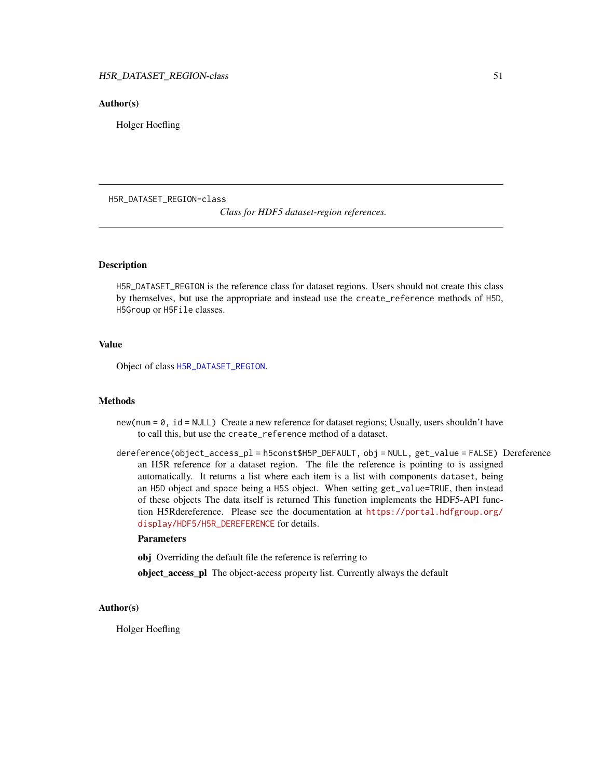### Author(s)

Holger Hoefling

H5R\_DATASET\_REGION-class

*Class for HDF5 dataset-region references.*

### <span id="page-50-0"></span>Description

H5R\_DATASET\_REGION is the reference class for dataset regions. Users should not create this class by themselves, but use the appropriate and instead use the create\_reference methods of H5D, H5Group or H5File classes.

#### Value

Object of class [H5R\\_DATASET\\_REGION](#page-50-0).

### Methods

- new(num = 0, id = NULL) Create a new reference for dataset regions; Usually, users shouldn't have to call this, but use the create\_reference method of a dataset.
- dereference(object\_access\_pl = h5const\$H5P\_DEFAULT, obj = NULL, get\_value = FALSE) Dereference an H5R reference for a dataset region. The file the reference is pointing to is assigned automatically. It returns a list where each item is a list with components dataset, being an H5D object and space being a H5S object. When setting get\_value=TRUE, then instead of these objects The data itself is returned This function implements the HDF5-API function H5Rdereference. Please see the documentation at [https://portal.hdfgroup.org/](https://portal.hdfgroup.org/display/HDF5/H5R_DEREFERENCE) [display/HDF5/H5R\\_DEREFERENCE](https://portal.hdfgroup.org/display/HDF5/H5R_DEREFERENCE) for details.

#### Parameters

obj Overriding the default file the reference is referring to

object\_access\_pl The object-access property list. Currently always the default

#### Author(s)

Holger Hoefling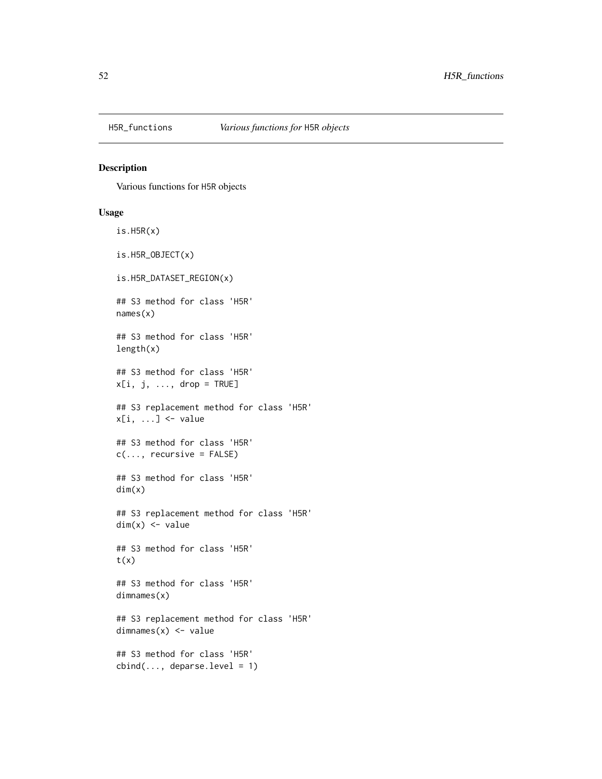Various functions for H5R objects

#### Usage

```
is.H5R(x)is.H5R_OBJECT(x)
is.H5R_DATASET_REGION(x)
## S3 method for class 'H5R'
names(x)
## S3 method for class 'H5R'
length(x)
## S3 method for class 'H5R'
x[i, j, ..., drop = TRUE]## S3 replacement method for class 'H5R'
x[i, ...] <- value
## S3 method for class 'H5R'
c(\ldots, recursive = FALSE)
## S3 method for class 'H5R'
dim(x)
## S3 replacement method for class 'H5R'
dim(x) <- value
## S3 method for class 'H5R'
t(x)## S3 method for class 'H5R'
dimnames(x)
## S3 replacement method for class 'H5R'
dimnames(x) <- value
## S3 method for class 'H5R'
cbind(..., deparse.level = 1)
```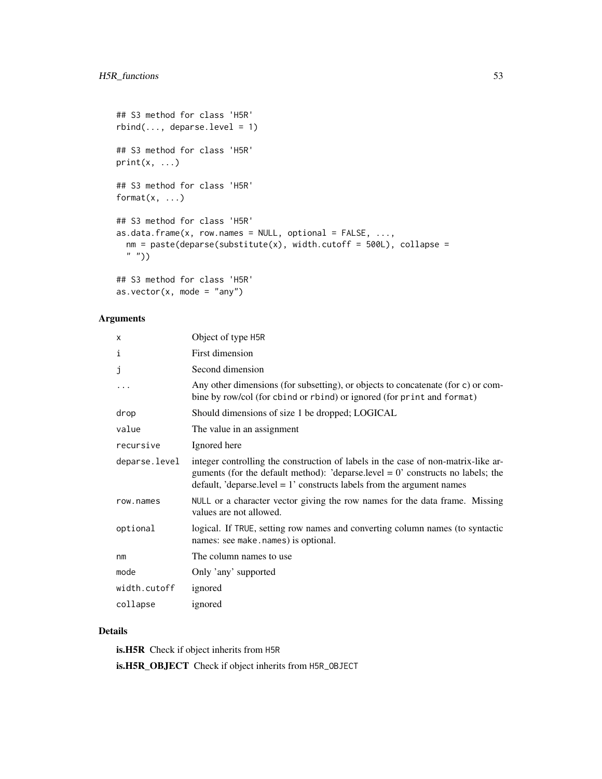```
## S3 method for class 'H5R'
rbind(..., deparse.level = 1)## S3 method for class 'H5R'
print(x, \ldots)## S3 method for class 'H5R'
format(x, \ldots)## S3 method for class 'H5R'
as.data.frame(x, row.names = NULL, optional = FALSE, ...,nm = paste(deparse(substitute(x), width.cutoff = 500L), collapse =" "))
## S3 method for class 'H5R'
```

```
as.vector(x, mode = "any")
```
### Arguments

| X             | Object of type H5R                                                                                                                                                                                                                                  |
|---------------|-----------------------------------------------------------------------------------------------------------------------------------------------------------------------------------------------------------------------------------------------------|
| ı             | First dimension                                                                                                                                                                                                                                     |
| J             | Second dimension                                                                                                                                                                                                                                    |
|               | Any other dimensions (for subsetting), or objects to concatenate (for c) or com-<br>bine by row/col (for cbind or rbind) or ignored (for print and format)                                                                                          |
| drop          | Should dimensions of size 1 be dropped; LOGICAL                                                                                                                                                                                                     |
| value         | The value in an assignment                                                                                                                                                                                                                          |
| recursive     | Ignored here                                                                                                                                                                                                                                        |
| deparse.level | integer controlling the construction of labels in the case of non-matrix-like ar-<br>guments (for the default method): 'deparse.level $= 0$ ' constructs no labels; the<br>default, 'deparse.level = $1'$ constructs labels from the argument names |
| row.names     | NULL or a character vector giving the row names for the data frame. Missing<br>values are not allowed.                                                                                                                                              |
| optional      | logical. If TRUE, setting row names and converting column names (to syntactic<br>names: see make.names) is optional.                                                                                                                                |
| nm            | The column names to use.                                                                                                                                                                                                                            |
| mode          | Only 'any' supported                                                                                                                                                                                                                                |
| width.cutoff  | ignored                                                                                                                                                                                                                                             |
| collapse      | ignored                                                                                                                                                                                                                                             |

### Details

is.H5R Check if object inherits from H5R is.H5R\_OBJECT Check if object inherits from H5R\_OBJECT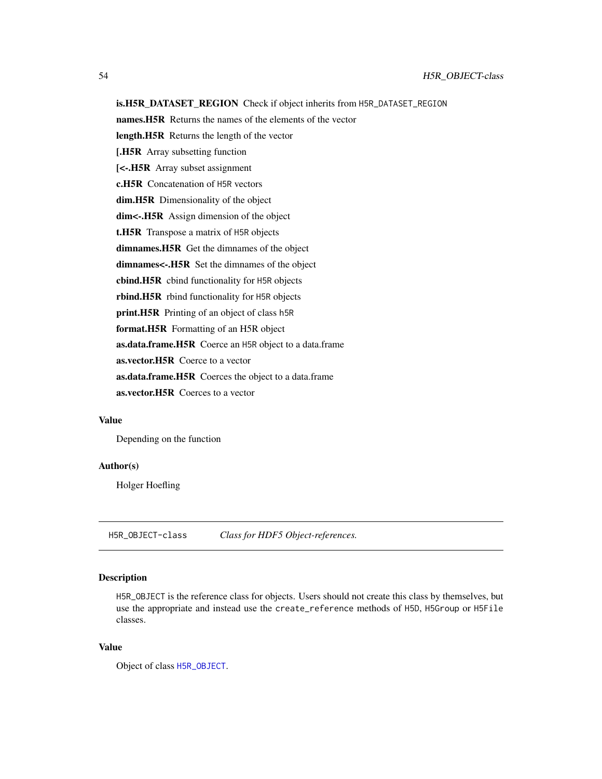### is.H5R\_DATASET\_REGION Check if object inherits from H5R\_DATASET\_REGION

names.H5R Returns the names of the elements of the vector

length.H5R Returns the length of the vector

[.H5R Array subsetting function

[<-.H5R Array subset assignment

c.H5R Concatenation of H5R vectors

dim.H5R Dimensionality of the object

dim<-. H5R Assign dimension of the object

t.H5R Transpose a matrix of H5R objects

dimnames.H5R Get the dimnames of the object

dimnames<-.H5R Set the dimnames of the object

cbind.H5R cbind functionality for H5R objects

rbind.H5R rbind functionality for H5R objects

print.H5R Printing of an object of class h5R

format.H5R Formatting of an H5R object

as.data.frame.H5R Coerce an H5R object to a data.frame

as.vector.H5R Coerce to a vector

as.data.frame.H5R Coerces the object to a data.frame

as.vector.H5R Coerces to a vector

#### Value

Depending on the function

### Author(s)

Holger Hoefling

H5R\_OBJECT-class *Class for HDF5 Object-references.*

### <span id="page-53-0"></span>Description

H5R\_OBJECT is the reference class for objects. Users should not create this class by themselves, but use the appropriate and instead use the create\_reference methods of H5D, H5Group or H5File classes.

### Value

Object of class [H5R\\_OBJECT](#page-53-0).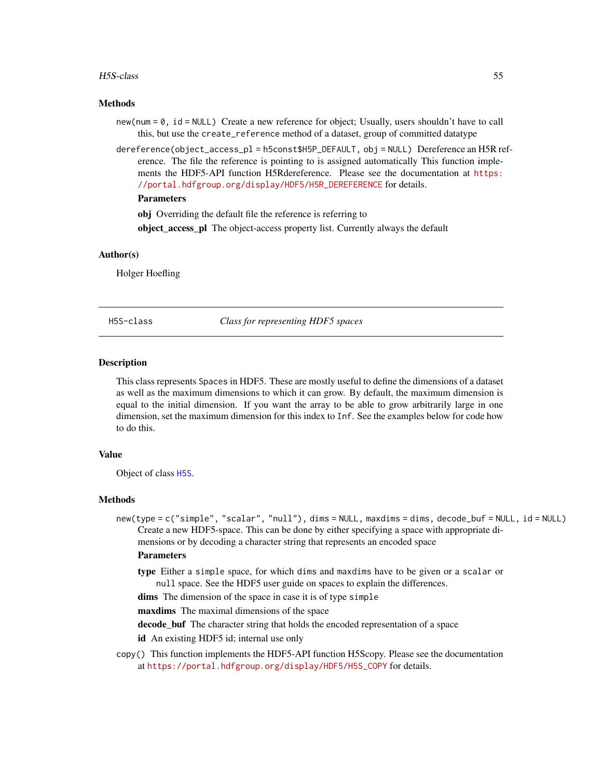#### H5S-class 55

#### Methods

- new(num = 0, id = NULL) Create a new reference for object; Usually, users shouldn't have to call this, but use the create\_reference method of a dataset, group of committed datatype
- dereference(object\_access\_pl = h5const\$H5P\_DEFAULT, obj = NULL) Dereference an H5R reference. The file the reference is pointing to is assigned automatically This function implements the HDF5-API function H5Rdereference. Please see the documentation at [https:](https://portal.hdfgroup.org/display/HDF5/H5R_DEREFERENCE) [//portal.hdfgroup.org/display/HDF5/H5R\\_DEREFERENCE](https://portal.hdfgroup.org/display/HDF5/H5R_DEREFERENCE) for details.

### **Parameters**

obj Overriding the default file the reference is referring to

object\_access\_pl The object-access property list. Currently always the default

### Author(s)

Holger Hoefling

H5S-class *Class for representing HDF5 spaces*

### <span id="page-54-0"></span>Description

This class represents Spaces in HDF5. These are mostly useful to define the dimensions of a dataset as well as the maximum dimensions to which it can grow. By default, the maximum dimension is equal to the initial dimension. If you want the array to be able to grow arbitrarily large in one dimension, set the maximum dimension for this index to Inf. See the examples below for code how to do this.

### Value

Object of class [H5S](#page-54-0).

#### Methods

new(type = c("simple", "scalar", "null"), dims = NULL, maxdims = dims, decode\_buf = NULL, id = NULL) Create a new HDF5-space. This can be done by either specifying a space with appropriate dimensions or by decoding a character string that represents an encoded space

#### **Parameters**

type Either a simple space, for which dims and maxdims have to be given or a scalar or null space. See the HDF5 user guide on spaces to explain the differences.

dims The dimension of the space in case it is of type simple

maxdims The maximal dimensions of the space

decode\_buf The character string that holds the encoded representation of a space

id An existing HDF5 id; internal use only

copy() This function implements the HDF5-API function H5Scopy. Please see the documentation at [https://portal.hdfgroup.org/display/HDF5/H5S\\_COPY](https://portal.hdfgroup.org/display/HDF5/H5S_COPY) for details.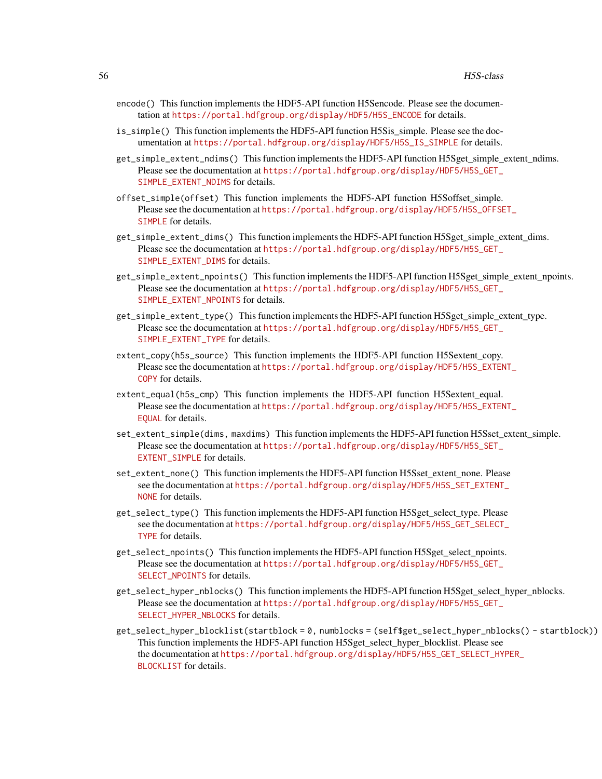- encode() This function implements the HDF5-API function H5Sencode. Please see the documentation at [https://portal.hdfgroup.org/display/HDF5/H5S\\_ENCODE](https://portal.hdfgroup.org/display/HDF5/H5S_ENCODE) for details.
- is\_simple() This function implements the HDF5-API function H5Sis simple. Please see the documentation at [https://portal.hdfgroup.org/display/HDF5/H5S\\_IS\\_SIMPLE](https://portal.hdfgroup.org/display/HDF5/H5S_IS_SIMPLE) for details.
- get\_simple\_extent\_ndims() This function implements the HDF5-API function H5Sget\_simple\_extent\_ndims. Please see the documentation at [https://portal.hdfgroup.org/display/HDF5/H5S\\_GET\\_](https://portal.hdfgroup.org/display/HDF5/H5S_GET_SIMPLE_EXTENT_NDIMS) [SIMPLE\\_EXTENT\\_NDIMS](https://portal.hdfgroup.org/display/HDF5/H5S_GET_SIMPLE_EXTENT_NDIMS) for details.
- offset\_simple(offset) This function implements the HDF5-API function H5Soffset\_simple. Please see the documentation at [https://portal.hdfgroup.org/display/HDF5/H5S\\_OFFSE](https://portal.hdfgroup.org/display/HDF5/H5S_OFFSET_SIMPLE)T\_ [SIMPLE](https://portal.hdfgroup.org/display/HDF5/H5S_OFFSET_SIMPLE) for details.
- get\_simple\_extent\_dims() This function implements the HDF5-API function H5Sget\_simple\_extent\_dims. Please see the documentation at [https://portal.hdfgroup.org/display/HDF5/H5S\\_GET\\_](https://portal.hdfgroup.org/display/HDF5/H5S_GET_SIMPLE_EXTENT_DIMS) [SIMPLE\\_EXTENT\\_DIMS](https://portal.hdfgroup.org/display/HDF5/H5S_GET_SIMPLE_EXTENT_DIMS) for details.
- get\_simple\_extent\_npoints() This function implements the HDF5-API function H5Sget\_simple\_extent\_npoints. Please see the documentation at [https://portal.hdfgroup.org/display/HDF5/H5S\\_GET\\_](https://portal.hdfgroup.org/display/HDF5/H5S_GET_SIMPLE_EXTENT_NPOINTS) [SIMPLE\\_EXTENT\\_NPOINTS](https://portal.hdfgroup.org/display/HDF5/H5S_GET_SIMPLE_EXTENT_NPOINTS) for details.
- get\_simple\_extent\_type() This function implements the HDF5-API function H5Sget\_simple\_extent\_type. Please see the documentation at [https://portal.hdfgroup.org/display/HDF5/H5S\\_GET\\_](https://portal.hdfgroup.org/display/HDF5/H5S_GET_SIMPLE_EXTENT_TYPE) [SIMPLE\\_EXTENT\\_TYPE](https://portal.hdfgroup.org/display/HDF5/H5S_GET_SIMPLE_EXTENT_TYPE) for details.
- extent\_copy(h5s\_source) This function implements the HDF5-API function H5Sextent copy. Please see the documentation at [https://portal.hdfgroup.org/display/HDF5/H5S\\_EXTEN](https://portal.hdfgroup.org/display/HDF5/H5S_EXTENT_COPY)T\_ [COPY](https://portal.hdfgroup.org/display/HDF5/H5S_EXTENT_COPY) for details.
- extent\_equal(h5s\_cmp) This function implements the HDF5-API function H5Sextent\_equal. Please see the documentation at [https://portal.hdfgroup.org/display/HDF5/H5S\\_EXTEN](https://portal.hdfgroup.org/display/HDF5/H5S_EXTENT_EQUAL)T\_ [EQUAL](https://portal.hdfgroup.org/display/HDF5/H5S_EXTENT_EQUAL) for details.
- set\_extent\_simple(dims, maxdims) This function implements the HDF5-API function H5Sset\_extent\_simple. Please see the documentation at [https://portal.hdfgroup.org/display/HDF5/H5S\\_SET\\_](https://portal.hdfgroup.org/display/HDF5/H5S_SET_EXTENT_SIMPLE) EXTENT SIMPLE for details.
- set\_extent\_none() This function implements the HDF5-API function H5Sset\_extent\_none. Please see the documentation at [https://portal.hdfgroup.org/display/HDF5/H5S\\_SET\\_EXTENT](https://portal.hdfgroup.org/display/HDF5/H5S_SET_EXTENT_NONE)\_ [NONE](https://portal.hdfgroup.org/display/HDF5/H5S_SET_EXTENT_NONE) for details.
- get\_select\_type() This function implements the HDF5-API function H5Sget\_select\_type. Please see the documentation at [https://portal.hdfgroup.org/display/HDF5/H5S\\_GET\\_SELECT](https://portal.hdfgroup.org/display/HDF5/H5S_GET_SELECT_TYPE)\_ [TYPE](https://portal.hdfgroup.org/display/HDF5/H5S_GET_SELECT_TYPE) for details.
- get\_select\_npoints() This function implements the HDF5-API function H5Sget\_select\_npoints. Please see the documentation at [https://portal.hdfgroup.org/display/HDF5/H5S\\_GET\\_](https://portal.hdfgroup.org/display/HDF5/H5S_GET_SELECT_NPOINTS) [SELECT\\_NPOINTS](https://portal.hdfgroup.org/display/HDF5/H5S_GET_SELECT_NPOINTS) for details.
- get\_select\_hyper\_nblocks() This function implements the HDF5-API function H5Sget\_select\_hyper\_nblocks. Please see the documentation at [https://portal.hdfgroup.org/display/HDF5/H5S\\_GET\\_](https://portal.hdfgroup.org/display/HDF5/H5S_GET_SELECT_HYPER_NBLOCKS) [SELECT\\_HYPER\\_NBLOCKS](https://portal.hdfgroup.org/display/HDF5/H5S_GET_SELECT_HYPER_NBLOCKS) for details.
- get\_select\_hyper\_blocklist(startblock = 0, numblocks = (self\$get\_select\_hyper\_nblocks() startblock)) This function implements the HDF5-API function H5Sget\_select\_hyper\_blocklist. Please see the documentation at [https://portal.hdfgroup.org/display/HDF5/H5S\\_GET\\_SELECT\\_HY](https://portal.hdfgroup.org/display/HDF5/H5S_GET_SELECT_HYPER_BLOCKLIST)PER\_ [BLOCKLIST](https://portal.hdfgroup.org/display/HDF5/H5S_GET_SELECT_HYPER_BLOCKLIST) for details.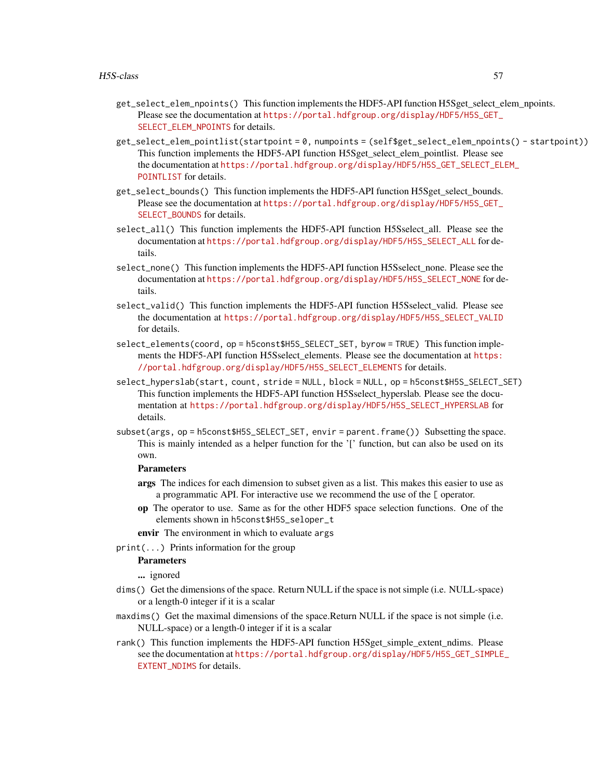- get\_select\_elem\_npoints() This function implements the HDF5-API function H5Sget\_select\_elem\_npoints. Please see the documentation at [https://portal.hdfgroup.org/display/HDF5/H5S\\_GET\\_](https://portal.hdfgroup.org/display/HDF5/H5S_GET_SELECT_ELEM_NPOINTS) [SELECT\\_ELEM\\_NPOINTS](https://portal.hdfgroup.org/display/HDF5/H5S_GET_SELECT_ELEM_NPOINTS) for details.
- get\_select\_elem\_pointlist(startpoint = 0, numpoints = (self\$get\_select\_elem\_npoints() startpoint)) This function implements the HDF5-API function H5Sget\_select\_elem\_pointlist. Please see the documentation at [https://portal.hdfgroup.org/display/HDF5/H5S\\_GET\\_SELECT\\_EL](https://portal.hdfgroup.org/display/HDF5/H5S_GET_SELECT_ELEM_POINTLIST)EM\_ [POINTLIST](https://portal.hdfgroup.org/display/HDF5/H5S_GET_SELECT_ELEM_POINTLIST) for details.
- get\_select\_bounds() This function implements the HDF5-API function H5Sget\_select\_bounds. Please see the documentation at [https://portal.hdfgroup.org/display/HDF5/H5S\\_GET\\_](https://portal.hdfgroup.org/display/HDF5/H5S_GET_SELECT_BOUNDS) [SELECT\\_BOUNDS](https://portal.hdfgroup.org/display/HDF5/H5S_GET_SELECT_BOUNDS) for details.
- select\_all() This function implements the HDF5-API function H5Sselect all. Please see the documentation at [https://portal.hdfgroup.org/display/HDF5/H5S\\_SELECT\\_ALL](https://portal.hdfgroup.org/display/HDF5/H5S_SELECT_ALL) for details.
- select\_none() This function implements the HDF5-API function H5Sselect none. Please see the documentation at [https://portal.hdfgroup.org/display/HDF5/H5S\\_SELECT\\_NONE](https://portal.hdfgroup.org/display/HDF5/H5S_SELECT_NONE) for details.
- select\_valid() This function implements the HDF5-API function H5Sselect\_valid. Please see the documentation at [https://portal.hdfgroup.org/display/HDF5/H5S\\_SELECT\\_VALID](https://portal.hdfgroup.org/display/HDF5/H5S_SELECT_VALID) for details.
- select\_elements(coord, op = h5const\$H5S\_SELECT\_SET, byrow = TRUE) This function implements the HDF5-API function H5Sselect elements. Please see the documentation at [https:](https://portal.hdfgroup.org/display/HDF5/H5S_SELECT_ELEMENTS) [//portal.hdfgroup.org/display/HDF5/H5S\\_SELECT\\_ELEMENTS](https://portal.hdfgroup.org/display/HDF5/H5S_SELECT_ELEMENTS) for details.
- select\_hyperslab(start, count, stride = NULL, block = NULL, op = h5const\$H5S\_SELECT\_SET) This function implements the HDF5-API function H5Sselect\_hyperslab. Please see the documentation at [https://portal.hdfgroup.org/display/HDF5/H5S\\_SELECT\\_HYPERSLAB](https://portal.hdfgroup.org/display/HDF5/H5S_SELECT_HYPERSLAB) for details.
- subset(args, op = h5const\$H5S\_SELECT\_SET, envir = parent.frame()) Subsetting the space. This is mainly intended as a helper function for the '[' function, but can also be used on its own.

### **Parameters**

- args The indices for each dimension to subset given as a list. This makes this easier to use as a programmatic API. For interactive use we recommend the use of the [ operator.
- op The operator to use. Same as for the other HDF5 space selection functions. One of the elements shown in h5const\$H5S\_seloper\_t
- envir The environment in which to evaluate args
- print(...) Prints information for the group

#### **Parameters**

... ignored

- dims() Get the dimensions of the space. Return NULL if the space is not simple (i.e. NULL-space) or a length-0 integer if it is a scalar
- maxdims() Get the maximal dimensions of the space.Return NULL if the space is not simple (i.e. NULL-space) or a length-0 integer if it is a scalar
- rank() This function implements the HDF5-API function H5Sget\_simple\_extent\_ndims. Please see the documentation at [https://portal.hdfgroup.org/display/HDF5/H5S\\_GET\\_SIMPLE](https://portal.hdfgroup.org/display/HDF5/H5S_GET_SIMPLE_EXTENT_NDIMS)\_ [EXTENT\\_NDIMS](https://portal.hdfgroup.org/display/HDF5/H5S_GET_SIMPLE_EXTENT_NDIMS) for details.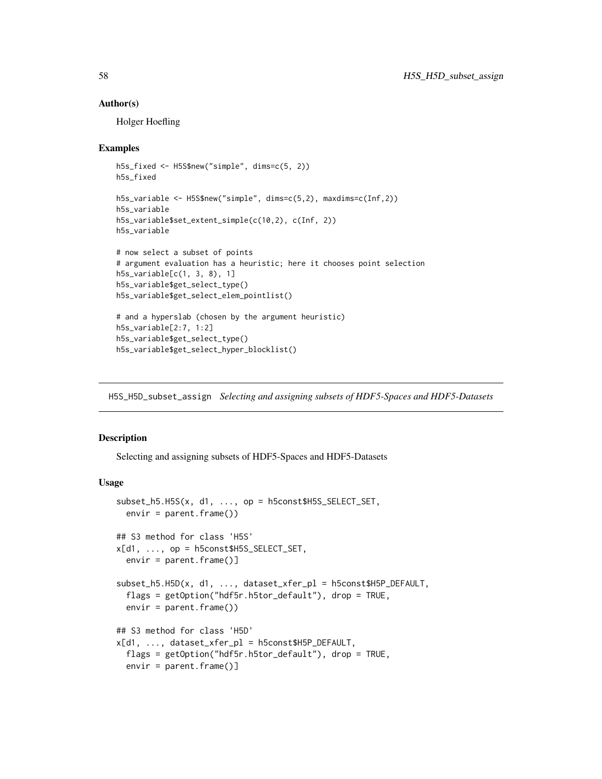#### Author(s)

Holger Hoefling

### Examples

```
h5s_fixed <- H5S$new("simple", dims=c(5, 2))
h5s_fixed
h5s_variable <- H5S$new("simple", dims=c(5,2), maxdims=c(Inf,2))
h5s_variable
h5s_variable$set_extent_simple(c(10,2), c(Inf, 2))
h5s_variable
# now select a subset of points
# argument evaluation has a heuristic; here it chooses point selection
h5s_variable[c(1, 3, 8), 1]
h5s_variable$get_select_type()
h5s_variable$get_select_elem_pointlist()
# and a hyperslab (chosen by the argument heuristic)
h5s_variable[2:7, 1:2]
h5s_variable$get_select_type()
h5s_variable$get_select_hyper_blocklist()
```
H5S\_H5D\_subset\_assign *Selecting and assigning subsets of HDF5-Spaces and HDF5-Datasets*

### Description

Selecting and assigning subsets of HDF5-Spaces and HDF5-Datasets

### Usage

```
subset_h5.H5S(x, d1, ..., op = h5const$H5S_SELECT_SET,
  envir = parent.frame()## S3 method for class 'H5S'
x[d1, \ldots, op = h5const$H5S\_SELECT\_SET,envir = parent.frame()]
subset_h5.H5D(x, d1, ..., dataset_xfer_pl = h5const$H5P_DEFAULT,
  flags = getOption("hdf5r.h5tor_default"), drop = TRUE,
  envir = parent.frame()## S3 method for class 'H5D'
x[d1, ..., dataset_xfer_pl = h5const$H5P_DEFAULT,
  flags = getOption("hdf5r.h5tor_default"), drop = TRUE,
 envir = parent.frame()]
```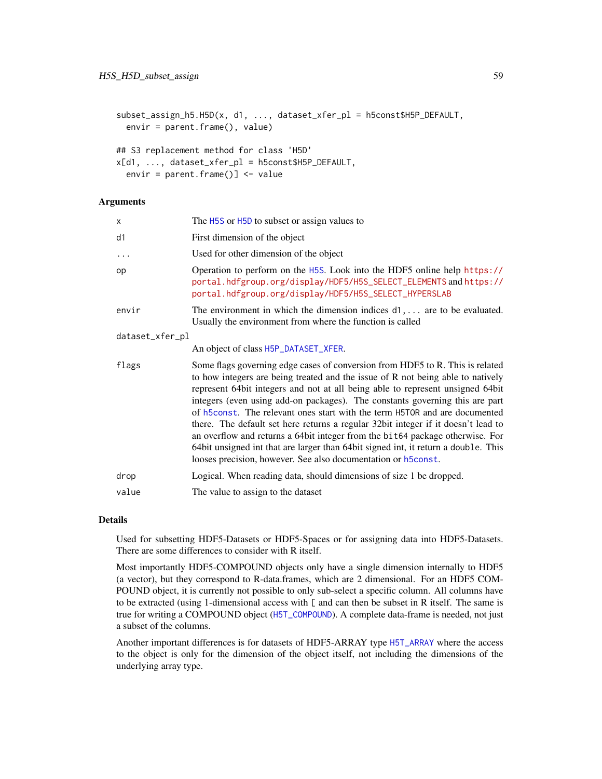```
subset_assign_h5.H5D(x, d1, ..., dataset_xfer_pl = h5const$H5P_DEFAULT,
 envir = parent.frame(), value)
```

```
## S3 replacement method for class 'H5D'
x[d1, ..., dataset_xfer_pl = h5const$H5P_DEFAULT,
  envir = parent.frame()] <- value
```
#### **Arguments**

| x               | The H5S or H5D to subset or assign values to                                                                                                                                                                                                                                                                                                                                                                                                                                                                                                                                                                                                                                                                                                  |
|-----------------|-----------------------------------------------------------------------------------------------------------------------------------------------------------------------------------------------------------------------------------------------------------------------------------------------------------------------------------------------------------------------------------------------------------------------------------------------------------------------------------------------------------------------------------------------------------------------------------------------------------------------------------------------------------------------------------------------------------------------------------------------|
| d1              | First dimension of the object                                                                                                                                                                                                                                                                                                                                                                                                                                                                                                                                                                                                                                                                                                                 |
| $\ddots$        | Used for other dimension of the object                                                                                                                                                                                                                                                                                                                                                                                                                                                                                                                                                                                                                                                                                                        |
| op              | Operation to perform on the H5S. Look into the HDF5 online help https://<br>portal.hdfgroup.org/display/HDF5/H5S_SELECT_ELEMENTS and https://<br>portal.hdfgroup.org/display/HDF5/H5S_SELECT_HYPERSLAB                                                                                                                                                                                                                                                                                                                                                                                                                                                                                                                                        |
| envir           | The environment in which the dimension indices $d_1, \ldots$ are to be evaluated.<br>Usually the environment from where the function is called                                                                                                                                                                                                                                                                                                                                                                                                                                                                                                                                                                                                |
| dataset_xfer_pl |                                                                                                                                                                                                                                                                                                                                                                                                                                                                                                                                                                                                                                                                                                                                               |
|                 | An object of class H5P_DATASET_XFER.                                                                                                                                                                                                                                                                                                                                                                                                                                                                                                                                                                                                                                                                                                          |
| flags           | Some flags governing edge cases of conversion from HDF5 to R. This is related<br>to how integers are being treated and the issue of R not being able to natively<br>represent 64bit integers and not at all being able to represent unsigned 64bit<br>integers (even using add-on packages). The constants governing this are part<br>of h5const. The relevant ones start with the term H5TOR and are documented<br>there. The default set here returns a regular 32bit integer if it doesn't lead to<br>an overflow and returns a 64bit integer from the bit64 package otherwise. For<br>64bit unsigned int that are larger than 64bit signed int, it return a double. This<br>looses precision, however. See also documentation or h5const. |
| drop            | Logical. When reading data, should dimensions of size 1 be dropped.                                                                                                                                                                                                                                                                                                                                                                                                                                                                                                                                                                                                                                                                           |
| value           | The value to assign to the dataset                                                                                                                                                                                                                                                                                                                                                                                                                                                                                                                                                                                                                                                                                                            |
|                 |                                                                                                                                                                                                                                                                                                                                                                                                                                                                                                                                                                                                                                                                                                                                               |

### Details

Used for subsetting HDF5-Datasets or HDF5-Spaces or for assigning data into HDF5-Datasets. There are some differences to consider with R itself.

Most importantly HDF5-COMPOUND objects only have a single dimension internally to HDF5 (a vector), but they correspond to R-data.frames, which are 2 dimensional. For an HDF5 COM-POUND object, it is currently not possible to only sub-select a specific column. All columns have to be extracted (using 1-dimensional access with [ and can then be subset in R itself. The same is true for writing a COMPOUND object ([H5T\\_COMPOUND](#page-65-0)). A complete data-frame is needed, not just a subset of the columns.

Another important differences is for datasets of HDF5-ARRAY type [H5T\\_ARRAY](#page-63-0) where the access to the object is only for the dimension of the object itself, not including the dimensions of the underlying array type.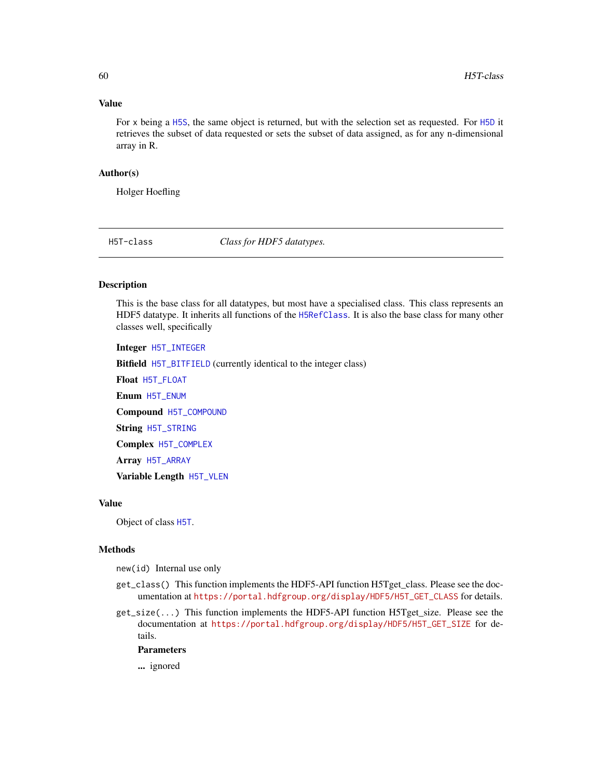### Value

For x being a [H5S](#page-54-0), the same object is returned, but with the selection set as requested. For [H5D](#page-16-0) it retrieves the subset of data requested or sets the subset of data assigned, as for any n-dimensional array in R.

### Author(s)

Holger Hoefling

H5T-class *Class for HDF5 datatypes.*

### <span id="page-59-0"></span>Description

This is the base class for all datatypes, but most have a specialised class. This class represents an HDF5 datatype. It inherits all functions of the [H5RefClass](#page-49-0). It is also the base class for many other classes well, specifically

Integer [H5T\\_INTEGER](#page-68-0)

Bitfield [H5T\\_BITFIELD](#page-68-0) (currently identical to the integer class)

Float [H5T\\_FLOAT](#page-67-0)

Enum [H5T\\_ENUM](#page-66-0)

Compound [H5T\\_COMPOUND](#page-65-0)

String [H5T\\_STRING](#page-69-0)

Complex [H5T\\_COMPLEX](#page-64-0)

Array [H5T\\_ARRAY](#page-63-0)

Variable Length [H5T\\_VLEN](#page-71-0)

### Value

Object of class [H5T](#page-59-0).

### Methods

new(id) Internal use only

- get\_class() This function implements the HDF5-API function H5Tget\_class. Please see the documentation at [https://portal.hdfgroup.org/display/HDF5/H5T\\_GET\\_CLASS](https://portal.hdfgroup.org/display/HDF5/H5T_GET_CLASS) for details.
- get\_size(...) This function implements the HDF5-API function H5Tget\_size. Please see the documentation at [https://portal.hdfgroup.org/display/HDF5/H5T\\_GET\\_SIZE](https://portal.hdfgroup.org/display/HDF5/H5T_GET_SIZE) for details.

### Parameters

... ignored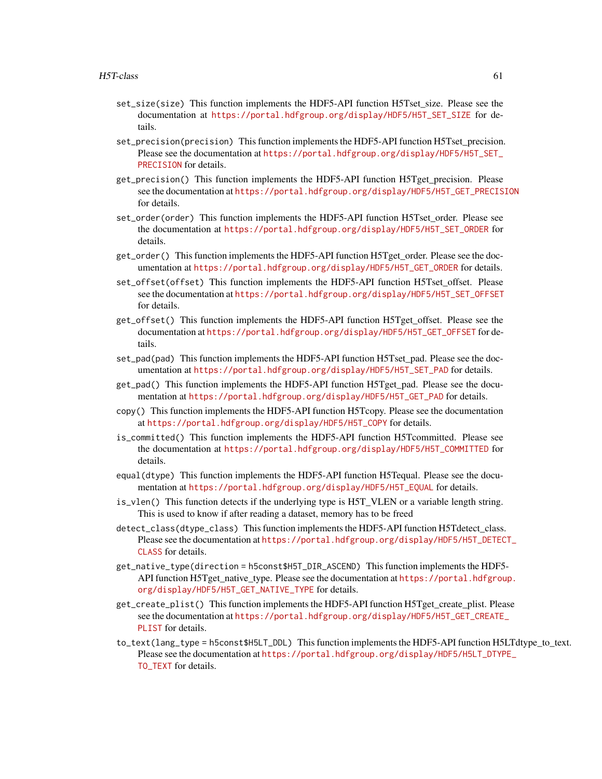- set\_size(size) This function implements the HDF5-API function H5Tset\_size. Please see the documentation at [https://portal.hdfgroup.org/display/HDF5/H5T\\_SET\\_SIZE](https://portal.hdfgroup.org/display/HDF5/H5T_SET_SIZE) for details.
- set\_precision(precision) This function implements the HDF5-API function H5Tset\_precision. Please see the documentation at [https://portal.hdfgroup.org/display/HDF5/H5T\\_SET\\_](https://portal.hdfgroup.org/display/HDF5/H5T_SET_PRECISION) [PRECISION](https://portal.hdfgroup.org/display/HDF5/H5T_SET_PRECISION) for details.
- get\_precision() This function implements the HDF5-API function H5Tget\_precision. Please see the documentation at [https://portal.hdfgroup.org/display/HDF5/H5T\\_GET\\_PRECISION](https://portal.hdfgroup.org/display/HDF5/H5T_GET_PRECISION) for details.
- set\_order(order) This function implements the HDF5-API function H5Tset order. Please see the documentation at [https://portal.hdfgroup.org/display/HDF5/H5T\\_SET\\_ORDER](https://portal.hdfgroup.org/display/HDF5/H5T_SET_ORDER) for details.
- get\_order() This function implements the HDF5-API function H5Tget\_order. Please see the documentation at [https://portal.hdfgroup.org/display/HDF5/H5T\\_GET\\_ORDER](https://portal.hdfgroup.org/display/HDF5/H5T_GET_ORDER) for details.
- set\_offset(offset) This function implements the HDF5-API function H5Tset\_offset. Please see the documentation at [https://portal.hdfgroup.org/display/HDF5/H5T\\_SET\\_OFFSET](https://portal.hdfgroup.org/display/HDF5/H5T_SET_OFFSET) for details.
- get\_offset() This function implements the HDF5-API function H5Tget\_offset. Please see the documentation at [https://portal.hdfgroup.org/display/HDF5/H5T\\_GET\\_OFFSET](https://portal.hdfgroup.org/display/HDF5/H5T_GET_OFFSET) for details.
- set\_pad(pad) This function implements the HDF5-API function H5Tset pad. Please see the documentation at [https://portal.hdfgroup.org/display/HDF5/H5T\\_SET\\_PAD](https://portal.hdfgroup.org/display/HDF5/H5T_SET_PAD) for details.
- get\_pad() This function implements the HDF5-API function H5Tget\_pad. Please see the documentation at [https://portal.hdfgroup.org/display/HDF5/H5T\\_GET\\_PAD](https://portal.hdfgroup.org/display/HDF5/H5T_GET_PAD) for details.
- copy() This function implements the HDF5-API function H5Tcopy. Please see the documentation at [https://portal.hdfgroup.org/display/HDF5/H5T\\_COPY](https://portal.hdfgroup.org/display/HDF5/H5T_COPY) for details.
- is\_committed() This function implements the HDF5-API function H5Tcommitted. Please see the documentation at [https://portal.hdfgroup.org/display/HDF5/H5T\\_COMMITTED](https://portal.hdfgroup.org/display/HDF5/H5T_COMMITTED) for details.
- equal(dtype) This function implements the HDF5-API function H5Tequal. Please see the documentation at [https://portal.hdfgroup.org/display/HDF5/H5T\\_EQUAL](https://portal.hdfgroup.org/display/HDF5/H5T_EQUAL) for details.
- is\_vlen() This function detects if the underlying type is H5T\_VLEN or a variable length string. This is used to know if after reading a dataset, memory has to be freed
- detect\_class(dtype\_class) This function implements the HDF5-API function H5Tdetect\_class. Please see the documentation at [https://portal.hdfgroup.org/display/HDF5/H5T\\_DETEC](https://portal.hdfgroup.org/display/HDF5/H5T_DETECT_CLASS)T\_ [CLASS](https://portal.hdfgroup.org/display/HDF5/H5T_DETECT_CLASS) for details.
- get\_native\_type(direction = h5const\$H5T\_DIR\_ASCEND) This function implements the HDF5- API function H5Tget\_native\_type. Please see the documentation at [https://portal.hdfgrou](https://portal.hdfgroup.org/display/HDF5/H5T_GET_NATIVE_TYPE)p. [org/display/HDF5/H5T\\_GET\\_NATIVE\\_TYPE](https://portal.hdfgroup.org/display/HDF5/H5T_GET_NATIVE_TYPE) for details.
- get\_create\_plist() This function implements the HDF5-API function H5Tget\_create\_plist. Please see the documentation at [https://portal.hdfgroup.org/display/HDF5/H5T\\_GET\\_CREATE](https://portal.hdfgroup.org/display/HDF5/H5T_GET_CREATE_PLIST)\_ [PLIST](https://portal.hdfgroup.org/display/HDF5/H5T_GET_CREATE_PLIST) for details.
- to\_text(lang\_type = h5const\$H5LT\_DDL) This function implements the HDF5-API function H5LTdtype\_to\_text. Please see the documentation at [https://portal.hdfgroup.org/display/HDF5/H5LT\\_DTYP](https://portal.hdfgroup.org/display/HDF5/H5LT_DTYPE_TO_TEXT)E\_ [TO\\_TEXT](https://portal.hdfgroup.org/display/HDF5/H5LT_DTYPE_TO_TEXT) for details.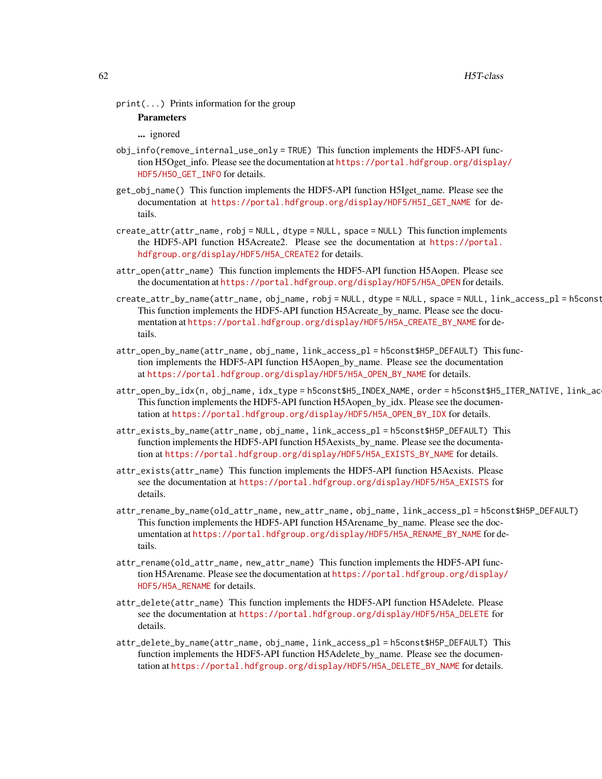print(...) Prints information for the group

### Parameters

... ignored

- obj\_info(remove\_internal\_use\_only = TRUE) This function implements the HDF5-API function H5Oget\_info. Please see the documentation at [https://portal.hdfgroup.org/display](https://portal.hdfgroup.org/display/HDF5/H5O_GET_INFO)/ [HDF5/H5O\\_GET\\_INFO](https://portal.hdfgroup.org/display/HDF5/H5O_GET_INFO) for details.
- get\_obj\_name() This function implements the HDF5-API function H5Iget\_name. Please see the documentation at [https://portal.hdfgroup.org/display/HDF5/H5I\\_GET\\_NAME](https://portal.hdfgroup.org/display/HDF5/H5I_GET_NAME) for details.
- $create_attr(attr_name, robj = NULL, dtype = NULL, space = NULL)$  This function implements the HDF5-API function H5Acreate2. Please see the documentation at [https://portal.](https://portal.hdfgroup.org/display/HDF5/H5A_CREATE2) [hdfgroup.org/display/HDF5/H5A\\_CREATE2](https://portal.hdfgroup.org/display/HDF5/H5A_CREATE2) for details.
- attr\_open(attr\_name) This function implements the HDF5-API function H5Aopen. Please see the documentation at [https://portal.hdfgroup.org/display/HDF5/H5A\\_OPEN](https://portal.hdfgroup.org/display/HDF5/H5A_OPEN) for details.
- create\_attr\_by\_name(attr\_name, obj\_name, robj = NULL, dtype = NULL, space = NULL, link\_access\_pl = h5const This function implements the HDF5-API function H5Acreate\_by\_name. Please see the documentation at [https://portal.hdfgroup.org/display/HDF5/H5A\\_CREATE\\_BY\\_NAME](https://portal.hdfgroup.org/display/HDF5/H5A_CREATE_BY_NAME) for details.
- attr\_open\_by\_name(attr\_name, obj\_name, link\_access\_pl = h5const\$H5P\_DEFAULT) This function implements the HDF5-API function H5Aopen\_by\_name. Please see the documentation at [https://portal.hdfgroup.org/display/HDF5/H5A\\_OPEN\\_BY\\_NAME](https://portal.hdfgroup.org/display/HDF5/H5A_OPEN_BY_NAME) for details.
- attr\_open\_by\_idx(n, obj\_name, idx\_type = h5const\$H5\_INDEX\_NAME, order = h5const\$H5\_ITER\_NATIVE, link\_ac This function implements the HDF5-API function H5Aopen\_by\_idx. Please see the documentation at [https://portal.hdfgroup.org/display/HDF5/H5A\\_OPEN\\_BY\\_IDX](https://portal.hdfgroup.org/display/HDF5/H5A_OPEN_BY_IDX) for details.
- attr\_exists\_by\_name(attr\_name, obj\_name, link\_access\_pl = h5const\$H5P\_DEFAULT) This function implements the HDF5-API function H5Aexists\_by\_name. Please see the documentation at [https://portal.hdfgroup.org/display/HDF5/H5A\\_EXISTS\\_BY\\_NAME](https://portal.hdfgroup.org/display/HDF5/H5A_EXISTS_BY_NAME) for details.
- attr\_exists(attr\_name) This function implements the HDF5-API function H5Aexists. Please see the documentation at [https://portal.hdfgroup.org/display/HDF5/H5A\\_EXISTS](https://portal.hdfgroup.org/display/HDF5/H5A_EXISTS) for details.
- attr\_rename\_by\_name(old\_attr\_name, new\_attr\_name, obj\_name, link\_access\_pl = h5const\$H5P\_DEFAULT) This function implements the HDF5-API function H5Arename\_by\_name. Please see the documentation at [https://portal.hdfgroup.org/display/HDF5/H5A\\_RENAME\\_BY\\_NAME](https://portal.hdfgroup.org/display/HDF5/H5A_RENAME_BY_NAME) for details.
- attr\_rename(old\_attr\_name, new\_attr\_name) This function implements the HDF5-API function H5Arename. Please see the documentation at [https://portal.hdfgroup.org/display/](https://portal.hdfgroup.org/display/HDF5/H5A_RENAME) [HDF5/H5A\\_RENAME](https://portal.hdfgroup.org/display/HDF5/H5A_RENAME) for details.
- attr\_delete(attr\_name) This function implements the HDF5-API function H5Adelete. Please see the documentation at [https://portal.hdfgroup.org/display/HDF5/H5A\\_DELETE](https://portal.hdfgroup.org/display/HDF5/H5A_DELETE) for details.
- attr\_delete\_by\_name(attr\_name, obj\_name, link\_access\_pl = h5const\$H5P\_DEFAULT) This function implements the HDF5-API function H5Adelete\_by\_name. Please see the documentation at [https://portal.hdfgroup.org/display/HDF5/H5A\\_DELETE\\_BY\\_NAME](https://portal.hdfgroup.org/display/HDF5/H5A_DELETE_BY_NAME) for details.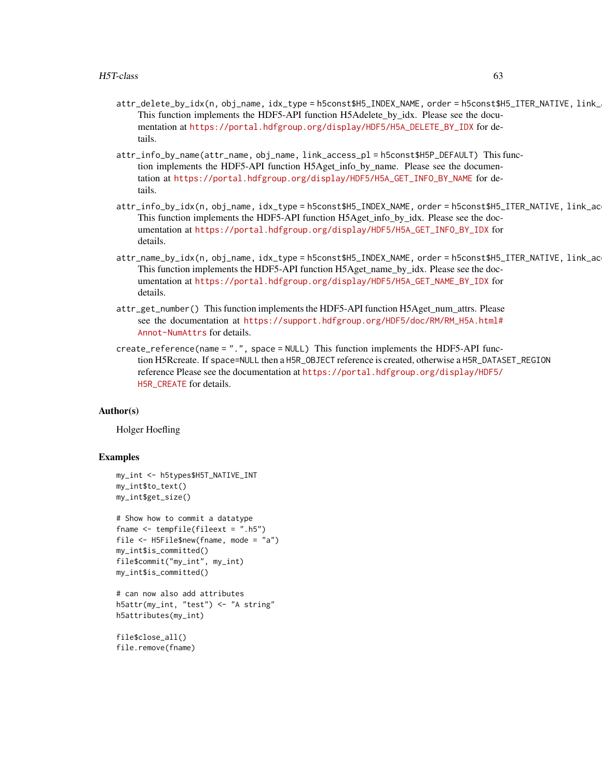- attr\_delete\_by\_idx(n, obj\_name, idx\_type = h5const\$H5\_INDEX\_NAME, order = h5const\$H5\_ITER\_NATIVE, link\_ This function implements the HDF5-API function H5Adelete\_by\_idx. Please see the documentation at [https://portal.hdfgroup.org/display/HDF5/H5A\\_DELETE\\_BY\\_IDX](https://portal.hdfgroup.org/display/HDF5/H5A_DELETE_BY_IDX) for details.
- attr\_info\_by\_name(attr\_name, obj\_name, link\_access\_pl = h5const\$H5P\_DEFAULT) This function implements the HDF5-API function H5Aget\_info\_by\_name. Please see the documentation at [https://portal.hdfgroup.org/display/HDF5/H5A\\_GET\\_INFO\\_BY\\_NAME](https://portal.hdfgroup.org/display/HDF5/H5A_GET_INFO_BY_NAME) for details.
- attr\_info\_by\_idx(n, obj\_name, idx\_type = h5const\$H5\_INDEX\_NAME, order = h5const\$H5\_ITER\_NATIVE, link\_ac This function implements the HDF5-API function H5Aget\_info\_by\_idx. Please see the documentation at [https://portal.hdfgroup.org/display/HDF5/H5A\\_GET\\_INFO\\_BY\\_IDX](https://portal.hdfgroup.org/display/HDF5/H5A_GET_INFO_BY_IDX) for details.
- attr\_name\_by\_idx(n, obj\_name, idx\_type = h5const\$H5\_INDEX\_NAME, order = h5const\$H5\_ITER\_NATIVE, link\_ac This function implements the HDF5-API function H5Aget\_name\_by\_idx. Please see the documentation at [https://portal.hdfgroup.org/display/HDF5/H5A\\_GET\\_NAME\\_BY\\_IDX](https://portal.hdfgroup.org/display/HDF5/H5A_GET_NAME_BY_IDX) for details.
- attr\_get\_number() This function implements the HDF5-API function H5Aget\_num\_attrs. Please see the documentation at [https://support.hdfgroup.org/HDF5/doc/RM/RM\\_H5A.html#](https://support.hdfgroup.org/HDF5/doc/RM/RM_H5A.html#Annot-NumAttrs) [Annot-NumAttrs](https://support.hdfgroup.org/HDF5/doc/RM/RM_H5A.html#Annot-NumAttrs) for details.
- create\_reference(name = ".", space = NULL) This function implements the HDF5-API function H5Rcreate. If space=NULL then a H5R\_OBJECT reference is created, otherwise a H5R\_DATASET\_REGION reference Please see the documentation at [https://portal.hdfgroup.org/display/HDF5/](https://portal.hdfgroup.org/display/HDF5/H5R_CREATE) [H5R\\_CREATE](https://portal.hdfgroup.org/display/HDF5/H5R_CREATE) for details.

### Author(s)

Holger Hoefling

```
my_int <- h5types$H5T_NATIVE_INT
my_int$to_text()
my_int$get_size()
```

```
# Show how to commit a datatype
fname <- tempfile(fileext = ".h5")
file <- H5File$new(fname, mode = "a")
my_int$is_committed()
file$commit("my_int", my_int)
my_int$is_committed()
```

```
# can now also add attributes
h5attr(my_int, "test") <- "A string"
h5attributes(my_int)
```

```
file$close_all()
file.remove(fname)
```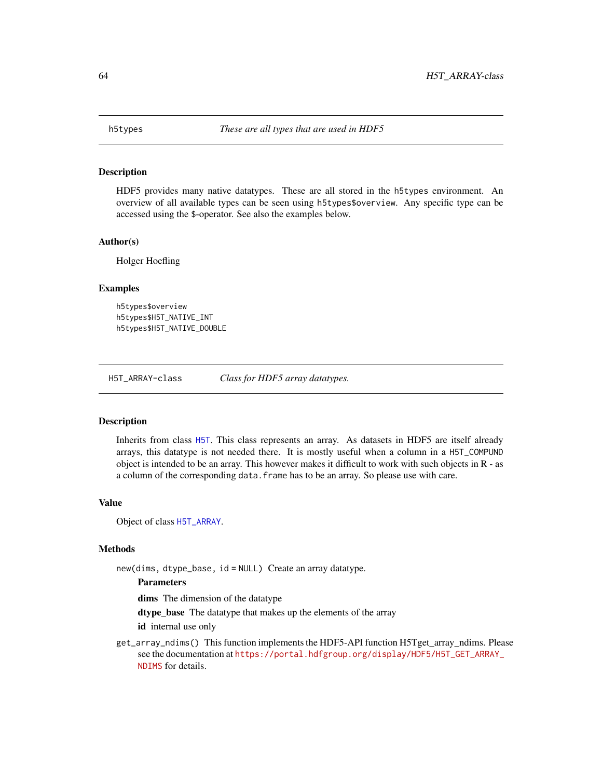HDF5 provides many native datatypes. These are all stored in the h5types environment. An overview of all available types can be seen using h5types\$overview. Any specific type can be accessed using the \$-operator. See also the examples below.

#### Author(s)

Holger Hoefling

#### Examples

```
h5types$overview
h5types$H5T_NATIVE_INT
h5types$H5T_NATIVE_DOUBLE
```
H5T\_ARRAY-class *Class for HDF5 array datatypes.*

### <span id="page-63-0"></span>**Description**

Inherits from class [H5T](#page-59-0). This class represents an array. As datasets in HDF5 are itself already arrays, this datatype is not needed there. It is mostly useful when a column in a H5T\_COMPUND object is intended to be an array. This however makes it difficult to work with such objects in R - as a column of the corresponding data. frame has to be an array. So please use with care.

### Value

Object of class [H5T\\_ARRAY](#page-63-0).

### Methods

new(dims, dtype\_base, id = NULL) Create an array datatype.

### **Parameters**

dims The dimension of the datatype

dtype\_base The datatype that makes up the elements of the array

id internal use only

get\_array\_ndims() This function implements the HDF5-API function H5Tget\_array\_ndims. Please see the documentation at [https://portal.hdfgroup.org/display/HDF5/H5T\\_GET\\_ARRAY\\_](https://portal.hdfgroup.org/display/HDF5/H5T_GET_ARRAY_NDIMS) [NDIMS](https://portal.hdfgroup.org/display/HDF5/H5T_GET_ARRAY_NDIMS) for details.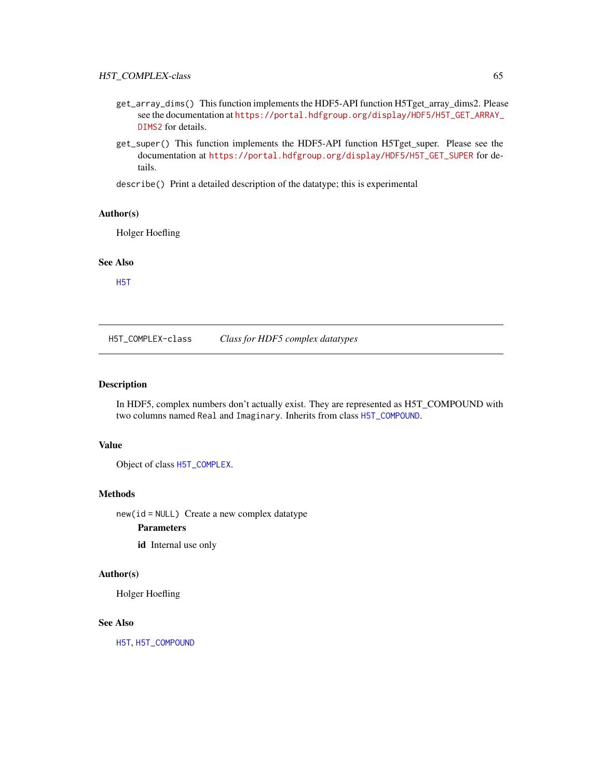- get\_array\_dims() This function implements the HDF5-API function H5Tget\_array\_dims2. Please see the documentation at [https://portal.hdfgroup.org/display/HDF5/H5T\\_GET\\_ARRAY\\_](https://portal.hdfgroup.org/display/HDF5/H5T_GET_ARRAY_DIMS2) [DIMS2](https://portal.hdfgroup.org/display/HDF5/H5T_GET_ARRAY_DIMS2) for details.
- get\_super() This function implements the HDF5-API function H5Tget\_super. Please see the documentation at [https://portal.hdfgroup.org/display/HDF5/H5T\\_GET\\_SUPER](https://portal.hdfgroup.org/display/HDF5/H5T_GET_SUPER) for details.
- describe() Print a detailed description of the datatype; this is experimental

### Author(s)

Holger Hoefling

#### See Also

[H5T](#page-59-0)

H5T\_COMPLEX-class *Class for HDF5 complex datatypes*

### <span id="page-64-0"></span>Description

In HDF5, complex numbers don't actually exist. They are represented as H5T\_COMPOUND with two columns named Real and Imaginary. Inherits from class [H5T\\_COMPOUND](#page-65-0).

#### Value

Object of class [H5T\\_COMPLEX](#page-64-0).

### Methods

new(id = NULL) Create a new complex datatype

### Parameters

id Internal use only

### Author(s)

Holger Hoefling

#### See Also

[H5T](#page-59-0), [H5T\\_COMPOUND](#page-65-0)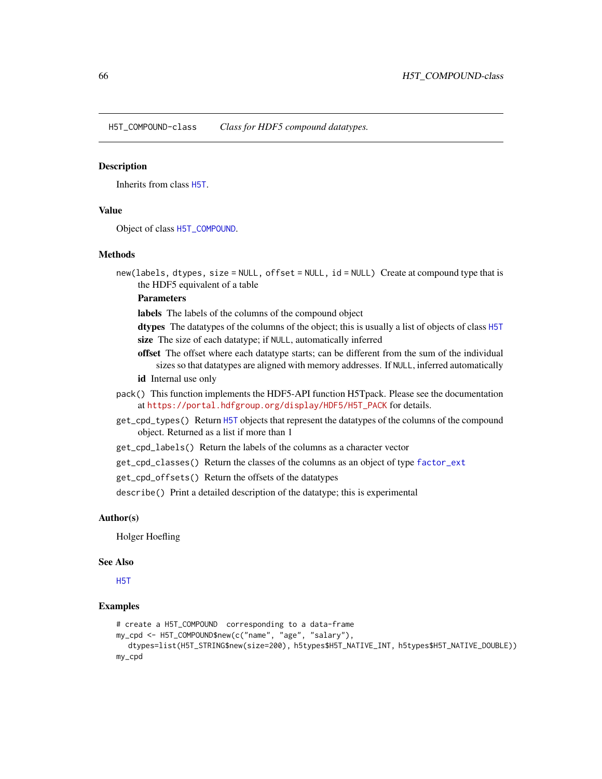H5T\_COMPOUND-class *Class for HDF5 compound datatypes.*

#### <span id="page-65-0"></span>**Description**

Inherits from class [H5T](#page-59-0).

### Value

Object of class [H5T\\_COMPOUND](#page-65-0).

### Methods

new(labels, dtypes, size = NULL, offset = NULL, id = NULL) Create at compound type that is the HDF5 equivalent of a table

### Parameters

labels The labels of the columns of the compound object

dtypes The datatypes of the columns of the object; this is usually a list of objects of class [H5T](#page-59-0) size The size of each datatype; if NULL, automatically inferred

- offset The offset where each datatype starts; can be different from the sum of the individual sizes so that datatypes are aligned with memory addresses. If NULL, inferred automatically
- id Internal use only
- pack() This function implements the HDF5-API function H5Tpack. Please see the documentation at [https://portal.hdfgroup.org/display/HDF5/H5T\\_PACK](https://portal.hdfgroup.org/display/HDF5/H5T_PACK) for details.
- get\_cpd\_types() Return [H5T](#page-59-0) objects that represent the datatypes of the columns of the compound object. Returned as a list if more than 1
- get\_cpd\_labels() Return the labels of the columns as a character vector
- get\_cpd\_classes() Return the classes of the columns as an object of type [factor\\_ext](#page-4-0)
- get\_cpd\_offsets() Return the offsets of the datatypes

describe() Print a detailed description of the datatype; this is experimental

### Author(s)

Holger Hoefling

#### See Also

[H5T](#page-59-0)

```
# create a H5T_COMPOUND corresponding to a data-frame
my_cpd <- H5T_COMPOUND$new(c("name", "age", "salary"),
  dtypes=list(H5T_STRING$new(size=200), h5types$H5T_NATIVE_INT, h5types$H5T_NATIVE_DOUBLE))
my_cpd
```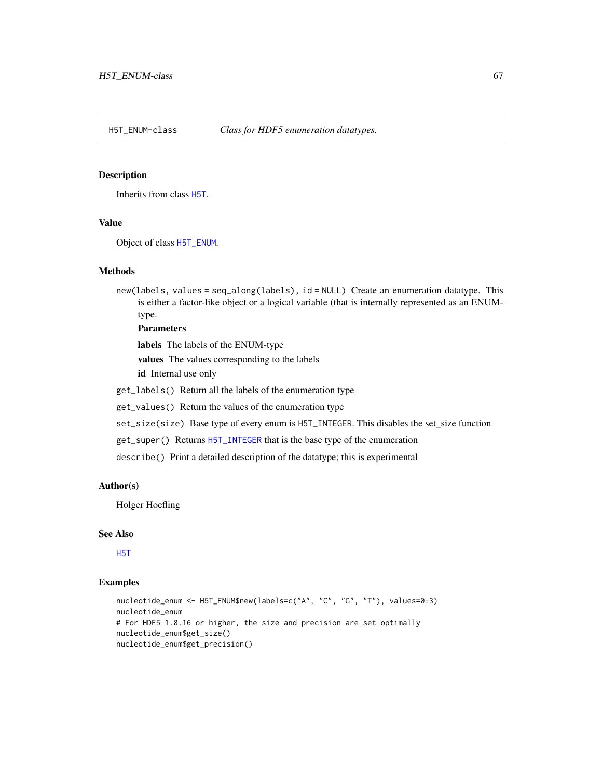<span id="page-66-0"></span>

Inherits from class [H5T](#page-59-0).

#### Value

Object of class [H5T\\_ENUM](#page-66-0).

### Methods

new(labels, values = seq\_along(labels), id = NULL) Create an enumeration datatype. This is either a factor-like object or a logical variable (that is internally represented as an ENUMtype.

### **Parameters**

labels The labels of the ENUM-type

values The values corresponding to the labels

id Internal use only

get\_labels() Return all the labels of the enumeration type

get\_values() Return the values of the enumeration type

set\_size(size) Base type of every enum is H5T\_INTEGER. This disables the set\_size function

get\_super() Returns [H5T\\_INTEGER](#page-68-0) that is the base type of the enumeration

describe() Print a detailed description of the datatype; this is experimental

### Author(s)

Holger Hoefling

#### See Also

[H5T](#page-59-0)

```
nucleotide_enum <- H5T_ENUM$new(labels=c("A", "C", "G", "T"), values=0:3)
nucleotide_enum
# For HDF5 1.8.16 or higher, the size and precision are set optimally
nucleotide_enum$get_size()
nucleotide_enum$get_precision()
```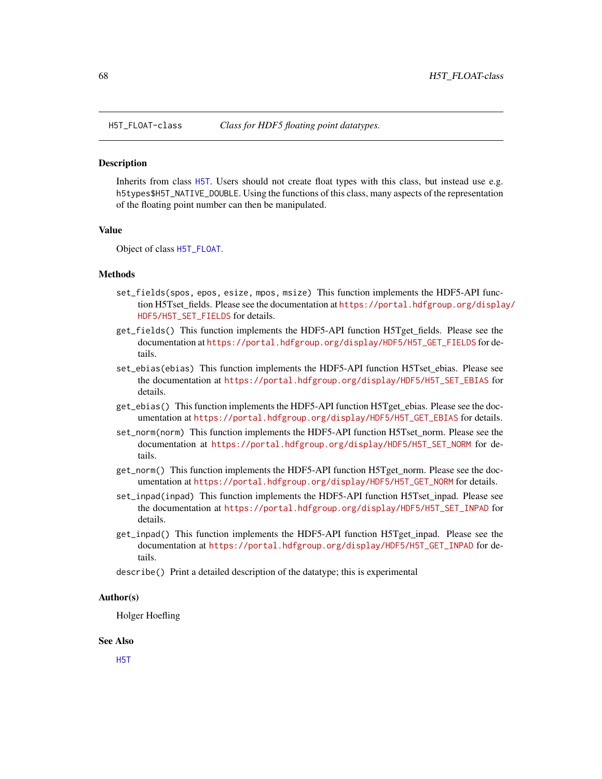<span id="page-67-0"></span>

Inherits from class [H5T](#page-59-0). Users should not create float types with this class, but instead use e.g. h5types\$H5T\_NATIVE\_DOUBLE. Using the functions of this class, many aspects of the representation of the floating point number can then be manipulated.

#### Value

Object of class [H5T\\_FLOAT](#page-67-0).

### Methods

- set\_fields(spos, epos, esize, mpos, msize) This function implements the HDF5-API function H5Tset\_fields. Please see the documentation at [https://portal.hdfgroup.org/displa](https://portal.hdfgroup.org/display/HDF5/H5T_SET_FIELDS)y/ [HDF5/H5T\\_SET\\_FIELDS](https://portal.hdfgroup.org/display/HDF5/H5T_SET_FIELDS) for details.
- get\_fields() This function implements the HDF5-API function H5Tget\_fields. Please see the documentation at [https://portal.hdfgroup.org/display/HDF5/H5T\\_GET\\_FIELDS](https://portal.hdfgroup.org/display/HDF5/H5T_GET_FIELDS) for details.
- set\_ebias(ebias) This function implements the HDF5-API function H5Tset\_ebias. Please see the documentation at [https://portal.hdfgroup.org/display/HDF5/H5T\\_SET\\_EBIAS](https://portal.hdfgroup.org/display/HDF5/H5T_SET_EBIAS) for details.
- get\_ebias() This function implements the HDF5-API function H5Tget\_ebias. Please see the documentation at [https://portal.hdfgroup.org/display/HDF5/H5T\\_GET\\_EBIAS](https://portal.hdfgroup.org/display/HDF5/H5T_GET_EBIAS) for details.
- set\_norm(norm) This function implements the HDF5-API function H5Tset\_norm. Please see the documentation at [https://portal.hdfgroup.org/display/HDF5/H5T\\_SET\\_NORM](https://portal.hdfgroup.org/display/HDF5/H5T_SET_NORM) for details.
- get\_norm() This function implements the HDF5-API function H5Tget\_norm. Please see the documentation at [https://portal.hdfgroup.org/display/HDF5/H5T\\_GET\\_NORM](https://portal.hdfgroup.org/display/HDF5/H5T_GET_NORM) for details.
- set\_inpad(inpad) This function implements the HDF5-API function H5Tset\_inpad. Please see the documentation at [https://portal.hdfgroup.org/display/HDF5/H5T\\_SET\\_INPAD](https://portal.hdfgroup.org/display/HDF5/H5T_SET_INPAD) for details.
- get\_inpad() This function implements the HDF5-API function H5Tget\_inpad. Please see the documentation at [https://portal.hdfgroup.org/display/HDF5/H5T\\_GET\\_INPAD](https://portal.hdfgroup.org/display/HDF5/H5T_GET_INPAD) for details.
- describe() Print a detailed description of the datatype; this is experimental

#### Author(s)

Holger Hoefling

#### See Also

[H5T](#page-59-0)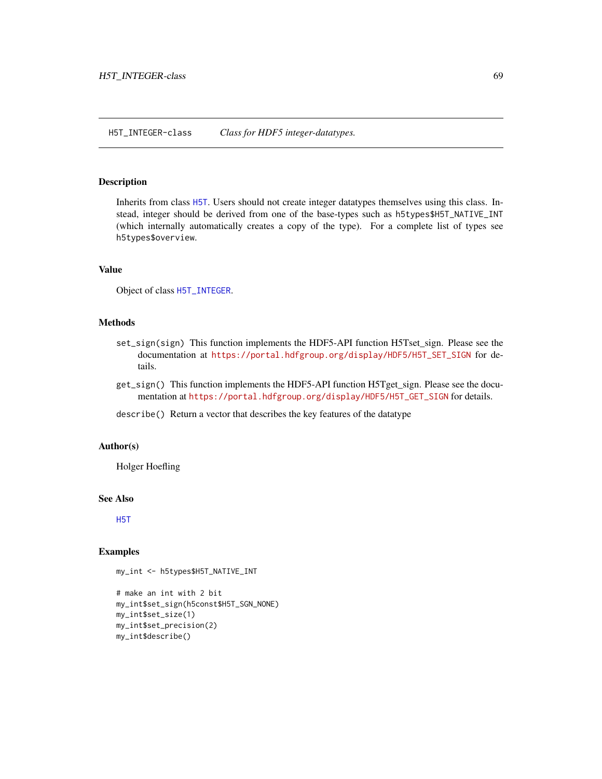<span id="page-68-0"></span>Inherits from class [H5T](#page-59-0). Users should not create integer datatypes themselves using this class. Instead, integer should be derived from one of the base-types such as h5types\$H5T\_NATIVE\_INT (which internally automatically creates a copy of the type). For a complete list of types see h5types\$overview.

### Value

Object of class [H5T\\_INTEGER](#page-68-0).

### Methods

- set\_sign(sign) This function implements the HDF5-API function H5Tset\_sign. Please see the documentation at [https://portal.hdfgroup.org/display/HDF5/H5T\\_SET\\_SIGN](https://portal.hdfgroup.org/display/HDF5/H5T_SET_SIGN) for details.
- get\_sign() This function implements the HDF5-API function H5Tget\_sign. Please see the documentation at [https://portal.hdfgroup.org/display/HDF5/H5T\\_GET\\_SIGN](https://portal.hdfgroup.org/display/HDF5/H5T_GET_SIGN) for details.
- describe() Return a vector that describes the key features of the datatype

#### Author(s)

Holger Hoefling

### See Also

[H5T](#page-59-0)

```
my_int <- h5types$H5T_NATIVE_INT
```

```
# make an int with 2 bit
my_int$set_sign(h5const$H5T_SGN_NONE)
my_int$set_size(1)
my_int$set_precision(2)
my_int$describe()
```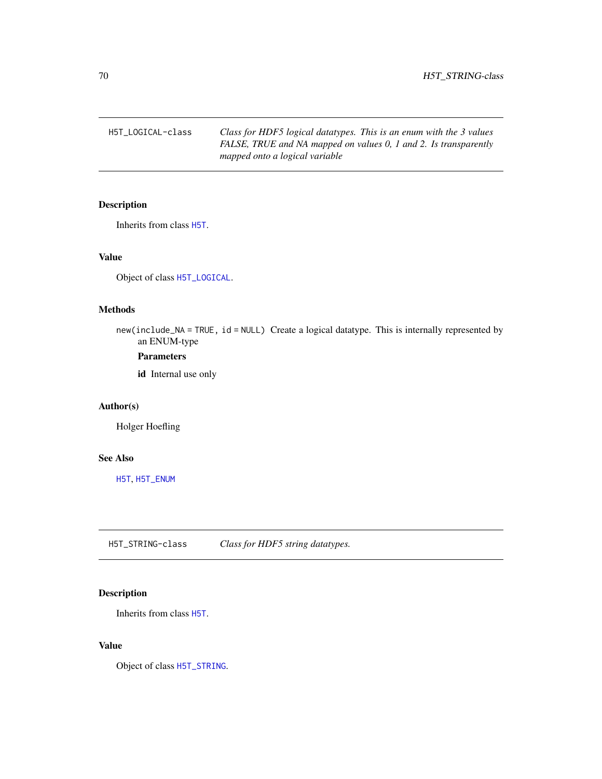H5T\_LOGICAL-class *Class for HDF5 logical datatypes. This is an enum with the 3 values FALSE, TRUE and NA mapped on values 0, 1 and 2. Is transparently mapped onto a logical variable*

### <span id="page-69-1"></span>Description

Inherits from class [H5T](#page-59-0).

### Value

Object of class [H5T\\_LOGICAL](#page-69-1).

### Methods

new(include\_NA = TRUE, id = NULL) Create a logical datatype. This is internally represented by an ENUM-type

### Parameters

id Internal use only

### Author(s)

Holger Hoefling

#### See Also

[H5T](#page-59-0), [H5T\\_ENUM](#page-66-0)

H5T\_STRING-class *Class for HDF5 string datatypes.*

### <span id="page-69-0"></span>Description

Inherits from class [H5T](#page-59-0).

### Value

Object of class [H5T\\_STRING](#page-69-0).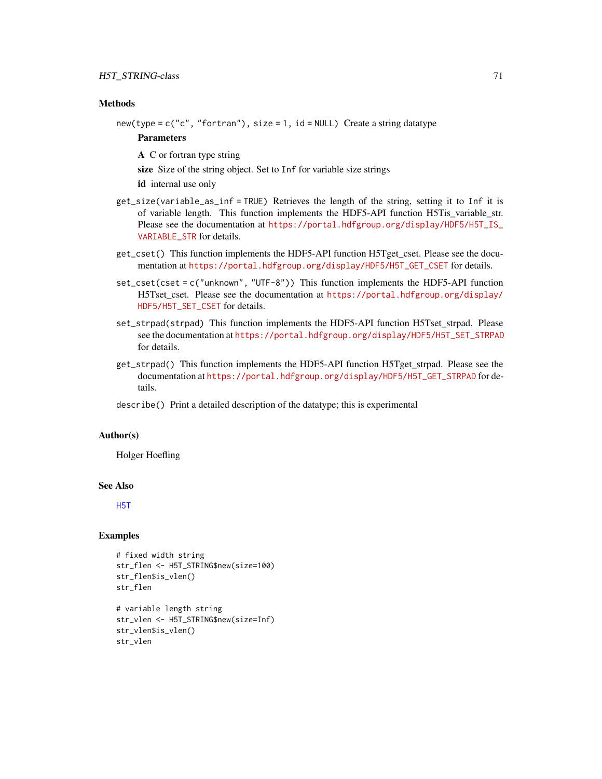### **Methods**

new(type = c("c", "fortran"), size = 1, id = NULL) Create a string datatype

### **Parameters**

A C or fortran type string

size Size of the string object. Set to Inf for variable size strings

id internal use only

- get\_size(variable\_as\_inf = TRUE) Retrieves the length of the string, setting it to Inf it is of variable length. This function implements the HDF5-API function H5Tis\_variable\_str. Please see the documentation at [https://portal.hdfgroup.org/display/HDF5/H5T\\_IS\\_](https://portal.hdfgroup.org/display/HDF5/H5T_IS_VARIABLE_STR) [VARIABLE\\_STR](https://portal.hdfgroup.org/display/HDF5/H5T_IS_VARIABLE_STR) for details.
- get\_cset() This function implements the HDF5-API function H5Tget\_cset. Please see the documentation at [https://portal.hdfgroup.org/display/HDF5/H5T\\_GET\\_CSET](https://portal.hdfgroup.org/display/HDF5/H5T_GET_CSET) for details.
- set\_cset(cset = c("unknown", "UTF-8")) This function implements the HDF5-API function H5Tset\_cset. Please see the documentation at [https://portal.hdfgroup.org/display/](https://portal.hdfgroup.org/display/HDF5/H5T_SET_CSET) [HDF5/H5T\\_SET\\_CSET](https://portal.hdfgroup.org/display/HDF5/H5T_SET_CSET) for details.
- set\_strpad(strpad) This function implements the HDF5-API function H5Tset\_strpad. Please see the documentation at [https://portal.hdfgroup.org/display/HDF5/H5T\\_SET\\_STRPAD](https://portal.hdfgroup.org/display/HDF5/H5T_SET_STRPAD) for details.
- get\_strpad() This function implements the HDF5-API function H5Tget\_strpad. Please see the documentation at [https://portal.hdfgroup.org/display/HDF5/H5T\\_GET\\_STRPAD](https://portal.hdfgroup.org/display/HDF5/H5T_GET_STRPAD) for details.
- describe() Print a detailed description of the datatype; this is experimental

### Author(s)

Holger Hoefling

### See Also

[H5T](#page-59-0)

```
# fixed width string
str_flen <- H5T_STRING$new(size=100)
str_flen$is_vlen()
str_flen
```

```
# variable length string
str_vlen <- H5T_STRING$new(size=Inf)
str_vlen$is_vlen()
str_vlen
```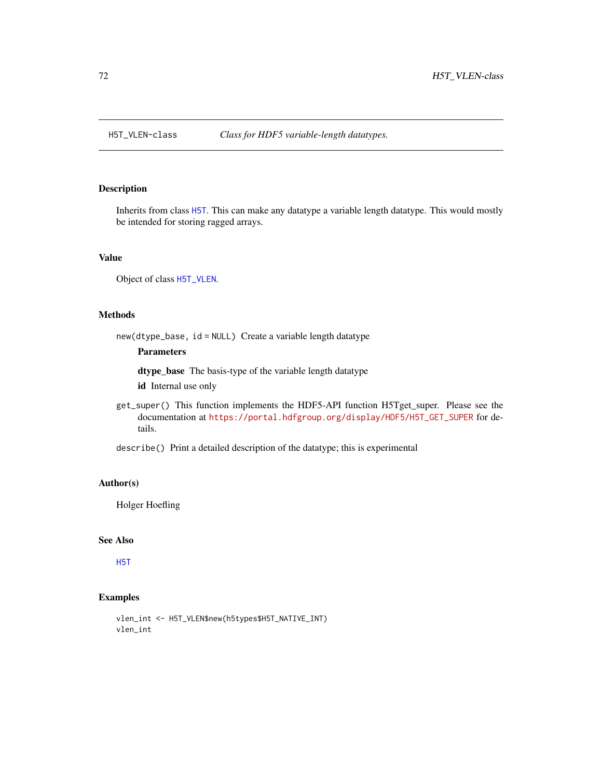<span id="page-71-0"></span>

Inherits from class [H5T](#page-59-0). This can make any datatype a variable length datatype. This would mostly be intended for storing ragged arrays.

### Value

Object of class [H5T\\_VLEN](#page-71-0).

### Methods

new(dtype\_base, id = NULL) Create a variable length datatype

### Parameters

dtype\_base The basis-type of the variable length datatype

id Internal use only

get\_super() This function implements the HDF5-API function H5Tget\_super. Please see the documentation at [https://portal.hdfgroup.org/display/HDF5/H5T\\_GET\\_SUPER](https://portal.hdfgroup.org/display/HDF5/H5T_GET_SUPER) for details.

describe() Print a detailed description of the datatype; this is experimental

### Author(s)

Holger Hoefling

### See Also

[H5T](#page-59-0)

```
vlen_int <- H5T_VLEN$new(h5types$H5T_NATIVE_INT)
vlen_int
```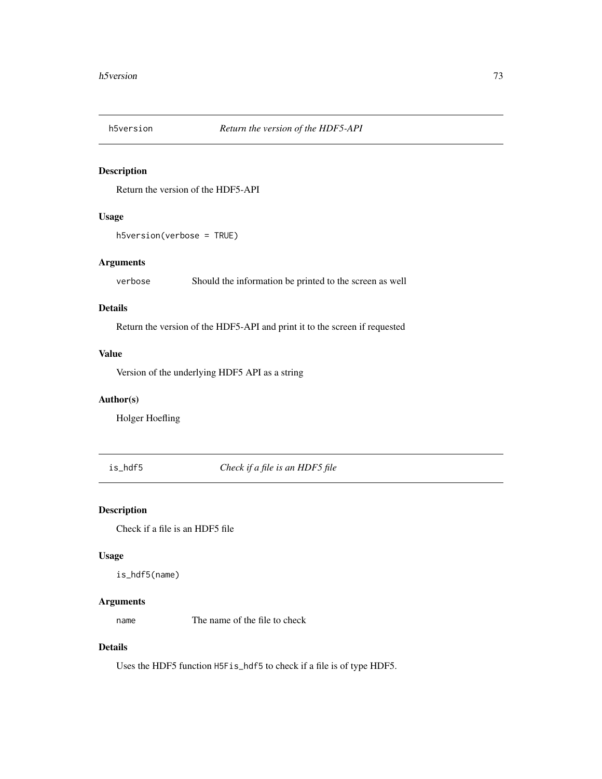<span id="page-72-0"></span>

## Description

Return the version of the HDF5-API

# Usage

h5version(verbose = TRUE)

## Arguments

verbose Should the information be printed to the screen as well

## Details

Return the version of the HDF5-API and print it to the screen if requested

## Value

Version of the underlying HDF5 API as a string

## Author(s)

Holger Hoefling

is\_hdf5 *Check if a file is an HDF5 file*

# Description

Check if a file is an HDF5 file

#### Usage

is\_hdf5(name)

## Arguments

name The name of the file to check

## Details

Uses the HDF5 function H5Fis\_hdf5 to check if a file is of type HDF5.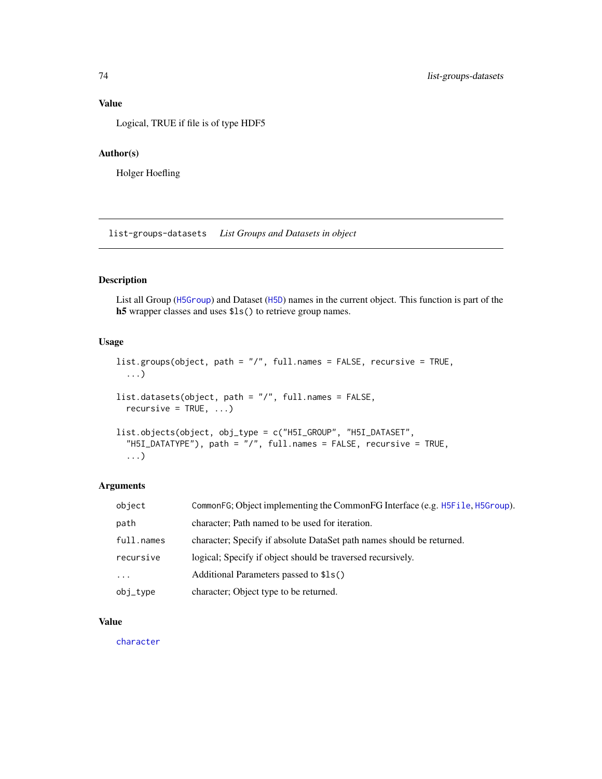## <span id="page-73-0"></span>Value

Logical, TRUE if file is of type HDF5

## Author(s)

Holger Hoefling

list-groups-datasets *List Groups and Datasets in object*

## Description

List all Group ([H5Group](#page-29-0)) and Dataset ([H5D](#page-16-0)) names in the current object. This function is part of the h5 wrapper classes and uses \$ls() to retrieve group names.

## Usage

```
list.groups(object, path = "/", full.names = FALSE, recursive = TRUE,
  ...)
list.datasets(object, path = "/", full.names = FALSE,
  recursively = TRUE, ...list.objects(object, obj_type = c("H5I_GROUP", "H5I_DATASET",
  "H5I_DATATYPE"), path = "/", full.names = FALSE, recursive = TRUE,
  ...)
```
## Arguments

| object     | CommonFG; Object implementing the CommonFG Interface (e.g. H5File, H5Group). |
|------------|------------------------------------------------------------------------------|
| path       | character; Path named to be used for iteration.                              |
| full.names | character; Specify if absolute DataSet path names should be returned.        |
| recursive  | logical; Specify if object should be traversed recursively.                  |
| $\ddotsc$  | Additional Parameters passed to \$1s()                                       |
| obj_type   | character; Object type to be returned.                                       |

## Value

[character](#page-0-0)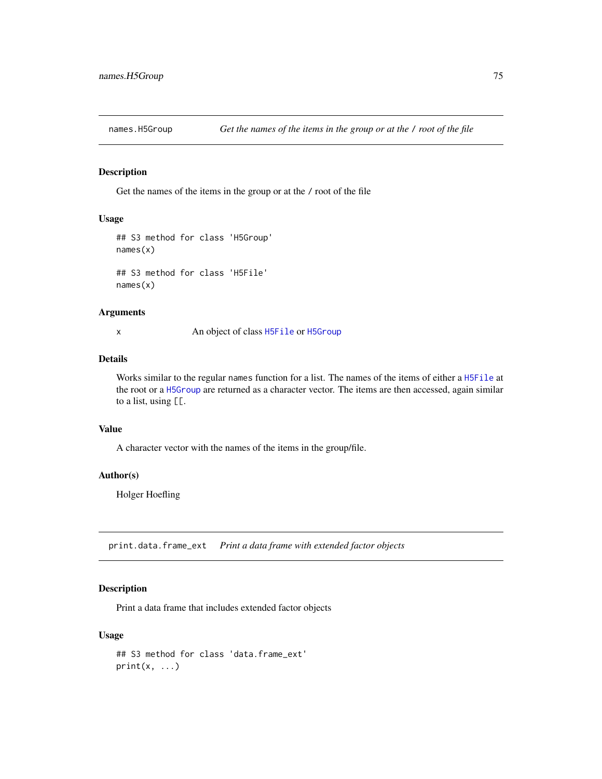<span id="page-74-0"></span>

## Description

Get the names of the items in the group or at the / root of the file

## Usage

```
## S3 method for class 'H5Group'
names(x)
## S3 method for class 'H5File'
names(x)
```
#### Arguments

x An object of class [H5File](#page-22-0) or [H5Group](#page-29-0)

#### Details

Works similar to the regular names function for a list. The names of the items of either a [H5File](#page-22-0) at the root or a [H5Group](#page-29-0) are returned as a character vector. The items are then accessed, again similar to a list, using [[.

#### Value

A character vector with the names of the items in the group/file.

## Author(s)

Holger Hoefling

print.data.frame\_ext *Print a data frame with extended factor objects*

## Description

Print a data frame that includes extended factor objects

#### Usage

```
## S3 method for class 'data.frame_ext'
print(x, \ldots)
```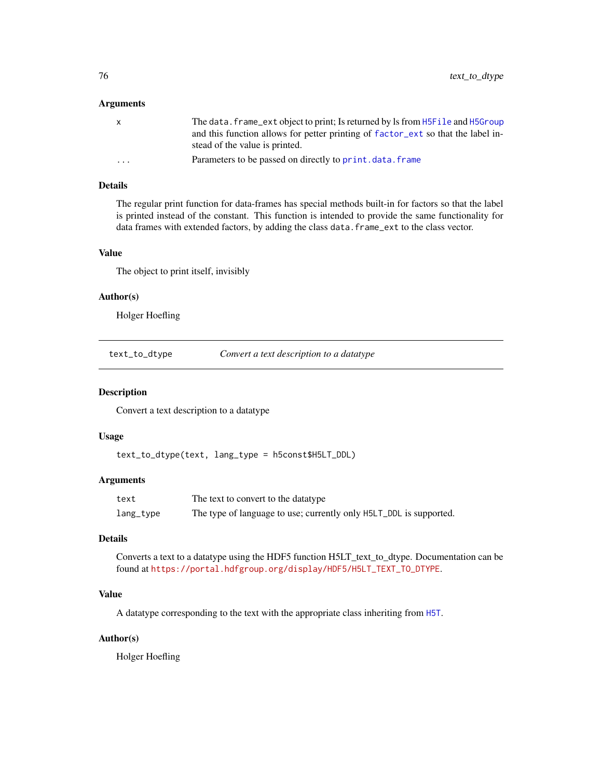#### <span id="page-75-0"></span>Arguments

| The data. frame_ext object to print; Is returned by ls from H5File and H5Group   |
|----------------------------------------------------------------------------------|
| and this function allows for petter printing of factor_ext so that the label in- |
| stead of the value is printed.                                                   |
| Parameters to be passed on directly to print, data, frame                        |
|                                                                                  |

## Details

The regular print function for data-frames has special methods built-in for factors so that the label is printed instead of the constant. This function is intended to provide the same functionality for data frames with extended factors, by adding the class data.frame\_ext to the class vector.

#### Value

The object to print itself, invisibly

## Author(s)

Holger Hoefling

text\_to\_dtype *Convert a text description to a datatype*

#### Description

Convert a text description to a datatype

#### Usage

```
text_to_dtype(text, lang_type = h5const$H5LT_DDL)
```
#### Arguments

| text      | The text to convert to the datatype                                |  |  |
|-----------|--------------------------------------------------------------------|--|--|
| lang_type | The type of language to use; currently only H5LT_DDL is supported. |  |  |

#### Details

Converts a text to a datatype using the HDF5 function H5LT\_text\_to\_dtype. Documentation can be found at [https://portal.hdfgroup.org/display/HDF5/H5LT\\_TEXT\\_TO\\_DTYPE](https://portal.hdfgroup.org/display/HDF5/H5LT_TEXT_TO_DTYPE).

#### Value

A datatype corresponding to the text with the appropriate class inheriting from [H5T](#page-59-0).

#### Author(s)

Holger Hoefling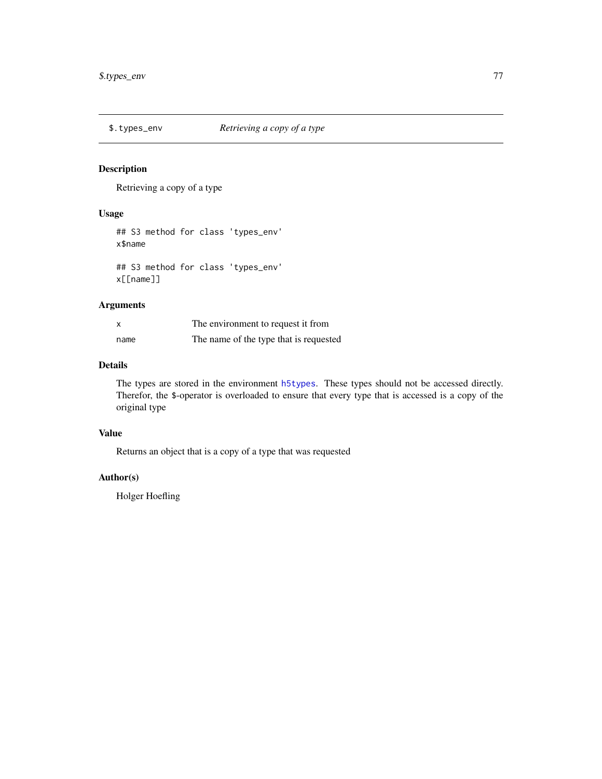<span id="page-76-0"></span>

## Description

Retrieving a copy of a type

## Usage

## S3 method for class 'types\_env' x\$name

## S3 method for class 'types\_env' x[[name]]

## Arguments

| X    | The environment to request it from     |
|------|----------------------------------------|
| name | The name of the type that is requested |

# Details

The types are stored in the environment [h5types](#page-63-0). These types should not be accessed directly. Therefor, the \$-operator is overloaded to ensure that every type that is accessed is a copy of the original type

## Value

Returns an object that is a copy of a type that was requested

#### Author(s)

Holger Hoefling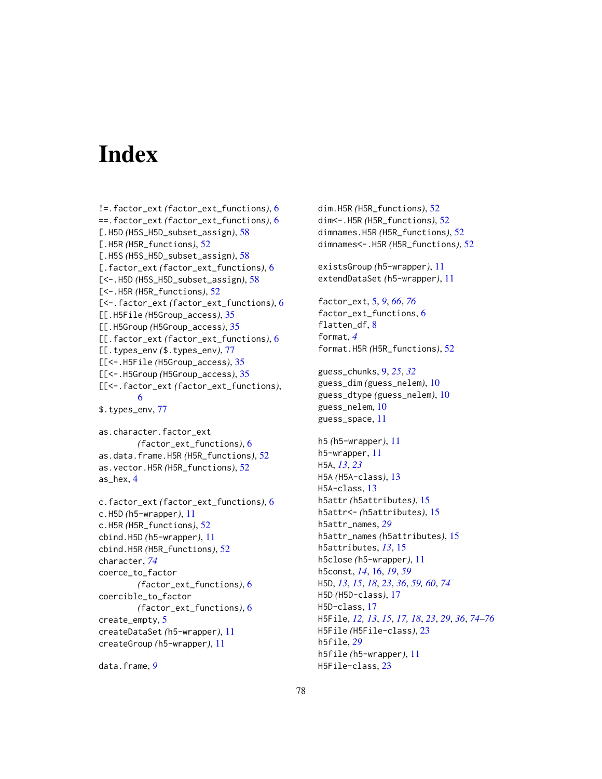# Index

```
!=.factor_ext (factor_ext_functions), 6
==.factor_ext (factor_ext_functions), 6
[.H5D (H5S_H5D_subset_assign), 58
[.H5R (H5R_functions), 52
[.H5S (H5S_H5D_subset_assign), 58
[.factor_ext (factor_ext_functions), 6
[<-.H5D (H5S_H5D_subset_assign), 58
[<-.H5R (H5R_functions), 52
[<-.factor_ext (factor_ext_functions), 6
[[.H5File (H5Group_access), 35
[[.H5Group (H5Group_access), 35
[[.factor_ext (factor_ext_functions), 6
[[.types_env ($.types_env), 77
[[<-.H5File (H5Group_access), 35
[[<-.H5Group (H5Group_access), 35
[[<-.factor_ext (factor_ext_functions),
        6
$.types_env, 77
as.character.factor_ext
        (factor_ext_functions), 6
as.data.frame.H5R (H5R_functions), 52
as.vector.H5R (H5R_functions), 52
as_hex, 4
c.factor_ext (factor_ext_functions), 6
c.H5D (h5-wrapper), 11
c.H5R (H5R_functions), 52
cbind.H5D (h5-wrapper), 11
cbind.H5R (H5R_functions), 52
character, 74
coerce_to_factor
        (factor_ext_functions), 6
coercible_to_factor
        (factor_ext_functions), 6
create_empty, 5
createDataSet (h5-wrapper), 11
createGroup (h5-wrapper), 11
```
data.frame, *[9](#page-8-0)*

dim.H5R *(*H5R\_functions*)*, [52](#page-51-0) dim<-.H5R *(*H5R\_functions*)*, [52](#page-51-0) dimnames.H5R *(*H5R\_functions*)*, [52](#page-51-0) dimnames<-.H5R *(*H5R\_functions*)*, [52](#page-51-0) existsGroup *(*h5-wrapper*)*, [11](#page-10-0) extendDataSet *(*h5-wrapper*)*, [11](#page-10-0) factor\_ext, [5,](#page-4-1) *[9](#page-8-0)*, *[66](#page-65-0)*, *[76](#page-75-0)* factor\_ext\_functions, [6](#page-5-0) flatten\_df, [8](#page-7-0) format, *[4](#page-3-0)* format.H5R *(*H5R\_functions*)*, [52](#page-51-0) guess\_chunks, [9,](#page-8-0) *[25](#page-24-0)*, *[32](#page-31-0)* guess\_dim *(*guess\_nelem*)*, [10](#page-9-0) guess\_dtype *(*guess\_nelem*)*, [10](#page-9-0) guess\_nelem, [10](#page-9-0) guess\_space, [11](#page-10-0) h5 *(*h5-wrapper*)*, [11](#page-10-0) h5-wrapper, [11](#page-10-0) H5A, *[13](#page-12-0)*, *[23](#page-22-1)* H5A *(*H5A-class*)*, [13](#page-12-0) H5A-class, [13](#page-12-0) h5attr *(*h5attributes*)*, [15](#page-14-0) h5attr<- *(*h5attributes*)*, [15](#page-14-0) h5attr\_names, *[29](#page-28-0)* h5attr\_names *(*h5attributes*)*, [15](#page-14-0) h5attributes, *[13](#page-12-0)*, [15](#page-14-0) h5close *(*h5-wrapper*)*, [11](#page-10-0) h5const, *[14](#page-13-0)*, [16,](#page-15-0) *[19](#page-18-0)*, *[59](#page-58-0)* H5D, *[13](#page-12-0)*, *[15](#page-14-0)*, *[18](#page-17-0)*, *[23](#page-22-1)*, *[36](#page-35-0)*, *[59,](#page-58-0) [60](#page-59-1)*, *[74](#page-73-0)* H5D *(*H5D-class*)*, [17](#page-16-1) H5D-class, [17](#page-16-1) H5File, *[12,](#page-11-0) [13](#page-12-0)*, *[15](#page-14-0)*, *[17,](#page-16-1) [18](#page-17-0)*, *[23](#page-22-1)*, *[29](#page-28-0)*, *[36](#page-35-0)*, *[74](#page-73-0)[–76](#page-75-0)* H5File *(*H5File-class*)*, [23](#page-22-1) h5file, *[29](#page-28-0)* h5file *(*h5-wrapper*)*, [11](#page-10-0) H5File-class, [23](#page-22-1)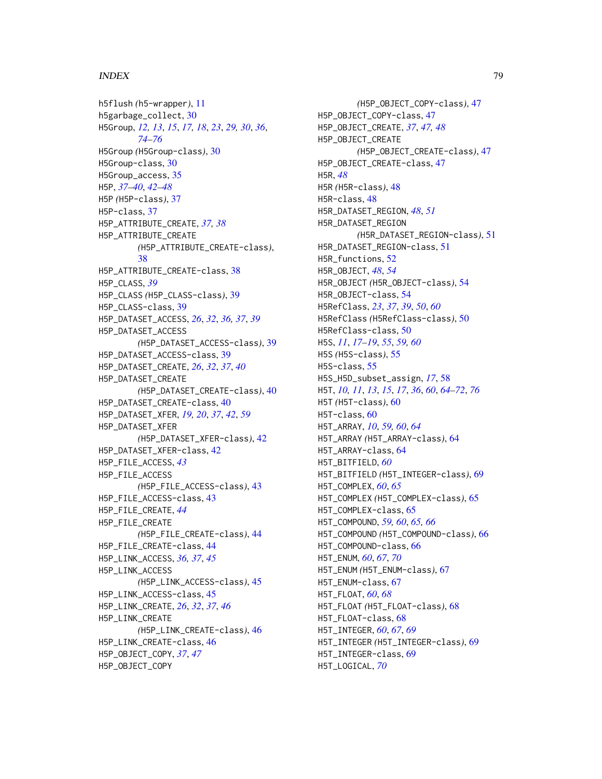#### INDEX 29

h5flush *(*h5-wrapper*)*, [11](#page-10-0) h5garbage\_collect, [30](#page-29-1) H5Group, *[12,](#page-11-0) [13](#page-12-0)*, *[15](#page-14-0)*, *[17,](#page-16-1) [18](#page-17-0)*, *[23](#page-22-1)*, *[29,](#page-28-0) [30](#page-29-1)*, *[36](#page-35-0)*, *[74](#page-73-0)[–76](#page-75-0)* H5Group *(*H5Group-class*)*, [30](#page-29-1) H5Group-class, [30](#page-29-1) H5Group\_access, [35](#page-34-0) H5P, *[37](#page-36-0)[–40](#page-39-0)*, *[42](#page-41-0)[–48](#page-47-0)* H5P *(*H5P-class*)*, [37](#page-36-0) H5P-class, [37](#page-36-0) H5P\_ATTRIBUTE\_CREATE, *[37,](#page-36-0) [38](#page-37-0)* H5P\_ATTRIBUTE\_CREATE *(*H5P\_ATTRIBUTE\_CREATE-class*)*, [38](#page-37-0) H5P\_ATTRIBUTE\_CREATE-class, [38](#page-37-0) H5P\_CLASS, *[39](#page-38-0)* H5P\_CLASS *(*H5P\_CLASS-class*)*, [39](#page-38-0) H5P\_CLASS-class, [39](#page-38-0) H5P\_DATASET\_ACCESS, *[26](#page-25-0)*, *[32](#page-31-0)*, *[36,](#page-35-0) [37](#page-36-0)*, *[39](#page-38-0)* H5P\_DATASET\_ACCESS *(*H5P\_DATASET\_ACCESS-class*)*, [39](#page-38-0) H5P\_DATASET\_ACCESS-class, [39](#page-38-0) H5P\_DATASET\_CREATE, *[26](#page-25-0)*, *[32](#page-31-0)*, *[37](#page-36-0)*, *[40](#page-39-0)* H5P\_DATASET\_CREATE *(*H5P\_DATASET\_CREATE-class*)*, [40](#page-39-0) H5P\_DATASET\_CREATE-class, [40](#page-39-0) H5P\_DATASET\_XFER, *[19,](#page-18-0) [20](#page-19-0)*, *[37](#page-36-0)*, *[42](#page-41-0)*, *[59](#page-58-0)* H5P\_DATASET\_XFER *(*H5P\_DATASET\_XFER-class*)*, [42](#page-41-0) H5P\_DATASET\_XFER-class, [42](#page-41-0) H5P\_FILE\_ACCESS, *[43](#page-42-0)* H5P\_FILE\_ACCESS *(*H5P\_FILE\_ACCESS-class*)*, [43](#page-42-0) H5P\_FILE\_ACCESS-class, [43](#page-42-0) H5P\_FILE\_CREATE, *[44](#page-43-0)* H5P\_FILE\_CREATE *(*H5P\_FILE\_CREATE-class*)*, [44](#page-43-0) H5P\_FILE\_CREATE-class, [44](#page-43-0) H5P\_LINK\_ACCESS, *[36,](#page-35-0) [37](#page-36-0)*, *[45](#page-44-0)* H5P\_LINK\_ACCESS *(*H5P\_LINK\_ACCESS-class*)*, [45](#page-44-0) H5P\_LINK\_ACCESS-class, [45](#page-44-0) H5P\_LINK\_CREATE, *[26](#page-25-0)*, *[32](#page-31-0)*, *[37](#page-36-0)*, *[46](#page-45-0)* H5P\_LINK\_CREATE *(*H5P\_LINK\_CREATE-class*)*, [46](#page-45-0) H5P\_LINK\_CREATE-class, [46](#page-45-0) H5P\_OBJECT\_COPY, *[37](#page-36-0)*, *[47](#page-46-0)* H5P\_OBJECT\_COPY

*(*H5P\_OBJECT\_COPY-class*)*, [47](#page-46-0) H5P\_OBJECT\_COPY-class, [47](#page-46-0) H5P\_OBJECT\_CREATE, *[37](#page-36-0)*, *[47,](#page-46-0) [48](#page-47-0)* H5P\_OBJECT\_CREATE *(*H5P\_OBJECT\_CREATE-class*)*, [47](#page-46-0) H5P\_OBJECT\_CREATE-class, [47](#page-46-0) H5R, *[48](#page-47-0)* H5R *(*H5R-class*)*, [48](#page-47-0) H5R-class, [48](#page-47-0) H5R\_DATASET\_REGION, *[48](#page-47-0)*, *[51](#page-50-0)* H5R\_DATASET\_REGION *(*H5R\_DATASET\_REGION-class*)*, [51](#page-50-0) H5R\_DATASET\_REGION-class, [51](#page-50-0) H5R\_functions, [52](#page-51-0) H5R\_OBJECT, *[48](#page-47-0)*, *[54](#page-53-0)* H5R\_OBJECT *(*H5R\_OBJECT-class*)*, [54](#page-53-0) H5R\_OBJECT-class, [54](#page-53-0) H5RefClass, *[23](#page-22-1)*, *[37](#page-36-0)*, *[39](#page-38-0)*, *[50](#page-49-0)*, *[60](#page-59-1)* H5RefClass *(*H5RefClass-class*)*, [50](#page-49-0) H5RefClass-class, [50](#page-49-0) H5S, *[11](#page-10-0)*, *[17](#page-16-1)[–19](#page-18-0)*, *[55](#page-54-0)*, *[59,](#page-58-0) [60](#page-59-1)* H5S *(*H5S-class*)*, [55](#page-54-0) H5S-class, [55](#page-54-0) H5S\_H5D\_subset\_assign, *[17](#page-16-1)*, [58](#page-57-0) H5T, *[10,](#page-9-0) [11](#page-10-0)*, *[13](#page-12-0)*, *[15](#page-14-0)*, *[17](#page-16-1)*, *[36](#page-35-0)*, *[60](#page-59-1)*, *[64](#page-63-1)[–72](#page-71-0)*, *[76](#page-75-0)* H5T *(*H5T-class*)*, [60](#page-59-1) H5T-class, [60](#page-59-1) H5T\_ARRAY, *[10](#page-9-0)*, *[59,](#page-58-0) [60](#page-59-1)*, *[64](#page-63-1)* H5T\_ARRAY *(*H5T\_ARRAY-class*)*, [64](#page-63-1) H5T\_ARRAY-class, [64](#page-63-1) H5T\_BITFIELD, *[60](#page-59-1)* H5T\_BITFIELD *(*H5T\_INTEGER-class*)*, [69](#page-68-0) H5T\_COMPLEX, *[60](#page-59-1)*, *[65](#page-64-0)* H5T\_COMPLEX *(*H5T\_COMPLEX-class*)*, [65](#page-64-0) H5T\_COMPLEX-class, [65](#page-64-0) H5T\_COMPOUND, *[59,](#page-58-0) [60](#page-59-1)*, *[65,](#page-64-0) [66](#page-65-0)* H5T\_COMPOUND *(*H5T\_COMPOUND-class*)*, [66](#page-65-0) H5T\_COMPOUND-class, [66](#page-65-0) H5T\_ENUM, *[60](#page-59-1)*, *[67](#page-66-0)*, *[70](#page-69-0)* H5T\_ENUM *(*H5T\_ENUM-class*)*, [67](#page-66-0) H5T\_ENUM-class, [67](#page-66-0) H5T\_FLOAT, *[60](#page-59-1)*, *[68](#page-67-0)* H5T\_FLOAT *(*H5T\_FLOAT-class*)*, [68](#page-67-0) H5T\_FLOAT-class, [68](#page-67-0) H5T\_INTEGER, *[60](#page-59-1)*, *[67](#page-66-0)*, *[69](#page-68-0)* H5T\_INTEGER *(*H5T\_INTEGER-class*)*, [69](#page-68-0) H5T\_INTEGER-class, [69](#page-68-0) H5T\_LOGICAL, *[70](#page-69-0)*